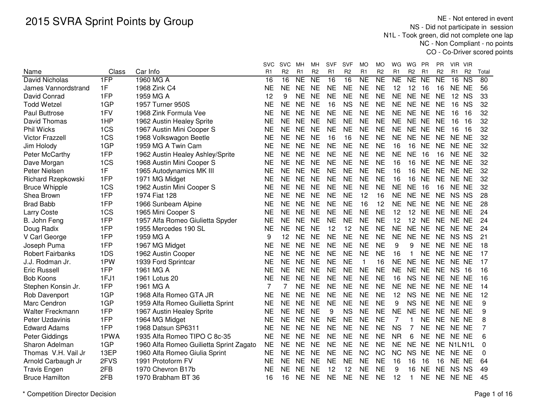NE - Not entered in event NS - Did not participate in session N1L - Took green, did not complete one lap NC - Non Compliant - no pointsCO - Co-Driver scored points

|                         |       |                                         | SVC       | <b>SVC</b>     | МH             | MН             | <b>SVF</b>     | <b>SVF</b>     | МO             | МO             | WG             | WG<br>PR                    | ΡR             | VIR VIR      |                        |       |
|-------------------------|-------|-----------------------------------------|-----------|----------------|----------------|----------------|----------------|----------------|----------------|----------------|----------------|-----------------------------|----------------|--------------|------------------------|-------|
| Name                    | Class | Car Info                                | R1        | R <sub>2</sub> | R <sub>1</sub> | R <sub>2</sub> | R <sub>1</sub> | R <sub>2</sub> | R <sub>1</sub> | R <sub>2</sub> | R1             | R <sub>2</sub><br>R1        | R <sub>2</sub> | R1           | R <sub>2</sub>         | Total |
| David Nicholas          | 1FP   | 1960 MG A                               | 16        | 16             | <b>NE</b>      | N <sub>E</sub> | 16             | 16             | <b>NE</b>      | <b>NE</b>      | <b>NE</b>      | <b>NE</b><br><b>NE</b>      | <b>NE</b>      | 16           | $\overline{\text{NS}}$ | 80    |
| James Vannordstrand     | 1F    | 1968 Zink C4                            | NE        | NE             | <b>NE</b>      | <b>NE</b>      | <b>NE</b>      | <b>NE</b>      | <b>NE</b>      | <b>NE</b>      | 12             | 12<br>16                    | 16             | NE NE        |                        | 56    |
| David Conrad            | 1FP   | 1959 MG A                               | 12        | 9              | <b>NE</b>      | <b>NE</b>      | <b>NE</b>      | <b>NE</b>      | <b>NE</b>      | <b>NE</b>      | <b>NE</b>      | <b>NE</b><br><b>NE</b>      | <b>NE</b>      | 12 NS        |                        | 33    |
| <b>Todd Wetzel</b>      | 1GP   | 1957 Turner 950S                        | <b>NE</b> | <b>NE</b>      | <b>NE</b>      | <b>NE</b>      | 16             | <b>NS</b>      | <b>NE</b>      | <b>NE</b>      | <b>NE</b>      | <b>NE</b><br><b>NE</b>      | <b>NE</b>      | 16           | <b>NS</b>              | 32    |
| Paul Buttrose           | 1FV   | 1968 Zink Formula Vee                   | <b>NE</b> | <b>NE</b>      | <b>NE</b>      | <b>NE</b>      | <b>NE</b>      | <b>NE</b>      | <b>NE</b>      | <b>NE</b>      | <b>NE</b>      | <b>NE</b><br><b>NE</b>      | <b>NE</b>      | 16           | 16                     | 32    |
| David Thomas            | 1HP   | 1962 Austin Healey Sprite               | <b>NE</b> | <b>NE</b>      | <b>NE</b>      | <b>NE</b>      | <b>NE</b>      | <b>NE</b>      | <b>NE</b>      | <b>NE</b>      | <b>NE</b>      | <b>NE</b><br><b>NE</b>      | <b>NE</b>      | 16           | 16                     | 32    |
| <b>Phil Wicks</b>       | 1CS   | 1967 Austin Mini Cooper S               | <b>NE</b> | <b>NE</b>      | <b>NE</b>      | <b>NE</b>      | <b>NE</b>      | <b>NE</b>      | <b>NE</b>      | <b>NE</b>      | <b>NE</b>      | NE NE                       | <b>NE</b>      | 16           | - 16                   | 32    |
| <b>Victor Frazzell</b>  | 1CS   | 1968 Volkswagon Beetle                  | NE        | <b>NE</b>      | <b>NE</b>      | <b>NE</b>      | 16             | 16             | <b>NE</b>      | <b>NE</b>      | <b>NE</b>      | NE NE                       | <b>NE</b>      | NE NE        |                        | 32    |
| Jim Holody              | 1GP   | 1959 MG A Twin Cam                      | NE        | NE.            | <b>NE</b>      | <b>NE</b>      | <b>NE</b>      | <b>NE</b>      | <b>NE</b>      | NE             | 16             | 16<br><b>NE</b>             | <b>NE</b>      | NE NE        |                        | 32    |
| Peter McCarthy          | 1FP   | 1962 Austin Healey Ashley/Sprite        | <b>NE</b> | <b>NE</b>      | <b>NE</b>      | <b>NE</b>      | <b>NE</b>      | <b>NE</b>      | <b>NE</b>      | <b>NE</b>      | <b>NE</b>      | <b>NE</b><br>-16            | 16             | NE NE        |                        | 32    |
| Dave Morgan             | 1CS   | 1968 Austin Mini Cooper S               | <b>NE</b> | <b>NE</b>      | <b>NE</b>      | <b>NE</b>      | <b>NE</b>      | <b>NE</b>      | <b>NE</b>      | <b>NE</b>      | 16             | 16<br><b>NE</b>             | <b>NE</b>      | NE NE        |                        | 32    |
| Peter Nielsen           | 1F    | 1965 Autodynamics MK III                | <b>NE</b> | <b>NE</b>      | <b>NE</b>      | <b>NE</b>      | <b>NE</b>      | <b>NE</b>      | <b>NE</b>      | <b>NE</b>      | 16             | 16<br><b>NE</b>             | <b>NE</b>      | NE NE        |                        | 32    |
| Richard Rzepkowski      | 1FP   | 1971 MG Midget                          | <b>NE</b> | <b>NE</b>      | <b>NE</b>      | <b>NE</b>      | <b>NE</b>      | <b>NE</b>      | <b>NE</b>      | <b>NE</b>      | 16             | 16<br><b>NE</b>             | <b>NE</b>      | NE NE        |                        | 32    |
| <b>Bruce Whipple</b>    | 1CS   | 1962 Austin Mini Cooper S               | <b>NE</b> | <b>NE</b>      | <b>NE</b>      | <b>NE</b>      | <b>NE</b>      | <b>NE</b>      | <b>NE</b>      | <b>NE</b>      | <b>NE</b>      | <b>NE</b><br>16             | 16             | NE NE        |                        | 32    |
| Shea Brown              | 1FP   | 1974 Fiat 128                           | <b>NE</b> | <b>NE</b>      | <b>NE</b>      | <b>NE</b>      | <b>NE</b>      | <b>NE</b>      | 12             | 16             | <b>NE</b>      | <b>NE</b><br><b>NE</b>      | <b>NE</b>      | NS NS        |                        | 28    |
| <b>Brad Babb</b>        | 1FP   | 1966 Sunbeam Alpine                     | <b>NE</b> | <b>NE</b>      | <b>NE</b>      | <b>NE</b>      | <b>NE</b>      | <b>NE</b>      | 16             | 12             | <b>NE</b>      | <b>NE</b><br><b>NE</b>      | <b>NE</b>      | NE NE        |                        | 28    |
| <b>Larry Coste</b>      | 1CS   | 1965 Mini Cooper S                      | <b>NE</b> | <b>NE</b>      | <b>NE</b>      | <b>NE</b>      | <b>NE</b>      | <b>NE</b>      | <b>NE</b>      | <b>NE</b>      | 12             | 12<br><b>NE</b>             | <b>NE</b>      | NE NE        |                        | 24    |
| B. John Feng            | 1FP   | 1957 Alfa Romeo Giulietta Spyder        | <b>NE</b> | <b>NE</b>      | <b>NE</b>      | <b>NE</b>      | <b>NE</b>      | <b>NE</b>      | <b>NE</b>      | <b>NE</b>      | 12             | 12<br><b>NE</b>             | <b>NE</b>      | NE NE        |                        | 24    |
| Doug Radix              | 1FP   | 1955 Mercedes 190 SL                    | <b>NE</b> | <b>NE</b>      | <b>NE</b>      | <b>NE</b>      | 12             | 12             | <b>NE</b>      | <b>NE</b>      | <b>NE</b>      | NE NE                       | <b>NE</b>      | NE NE        |                        | 24    |
| V Carl George           | 1FP   | 1959 MG A                               | 9         | 12             | <b>NE</b>      | <b>NE</b>      | <b>NE</b>      | <b>NE</b>      | <b>NE</b>      | <b>NE</b>      | <b>NE</b>      | <b>NE</b><br><b>NE</b>      | <b>NE</b>      | NS NS        |                        | 21    |
| Joseph Puma             | 1FP   | 1967 MG Midget                          | NE        | <b>NE</b>      | <b>NE</b>      | <b>NE</b>      | <b>NE</b>      | <b>NE</b>      | <b>NE</b>      | <b>NE</b>      | 9              | 9<br><b>NE</b>              | <b>NE</b>      | NE NE        |                        | 18    |
| <b>Robert Fairbanks</b> | 1DS   | 1962 Austin Cooper                      | NΕ        | <b>NE</b>      | <b>NE</b>      | <b>NE</b>      | <b>NE</b>      | <b>NE</b>      | <b>NE</b>      | NE             | 16             | <b>NE</b><br>1              | <b>NE</b>      | NE NE        |                        | 17    |
| J.J. Rodman Jr.         | 1PW   | 1939 Ford Sprintcar                     | NE        | NE             | <b>NE</b>      | <b>NE</b>      | <b>NE</b>      | <b>NE</b>      | 1              | 16             | <b>NE</b>      | <b>NE</b><br><b>NE</b>      | <b>NE</b>      | NE NE        |                        | 17    |
| <b>Eric Russell</b>     | 1FP   | 1961 MG A                               | <b>NE</b> | <b>NE</b>      | <b>NE</b>      | <b>NE</b>      | <b>NE</b>      | <b>NE</b>      | <b>NE</b>      | <b>NE</b>      | <b>NE</b>      | <b>NE</b><br><b>NE</b>      | <b>NE</b>      | <b>NS 16</b> |                        | 16    |
| <b>Bob Koons</b>        | 1FJ1  | 1961 Lotus 20                           | <b>NE</b> | <b>NE</b>      | <b>NE</b>      | <b>NE</b>      | <b>NE</b>      | <b>NE</b>      | <b>NE</b>      | <b>NE</b>      | 16             | <b>NS</b><br><b>NE</b>      | <b>NE</b>      | NE NE        |                        | 16    |
| Stephen Konsin Jr.      | 1FP   | 1961 MG A                               | 7         |                | <b>NE</b>      | <b>NE</b>      | <b>NE</b>      | <b>NE</b>      | <b>NE</b>      | <b>NE</b>      | <b>NE</b>      | <b>NE</b><br><b>NE</b>      | <b>NE</b>      | NE NE        |                        | 14    |
| Rob Davenport           | 1GP   | 1968 Alfa Romeo GTA JR                  | <b>NE</b> | <b>NE</b>      | <b>NE</b>      | <b>NE</b>      | <b>NE</b>      | <b>NE</b>      | <b>NE</b>      | <b>NE</b>      | 12             | <b>NS</b><br><b>NE</b>      | <b>NE</b>      | NE NE        |                        | 12    |
| Marc Cendron            | 1GP   | 1959 Alfa Romeo Guilietta Sprint        | <b>NE</b> | <b>NE</b>      | <b>NE</b>      | <b>NE</b>      | <b>NE</b>      | <b>NE</b>      | <b>NE</b>      | <b>NE</b>      | 9              | <b>NS</b><br><b>NE</b>      | <b>NE</b>      | NE NE        |                        | 9     |
| <b>Walter Freckmann</b> | 1FP   | 1967 Austin Healey Sprite               | <b>NE</b> | <b>NE</b>      | <b>NE</b>      | <b>NE</b>      | 9              | <b>NS</b>      | <b>NE</b>      | <b>NE</b>      | <b>NE</b>      | <b>NE</b><br><b>NE</b>      | <b>NE</b>      | NE NE        |                        | 9     |
| Peter Uzdavinis         | 1FP   | 1964 MG Midget                          | <b>NE</b> | <b>NE</b>      | <b>NE</b>      | <b>NE</b>      | <b>NE</b>      | <b>NE</b>      | <b>NE</b>      | <b>NE</b>      | $\overline{7}$ | <b>NE</b><br>1              | <b>NE</b>      | NE NE        |                        | 8     |
| <b>Edward Adams</b>     | 1FP   | 1968 Datsun SP6311                      | <b>NE</b> | <b>NE</b>      | <b>NE</b>      | <b>NE</b>      | <b>NE</b>      | <b>NE</b>      | <b>NE</b>      | <b>NE</b>      | <b>NS</b>      | $\overline{7}$<br><b>NE</b> | <b>NE</b>      | NE NE        |                        | 7     |
| Peter Giddings          | 1PWA  | 1935 Alfa Romeo TIPO C 8c-35            | <b>NE</b> | <b>NE</b>      | <b>NE</b>      | <b>NE</b>      | <b>NE</b>      | <b>NE</b>      | <b>NE</b>      | <b>NE</b>      | <b>NR</b>      | 6<br><b>NE</b>              | <b>NE</b>      | NE NE        |                        | 6     |
| Sharon Adelman          | 1GP   | 1960 Alfa Romeo Guilietta Sprint Zagato | <b>NE</b> | <b>NE</b>      | <b>NE</b>      | <b>NE</b>      | <b>NE</b>      | <b>NE</b>      | <b>NE</b>      | <b>NE</b>      | <b>NE</b>      | <b>NE</b><br><b>NE</b>      | <b>NE</b>      | N1LN1L       |                        | 0     |
| Thomas V.H. Vail Jr     | 13EP  | 1960 Alfa Romeo Giulia Sprint           | <b>NE</b> | <b>NE</b>      | <b>NE</b>      | <b>NE</b>      | <b>NE</b>      | <b>NE</b>      | <b>NC</b>      | <b>NC</b>      | <b>NC</b>      | <b>NS</b><br><b>NE</b>      | <b>NE</b>      | NE NE        |                        | 0     |
| Arnold Carbaugh Jr      | 2FVS  | 1991 Protoform FV                       | NE        | NE.            | <b>NE</b>      | NE             | <b>NE</b>      | NE             | <b>NE</b>      | NE             | 16             | 16<br>16                    | 16             | NE NE        |                        | 64    |
| <b>Travis Engen</b>     | 2FB   | 1970 Chevron B17b                       | NE        | NE             | <b>NE</b>      | <b>NE</b>      | 12             | 12             | NE             | <b>NE</b>      | 9              | 16<br><b>NE</b>             | <b>NE</b>      | NS NS        |                        | 49    |
| <b>Bruce Hamilton</b>   | 2FB   | 1970 Brabham BT 36                      | 16        | 16             | <b>NE</b>      | <b>NE</b>      | <b>NE</b>      | <b>NE</b>      | <b>NE</b>      | <b>NE</b>      | 12             | <b>NE</b><br>1              |                | NE NE NE     |                        | 45    |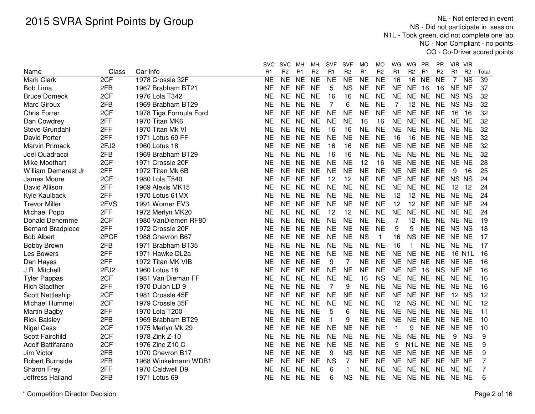NE - Not entered in event NS - Did not participate in session N1L - Took green, did not complete one lap NC - Non Compliant - no pointsCO - Co-Driver scored points

|                          |       |                        | svc            | <b>SVC</b>     | мн             | мн                     | <b>SVF</b>     | SVF            | MO             | МO             | WG             | WG                              | PR             | PR.            | VIR VIR        |                        |       |
|--------------------------|-------|------------------------|----------------|----------------|----------------|------------------------|----------------|----------------|----------------|----------------|----------------|---------------------------------|----------------|----------------|----------------|------------------------|-------|
| Name                     | Class | Car Info               | R <sub>1</sub> | R <sub>2</sub> | R <sub>1</sub> | R <sub>2</sub>         | R <sub>1</sub> | R <sub>2</sub> | R <sub>1</sub> | R <sub>2</sub> | R <sub>1</sub> | R <sub>2</sub>                  | R <sub>1</sub> | R <sub>2</sub> | R <sub>1</sub> | R <sub>2</sub>         | Total |
| Mark Clark               | 2CF   | 1978 Crossle 32F       | <b>NE</b>      | NE             | <b>NE</b>      | $\overline{\text{NE}}$ | <b>NE</b>      | <b>NE</b>      | <b>NE</b>      | <b>NE</b>      | 16             | $\overline{16}$                 | <b>NE</b>      | <b>NE</b>      | 7              | $\overline{\text{NS}}$ | 39    |
| <b>Bob Lima</b>          | 2FB   | 1967 Brabham BT21      | <b>NE</b>      | <b>NE</b>      | <b>NE</b>      | <b>NE</b>              | 5              | <b>NS</b>      | <b>NE</b>      | <b>NE</b>      | <b>NE</b>      | <b>NE</b>                       | 16             | 16             | NE NE          |                        | 37    |
| <b>Bruce Domeck</b>      | 2CF   | 1976 Lola T342         | <b>NE</b>      | <b>NE</b>      | <b>NE</b>      | <b>NE</b>              | 16             | 16             | <b>NE</b>      | <b>NE</b>      | <b>NE</b>      | NE NE                           |                | <b>NE</b>      | NS NS          |                        | 32    |
| Marc Giroux              | 2FB   | 1969 Brabham BT29      | <b>NE</b>      | <b>NE</b>      | <b>NE</b>      | <b>NE</b>              | $\overline{7}$ | 6              | <b>NE</b>      | <b>NE</b>      | 7              | 12 <sup>°</sup>                 | <b>NE</b>      | <b>NE</b>      | NS NS          |                        | 32    |
| <b>Chris Forrer</b>      | 2CF   | 1978 Tiga Formula Ford | <b>NE</b>      | <b>NE</b>      | <b>NE</b>      | <b>NE</b>              | <b>NE</b>      | <b>NE</b>      | <b>NE</b>      | <b>NE</b>      | <b>NE</b>      | NE NE                           |                | <b>NE</b>      | 16             | 16                     | 32    |
| Dan Cowdrey              | 2FF   | 1970 Titan MK6         | NE             | <b>NE</b>      | <b>NE</b>      | <b>NE</b>              | <b>NE</b>      | <b>NE</b>      | 16             | 16             | <b>NE</b>      | NE NE                           |                | <b>NE</b>      | NE NE          |                        | 32    |
| Steve Grundahl           | 2FF   | 1970 Titan Mk VI       | NΕ             | <b>NE</b>      | <b>NE</b>      | <b>NE</b>              | 16             | 16             | <b>NE</b>      | <b>NE</b>      | <b>NE</b>      | NE NE                           |                | <b>NE</b>      | NE NE          |                        | 32    |
| David Porter             | 2FF   | 1971 Lotus 69 FF       | <b>NE</b>      | <b>NE</b>      | <b>NE</b>      | <b>NE</b>              | <b>NE</b>      | <b>NE</b>      | <b>NE</b>      | <b>NE</b>      | 16             | 16 NE                           |                | <b>NE</b>      | NE NE          |                        | 32    |
| <b>Marvin Primack</b>    | 2FJ2  | 1960 Lotus 18          | <b>NE</b>      | <b>NE</b>      | <b>NE</b>      | <b>NE</b>              | 16             | 16             | <b>NE</b>      | <b>NE</b>      | <b>NE</b>      | NE NE                           |                | <b>NE</b>      | NE NE          |                        | 32    |
| Joel Quadracci           | 2FB   | 1969 Brabham BT29      | <b>NE</b>      | <b>NE</b>      | <b>NE</b>      | <b>NE</b>              | 16             | 16             | <b>NE</b>      | <b>NE</b>      | <b>NE</b>      | NE NE                           |                | <b>NE</b>      | NE NE          |                        | 32    |
| Mike Moothart            | 2CF   | 1971 Crossle 20F       | <b>NE</b>      | <b>NE</b>      | <b>NE</b>      | <b>NE</b>              | <b>NE</b>      | <b>NE</b>      | 12             | 16             | <b>NE</b>      | NE NE                           |                | <b>NE</b>      | NE NE          |                        | 28    |
| William Demarest Jr      | 2FF   | 1972 Titan Mk 6B       | <b>NE</b>      | <b>NE</b>      | <b>NE</b>      | <b>NE</b>              | <b>NE</b>      | <b>NE</b>      | <b>NE</b>      | <b>NE</b>      | <b>NE</b>      | NE NE                           |                | <b>NE</b>      | 9              | 16                     | 25    |
| James Moore              | 2CF   | 1980 Lola T540         | <b>NE</b>      | <b>NE</b>      | <b>NE</b>      | <b>NE</b>              | 12             | 12             | <b>NE</b>      | <b>NE</b>      | <b>NE</b>      | NE NE                           |                | <b>NE</b>      | NS NS          |                        | 24    |
| David Allison            | 2FF   | 1969 Alexis MK15       | <b>NE</b>      | <b>NE</b>      | <b>NE</b>      | <b>NE</b>              | <b>NE</b>      | <b>NE</b>      | <b>NE</b>      | <b>NE</b>      | <b>NE</b>      | NE NE                           |                | <b>NE</b>      | 12 12          |                        | 24    |
| Kyle Kaulback            | 2FF   | 1970 Lotus 61MX        | <b>NE</b>      | <b>NE</b>      | <b>NE</b>      | <b>NE</b>              | <b>NE</b>      | <b>NE</b>      | <b>NE</b>      | <b>NE</b>      | 12             | 12 <sub>2</sub>                 | <b>NE</b>      | <b>NE</b>      | NE NE          |                        | 24    |
| <b>Trevor Miller</b>     | 2FVS  | 1991 Womer EV3         | <b>NE</b>      | <b>NE</b>      | <b>NE</b>      | <b>NE</b>              | <b>NE</b>      | <b>NE</b>      | <b>NE</b>      | <b>NE</b>      | 12             | 12 NE                           |                | <b>NE</b>      | NE NE          |                        | 24    |
| Michael Popp             | 2FF   | 1972 Merlyn MK20       | <b>NE</b>      | <b>NE</b>      | <b>NE</b>      | <b>NE</b>              | 12             | 12             | <b>NE</b>      | <b>NE</b>      | <b>NE</b>      | NE NE                           |                | <b>NE</b>      | NE NE          |                        | 24    |
| Donald Denomme           | 2CF   | 1980 VanDiemen RF80    | <b>NE</b>      | <b>NE</b>      | <b>NE</b>      | <b>NE</b>              | <b>NE</b>      | <b>NE</b>      | <b>NE</b>      | <b>NE</b>      | 7              | 12 <sup>°</sup>                 | <b>NE</b>      | <b>NE</b>      | NE NE          |                        | 19    |
| <b>Bernard Bradpiece</b> | 2FF   | 1972 Crossle 20F       | <b>NE</b>      | <b>NE</b>      | <b>NE</b>      | <b>NE</b>              | <b>NE</b>      | <b>NE</b>      | <b>NE</b>      | <b>NE</b>      | 9              | 9                               | <b>NE</b>      | <b>NE</b>      | NS NS          |                        | 18    |
| <b>Bob Albert</b>        | 2PCF  | 1988 Chevron B67       | <b>NE</b>      | <b>NE</b>      | <b>NE</b>      | <b>NE</b>              | <b>NE</b>      | <b>NE</b>      | <b>NS</b>      | $\mathbf{1}$   | 16             | NS NE                           |                | <b>NE</b>      | NE NE          |                        | 17    |
| Bobby Brown              | 2FB   | 1971 Brabham BT35      | <b>NE</b>      | <b>NE</b>      | NE             | <b>NE</b>              | <b>NE</b>      | <b>NE</b>      | <b>NE</b>      | <b>NE</b>      | 16             | $\mathbf{1}$                    | <b>NE</b>      | <b>NE</b>      | NE NE          |                        | 17    |
| Les Bowers               | 2FF   | 1971 Hawke DL2a        | <b>NE</b>      | <b>NE</b>      | <b>NE</b>      | <b>NE</b>              | <b>NE</b>      | <b>NE</b>      | <b>NE</b>      | <b>NE</b>      | <b>NE</b>      | NE NE                           |                | <b>NE</b>      | 16 N1L         |                        | 16    |
| Dan Hayes                | 2FF   | 1972 Titan MK VIB      | <b>NE</b>      | <b>NE</b>      | <b>NE</b>      | <b>NE</b>              | 9              | 7              | <b>NE</b>      | <b>NE</b>      | <b>NE</b>      | NE NE                           |                | <b>NE</b>      | NE NE          |                        | 16    |
| J.R. Mitchell            | 2FJ2  | 1960 Lotus 18          | <b>NE</b>      | <b>NE</b>      | <b>NE</b>      | <b>NE</b>              | <b>NE</b>      | <b>NE</b>      | <b>NE</b>      | <b>NE</b>      | <b>NE</b>      | <b>NE</b>                       | 16             | <b>NS</b>      | NE NE          |                        | 16    |
| <b>Tyler Pappas</b>      | 2CF   | 1981 Van Dieman FF     | <b>NE</b>      | <b>NE</b>      | <b>NE</b>      | <b>NE</b>              | <b>NE</b>      | <b>NE</b>      | 16             | <b>NS</b>      | <b>NE</b>      | NE NE                           |                | <b>NE</b>      | NE NE          |                        | 16    |
| <b>Rich Stadther</b>     | 2FF   | 1970 Dulon LD 9        | <b>NE</b>      | <b>NE</b>      | <b>NE</b>      | <b>NE</b>              | 7              | 9              | <b>NE</b>      | <b>NE</b>      | <b>NE</b>      | NE NE                           |                | <b>NE</b>      | NE NE          |                        | 16    |
| <b>Scott Nettleship</b>  | 2CF   | 1981 Crossle 45F       | <b>NE</b>      | <b>NE</b>      | <b>NE</b>      | <b>NE</b>              | <b>NE</b>      | <b>NE</b>      | <b>NE</b>      | <b>NE</b>      | <b>NE</b>      | NE NE                           |                | <b>NE</b>      | 12 NS          |                        | 12    |
| Michael Hummel           | 2CF   | 1979 Crossle 35F       | <b>NE</b>      | <b>NE</b>      | <b>NE</b>      | <b>NE</b>              | <b>NE</b>      | <b>NE</b>      | <b>NE</b>      | <b>NE</b>      | 12             | NS NE                           |                | <b>NE</b>      | NE NE          |                        | 12    |
| Martin Bagby             | 2FF   | 1970 Lola T200         | <b>NE</b>      | <b>NE</b>      | <b>NE</b>      | <b>NE</b>              | 5              | 6              | <b>NE</b>      | <b>NE</b>      | <b>NE</b>      | NE NE                           |                | <b>NE</b>      | NE NE          |                        | 11    |
| <b>Rick Balsley</b>      | 2FB   | 1969 Brabham BT29      | <b>NE</b>      | <b>NE</b>      | <b>NE</b>      | <b>NE</b>              | $\mathbf{1}$   | 9              | <b>NE</b>      | <b>NE</b>      | <b>NE</b>      | NE NE                           |                | <b>NE</b>      | NE NE          |                        | 10    |
| <b>Nigel Cass</b>        | 2CF   | 1975 Merlyn Mk 29      | <b>NE</b>      | <b>NE</b>      | <b>NE</b>      | <b>NE</b>              | <b>NE</b>      | <b>NE</b>      | <b>NE</b>      | <b>NE</b>      | 1              | 9                               | <b>NE</b>      | <b>NE</b>      | NE NE          |                        | 10    |
| Scott Fairchild          | 2CF   | 1978 Zink Z-10         | <b>NE</b>      | <b>NE</b>      | <b>NE</b>      | <b>NE</b>              | <b>NE</b>      | <b>NE</b>      | <b>NE</b>      | <b>NE</b>      | <b>NE</b>      | NE NE                           |                | <b>NE</b>      | 9              | <b>NS</b>              | 9     |
| Adolf Battifarano        | 2CF   | 1976 Zinc Z10 C        | <b>NE</b>      | <b>NE</b>      | <b>NE</b>      | <b>NE</b>              | <b>NE</b>      | <b>NE</b>      | <b>NE</b>      | <b>NE</b>      | 9              | N <sub>1</sub> L N <sub>E</sub> |                | <b>NE</b>      | NE NE          |                        | 9     |
| Jim Victor               | 2FB   | 1970 Chevron B17       | <b>NE</b>      | <b>NE</b>      | <b>NE</b>      | <b>NE</b>              | 9              | <b>NS</b>      | <b>NE</b>      | <b>NE</b>      | <b>NE</b>      | NE NE                           |                | <b>NE</b>      | NE NE          |                        | 9     |
| <b>Robert Burnside</b>   | 2FB   | 1968 Winkelmann WDB1   | NΕ             | <b>NE</b>      | <b>NE</b>      | <b>NE</b>              | <b>NS</b>      | 7              | <b>NE</b>      | <b>NE</b>      | <b>NE</b>      | NE NE                           |                | <b>NE</b>      | NE NE          |                        | 7     |
| Sharon Frey              | 2FF   | 1970 Caldwell D9       | NE             | <b>NE</b>      | <b>NE</b>      | <b>NE</b>              | 6              | 1              | NE             | <b>NE</b>      | <b>NE</b>      | NE NE                           |                | <b>NE</b>      | NE NE          |                        | 7     |
| Jeffress Hailand         | 2FB   | 1971 Lotus 69          | <b>NE</b>      | <b>NE</b>      | <b>NE</b>      | <b>NE</b>              | 6              | <b>NS</b>      | <b>NE</b>      | <b>NE</b>      |                | NE NE NE                        |                |                | NE NE NE       |                        | 6     |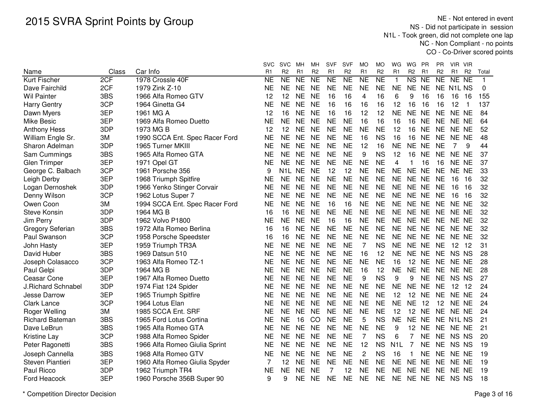NE - Not entered in event NS - Did not participate in session N1L - Took green, did not complete one lap NC - Non Compliant - no pointsCO - Co-Driver scored points

|                        |       |                                | svc       | <b>SVC</b>          | MН              | МH             | <b>SVF</b> | <b>SVF</b>             | МO              | <b>MO</b>              | WG               | WG<br>PR                            | PR              | VIR VIR                          |       |
|------------------------|-------|--------------------------------|-----------|---------------------|-----------------|----------------|------------|------------------------|-----------------|------------------------|------------------|-------------------------------------|-----------------|----------------------------------|-------|
| Name                   | Class | Car Info                       | R1        | R <sub>2</sub>      | R1              | R <sub>2</sub> | R1         | R <sub>2</sub>         | R <sub>1</sub>  | R <sub>2</sub>         | R1               | R <sub>2</sub><br>R1                | R <sub>2</sub>  | R <sub>1</sub><br>R <sub>2</sub> | Total |
| Kurt Fischer           | 2CF   | 1978 Crossle 40F               | NE        | $\overline{\sf NE}$ | $\overline{NE}$ | N <sub>E</sub> | <b>NE</b>  | $\overline{\text{NE}}$ | $\overline{NE}$ | $\overline{\text{NE}}$ | 1                | $\overline{\text{NS}}$<br><b>NE</b> | $\overline{NE}$ | NE NE                            | 1     |
| Dave Fairchild         | 2CF   | 1979 Zink Z-10                 | NE        | <b>NE</b>           | <b>NE</b>       | <b>NE</b>      | <b>NE</b>  | <b>NE</b>              | <b>NE</b>       | <b>NE</b>              | <b>NE</b>        | <b>NE</b><br><b>NE</b>              | NE.             | N <sub>1</sub> L <sub>NS</sub>   | 0     |
| <b>Wil Painter</b>     | 3BS   | 1966 Alfa Romeo GTV            | 12        | 12                  | <b>NE</b>       | <b>NE</b>      | 16         | 16                     | 4               | 16                     | 6                | 9<br>16                             | 16              | 16<br>16                         | 155   |
| <b>Harry Gentry</b>    | 3CP   | 1964 Ginetta G4                | <b>NE</b> | <b>NE</b>           | <b>NE</b>       | <b>NE</b>      | 16         | 16                     | 16              | 16                     | 12               | 16<br>16                            | 16              | 12<br>$\overline{1}$             | 137   |
| Dawn Myers             | 3EP   | 1961 MG A                      | 12        | 16                  | <b>NE</b>       | <b>NE</b>      | 16         | 16                     | 12              | 12                     | <b>NE</b>        | <b>NE</b><br><b>NE</b>              | <b>NE</b>       | NE NE                            | 84    |
| <b>Mike Besic</b>      | 3EP   | 1969 Alfa Romeo Duetto         | <b>NE</b> | <b>NE</b>           | <b>NE</b>       | <b>NE</b>      | <b>NE</b>  | <b>NE</b>              | 16              | 16                     | 16               | 16<br><b>NE</b>                     | <b>NE</b>       | NE NE                            | 64    |
| <b>Anthony Hess</b>    | 3DP   | 1973 MG B                      | 12        | 12                  | <b>NE</b>       | <b>NE</b>      | <b>NE</b>  | <b>NE</b>              | <b>NE</b>       | <b>NE</b>              | 12               | 16<br><b>NE</b>                     | <b>NE</b>       | NE NE                            | 52    |
| William Engle Sr.      | 3M    | 1990 SCCA Ent. Spec Racer Ford | NE        | <b>NE</b>           | <b>NE</b>       | <b>NE</b>      | NE         | <b>NE</b>              | 16              | <b>NS</b>              | 16               | 16<br><b>NE</b>                     | <b>NE</b>       | NE NE                            | 48    |
| Sharon Adelman         | 3DP   | 1965 Turner MKIII              | <b>NE</b> | NE                  | <b>NE</b>       | <b>NE</b>      | <b>NE</b>  | <b>NE</b>              | 12              | 16                     | <b>NE</b>        | NE<br><b>NE</b>                     | <b>NE</b>       | $\overline{7}$<br>9              | 44    |
| Sam Cummings           | 3BS   | 1965 Alfa Romeo GTA            | <b>NE</b> | <b>NE</b>           | <b>NE</b>       | <b>NE</b>      | <b>NE</b>  | <b>NE</b>              | 9               | <b>NS</b>              | 12               | 16<br><b>NE</b>                     | <b>NE</b>       | NE NE                            | 37    |
| Glen Trimper           | 3EP   | 1971 Opel GT                   | <b>NE</b> | <b>NE</b>           | <b>NE</b>       | <b>NE</b>      | <b>NE</b>  | <b>NE</b>              | <b>NE</b>       | <b>NE</b>              | 4                | 16                                  | 16              | NE NE                            | 37    |
| George C. Balbach      | 3CP   | 1961 Porsche 356               | 9         | N1L NE              |                 | <b>NE</b>      | 12         | 12                     | <b>NE</b>       | <b>NE</b>              | <b>NE</b>        | <b>NE</b><br><b>NE</b>              | <b>NE</b>       | NE NE                            | 33    |
| Leigh Derby            | 3EP   | 1968 Triumph Spitfire          | <b>NE</b> | <b>NE</b>           | <b>NE</b>       | <b>NE</b>      | <b>NE</b>  | <b>NE</b>              | <b>NE</b>       | <b>NE</b>              | <b>NE</b>        | <b>NE</b><br><b>NE</b>              | <b>NE</b>       | 16<br>16                         | 32    |
| Logan Dernoshek        | 3DP   | 1966 Yenko Stinger Corvair     | <b>NE</b> | <b>NE</b>           | <b>NE</b>       | <b>NE</b>      | <b>NE</b>  | <b>NE</b>              | <b>NE</b>       | <b>NE</b>              | <b>NE</b>        | NE NE                               | <b>NE</b>       | 16<br>16                         | 32    |
| Denny Wilson           | 3CP   | 1962 Lotus Super 7             | <b>NE</b> | <b>NE</b>           | <b>NE</b>       | <b>NE</b>      | <b>NE</b>  | <b>NE</b>              | <b>NE</b>       | <b>NE</b>              | <b>NE</b>        | <b>NE</b><br><b>NE</b>              | <b>NE</b>       | 16<br>16                         | 32    |
| Owen Coon              | 3M    | 1994 SCCA Ent. Spec Racer Ford | <b>NE</b> | <b>NE</b>           | <b>NE</b>       | <b>NE</b>      | 16         | 16                     | <b>NE</b>       | <b>NE</b>              | <b>NE</b>        | <b>NE</b><br><b>NE</b>              | <b>NE</b>       | NE NE                            | 32    |
| <b>Steve Konsin</b>    | 3DP   | 1964 MG B                      | 16        | 16                  | <b>NE</b>       | <b>NE</b>      | <b>NE</b>  | <b>NE</b>              | <b>NE</b>       | <b>NE</b>              | <b>NE</b>        | NE NE                               | <b>NE</b>       | NE NE                            | 32    |
| Jim Perry              | 3DP   | 1962 Volvo P1800               | <b>NE</b> | <b>NE</b>           | <b>NE</b>       | <b>NE</b>      | 16         | 16                     | <b>NE</b>       | <b>NE</b>              | <b>NE</b>        | NE NE                               | <b>NE</b>       | NE NE                            | 32    |
| Gregory Seferian       | 3BS   | 1972 Alfa Romeo Berlina        | 16        | 16                  | <b>NE</b>       | <b>NE</b>      | <b>NE</b>  | <b>NE</b>              | <b>NE</b>       | <b>NE</b>              | <b>NE</b>        | NE NE                               | <b>NE</b>       | NE NE                            | 32    |
| Paul Swanson           | 3CP   | 1958 Porsche Speedster         | 16        | 16                  | <b>NE</b>       | <b>NE</b>      | <b>NE</b>  | <b>NE</b>              | <b>NE</b>       | <b>NE</b>              | <b>NE</b>        | NE NE                               | <b>NE</b>       | NE NE                            | 32    |
| John Hasty             | 3EP   | 1959 Triumph TR3A              | NE        | <b>NE</b>           | <b>NE</b>       | <b>NE</b>      | <b>NE</b>  | <b>NE</b>              | 7               | <b>NS</b>              | <b>NE</b>        | <b>NE</b><br>NE                     | <b>NE</b>       | 12 12                            | 31    |
| David Huber            | 3BS   | 1969 Datsun 510                | NE        | <b>NE</b>           | <b>NE</b>       | <b>NE</b>      | <b>NE</b>  | <b>NE</b>              | 16              | 12                     | <b>NE</b>        | <b>NE</b><br><b>NE</b>              | <b>NE</b>       | NS NS                            | 28    |
| Joseph Colasacco       | 3CP   | 1963 Alfa Romeo TZ-1           | <b>NE</b> | <b>NE</b>           | <b>NE</b>       | <b>NE</b>      | <b>NE</b>  | <b>NE</b>              | <b>NE</b>       | <b>NE</b>              | 16               | 12<br><b>NE</b>                     | <b>NE</b>       | NE NE                            | 28    |
| Paul Gelpi             | 3DP   | 1964 MG B                      | <b>NE</b> | <b>NE</b>           | <b>NE</b>       | <b>NE</b>      | <b>NE</b>  | <b>NE</b>              | 16              | 12                     | <b>NE</b>        | <b>NE</b><br><b>NE</b>              | <b>NE</b>       | NE NE                            | 28    |
| Ceasar Cone            | 3EP   | 1967 Alfa Romeo Duetto         | <b>NE</b> | <b>NE</b>           | <b>NE</b>       | <b>NE</b>      | <b>NE</b>  | <b>NE</b>              | 9               | <b>NS</b>              | 9                | 9<br><b>NE</b>                      | <b>NE</b>       | NS NS                            | 27    |
| J.Richard Schnabel     | 3DP   | 1974 Fiat 124 Spider           | <b>NE</b> | <b>NE</b>           | <b>NE</b>       | <b>NE</b>      | NE         | <b>NE</b>              | <b>NE</b>       | <b>NE</b>              | <b>NE</b>        | <b>NE</b><br><b>NE</b>              | <b>NE</b>       | 12<br>12                         | 24    |
| Jesse Darrow           | 3EP   | 1965 Triumph Spitfire          | <b>NE</b> | <b>NE</b>           | <b>NE</b>       | <b>NE</b>      | <b>NE</b>  | <b>NE</b>              | <b>NE</b>       | <b>NE</b>              | 12               | 12<br><b>NE</b>                     | <b>NE</b>       | NE NE                            | 24    |
| <b>Clark Lance</b>     | 3CP   | 1964 Lotus Elan                | <b>NE</b> | <b>NE</b>           | <b>NE</b>       | <b>NE</b>      | <b>NE</b>  | <b>NE</b>              | <b>NE</b>       | <b>NE</b>              | <b>NE</b>        | <b>NE</b><br>12                     | 12              | NE NE                            | 24    |
| Roger Welling          | 3M    | 1985 SCCA Ent. SRF             | <b>NE</b> | <b>NE</b>           | <b>NE</b>       | <b>NE</b>      | <b>NE</b>  | <b>NE</b>              | <b>NE</b>       | <b>NE</b>              | 12               | 12<br><b>NE</b>                     | <b>NE</b>       | NE NE                            | 24    |
| <b>Richard Bateman</b> | 3BS   | 1965 Ford Lotus Cortina        | <b>NE</b> | <b>NE</b>           | 16              | CO             | <b>NE</b>  | <b>NE</b>              | 5               | <b>NS</b>              | <b>NE</b>        | <b>NE</b><br><b>NE</b>              | <b>NE</b>       | N <sub>1</sub> L <sub>NS</sub>   | 21    |
| Dave LeBrun            | 3BS   | 1965 Alfa Romeo GTA            | <b>NE</b> | <b>NE</b>           | <b>NE</b>       | <b>NE</b>      | <b>NE</b>  | <b>NE</b>              | <b>NE</b>       | <b>NE</b>              | 9                | 12<br><b>NE</b>                     | <b>NE</b>       | NE NE                            | 21    |
| Kristine Lay           | 3CP   | 1988 Alfa Romeo Spider         | ΝE        | <b>NE</b>           | <b>NE</b>       | <b>NE</b>      | <b>NE</b>  | <b>NE</b>              | 7               | <b>NS</b>              | 6                | 7<br><b>NE</b>                      | <b>NE</b>       | NS NS                            | 20    |
| Peter Ragonetti        | 3BS   | 1966 Alfa Romeo Giulia Sprint  | <b>NE</b> | <b>NE</b>           | <b>NE</b>       | <b>NE</b>      | <b>NE</b>  | <b>NE</b>              | 12              | <b>NS</b>              | N <sub>1</sub> L | <b>NE</b><br>7                      | <b>NE</b>       | NS NS                            | 19    |
| Joseph Cannella        | 3BS   | 1968 Alfa Romeo GTV            | <b>NE</b> | <b>NE</b>           | <b>NE</b>       | <b>NE</b>      | <b>NE</b>  | <b>NE</b>              | 2               | <b>NS</b>              | 16               | <b>NE</b><br>1                      | <b>NE</b>       | NE NE                            | 19    |
| Steven Piantieri       | 3EP   | 1960 Alfa Romeo Giulia Spyder  | 7         | 12                  | <b>NE</b>       | <b>NE</b>      | <b>NE</b>  | <b>NE</b>              | <b>NE</b>       | <b>NE</b>              | <b>NE</b>        | NE NE                               | <b>NE</b>       | NE NE                            | 19    |
| Paul Ricco             | 3DP   | 1962 Triumph TR4               | <b>NE</b> | <b>NE</b>           | <b>NE</b>       | <b>NE</b>      | 7          | 12                     | <b>NE</b>       | <b>NE</b>              | <b>NE</b>        | <b>NE</b><br><b>NE</b>              | <b>NE</b>       | NE NE                            | 19    |
| Ford Heacock           | 3EP   | 1960 Porsche 356B Super 90     | 9         | 9                   | <b>NE</b>       | <b>NE</b>      | <b>NE</b>  | <b>NE</b>              | <b>NE</b>       | <b>NE</b>              | <b>NE</b>        | NE NE                               |                 | NE NS NS                         | 18    |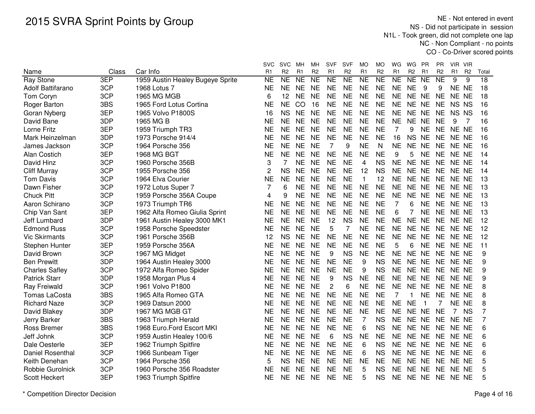NE - Not entered in event NS - Did not participate in session N1L - Took green, did not complete one lap NC - Non Compliant - no pointsCO - Co-Driver scored points

|                         |              |                                  | svc            | <b>SVC</b>          | MН              | мн                                    | SVF             | <b>SVF</b>     | МO                     | MO                     | WG                  | WG<br>- PR                             | ΡR                                    | VIR VIR        |                |                 |
|-------------------------|--------------|----------------------------------|----------------|---------------------|-----------------|---------------------------------------|-----------------|----------------|------------------------|------------------------|---------------------|----------------------------------------|---------------------------------------|----------------|----------------|-----------------|
| Name                    | Class<br>3EP | Car Info                         | R <sub>1</sub> | R <sub>2</sub>      | R <sub>1</sub>  | R <sub>2</sub><br>$\overline{\sf NE}$ | R <sub>1</sub>  | R <sub>2</sub> | R <sub>1</sub>         | R <sub>2</sub>         | R1                  | R <sub>2</sub><br>R <sub>1</sub><br>NE | R <sub>2</sub><br>$\overline{\sf NE}$ | R <sub>1</sub> | R <sub>2</sub> | Total           |
| <b>Ray Stone</b>        |              | 1959 Austin Healey Bugeye Sprite | N <sub>E</sub> | $\overline{\sf NE}$ | $\overline{NE}$ |                                       | $\overline{NE}$ | NE             | $\overline{\text{NE}}$ | $\overline{\text{NE}}$ | $\overline{\sf NE}$ | <b>NE</b>                              |                                       | 9              | 9              | $\overline{18}$ |
| Adolf Battifarano       | 3CP          | 1968 Lotus 7                     | <b>NE</b>      | <b>NE</b>           | <b>NE</b>       | <b>NE</b>                             | <b>NE</b>       | <b>NE</b>      | <b>NE</b>              | <b>NE</b>              | <b>NE</b>           | <b>NE</b><br>9                         | 9                                     | NE NE          |                | 18              |
| Tom Coryn               | 3CP          | 1965 MG MGB                      | 6              | 12                  | <b>NE</b>       | <b>NE</b>                             | <b>NE</b>       | <b>NE</b>      | <b>NE</b>              | <b>NE</b>              | <b>NE</b>           | <b>NE</b><br><b>NE</b>                 | <b>NE</b>                             | NE NE          |                | 18              |
| Roger Barton            | 3BS          | 1965 Ford Lotus Cortina          | <b>NE</b>      | <b>NE</b>           | CO              | 16                                    | <b>NE</b>       | <b>NE</b>      | <b>NE</b>              | <b>NE</b>              | <b>NE</b>           | <b>NE</b><br><b>NE</b>                 | <b>NE</b>                             | NS NS          |                | 16              |
| Goran Nyberg            | 3EP          | 1965 Volvo P1800S                | 16             | <b>NS</b>           | <b>NE</b>       | <b>NE</b>                             | <b>NE</b>       | <b>NE</b>      | <b>NE</b>              | <b>NE</b>              | <b>NE</b>           | <b>NE</b><br><b>NE</b>                 | <b>NE</b>                             | NS NS          |                | 16              |
| David Bane              | 3DP          | 1965 MG B                        | NE             | <b>NE</b>           | <b>NE</b>       | <b>NE</b>                             | <b>NE</b>       | <b>NE</b>      | <b>NE</b>              | <b>NE</b>              | <b>NE</b>           | <b>NE</b><br><b>NE</b>                 | <b>NE</b>                             | 9              | -7             | 16              |
| Lorne Fritz             | 3EP          | 1959 Triumph TR3                 | <b>NE</b>      | <b>NE</b>           | <b>NE</b>       | <b>NE</b>                             | <b>NE</b>       | <b>NE</b>      | <b>NE</b>              | <b>NE</b>              | $\overline{7}$      | 9<br><b>NE</b>                         | <b>NE</b>                             | NE NE          |                | 16              |
| Mark Heinzelman         | 3DP          | 1973 Porsche 914/4               | NE             | <b>NE</b>           | <b>NE</b>       | <b>NE</b>                             | <b>NE</b>       | <b>NE</b>      | <b>NE</b>              | <b>NE</b>              | 16                  | <b>NS</b><br><b>NE</b>                 | <b>NE</b>                             | NE NE          |                | 16              |
| James Jackson           | 3CP          | 1964 Porsche 356                 | NΕ             | <b>NE</b>           | <b>NE</b>       | <b>NE</b>                             | 7               | 9              | <b>NE</b>              | N                      | <b>NE</b>           | <b>NE</b><br>NE                        | <b>NE</b>                             | NE NE          |                | 16              |
| <b>Alan Costich</b>     | 3EP          | <b>1968 MG BGT</b>               | <b>NE</b>      | <b>NE</b>           | <b>NE</b>       | <b>NE</b>                             | <b>NE</b>       | <b>NE</b>      | <b>NE</b>              | <b>NE</b>              | 9                   | 5<br><b>NE</b>                         | <b>NE</b>                             | NE NE          |                | 14              |
| David Hinz              | 3CP          | 1960 Porsche 356B                | 3              |                     | <b>NE</b>       | <b>NE</b>                             | <b>NE</b>       | <b>NE</b>      | 4                      | <b>NS</b>              | <b>NE</b>           | <b>NE</b><br><b>NE</b>                 | <b>NE</b>                             | NE NE          |                | 14              |
| <b>Cliff Murray</b>     | 3CP          | 1955 Porsche 356                 | 2              | <b>NS</b>           | <b>NE</b>       | <b>NE</b>                             | <b>NE</b>       | <b>NE</b>      | 12                     | <b>NS</b>              | <b>NE</b>           | <b>NE</b><br><b>NE</b>                 | <b>NE</b>                             | NE NE          |                | 14              |
| <b>Tom Davis</b>        | 3CP          | 1964 Elva Courier                | <b>NE</b>      | <b>NE</b>           | <b>NE</b>       | <b>NE</b>                             | <b>NE</b>       | <b>NE</b>      | $\mathbf{1}$           | 12                     | <b>NE</b>           | <b>NE</b><br><b>NE</b>                 | <b>NE</b>                             | NE NE          |                | 13              |
| Dawn Fisher             | 3CP          | 1972 Lotus Super 7               | 7              | 6                   | <b>NE</b>       | <b>NE</b>                             | <b>NE</b>       | <b>NE</b>      | <b>NE</b>              | <b>NE</b>              | <b>NE</b>           | <b>NE</b><br><b>NE</b>                 | <b>NE</b>                             | NE NE          |                | 13              |
| <b>Chuck Pitt</b>       | 3CP          | 1959 Porsche 356A Coupe          | 4              | 9                   | <b>NE</b>       | <b>NE</b>                             | <b>NE</b>       | <b>NE</b>      | <b>NE</b>              | <b>NE</b>              | <b>NE</b>           | <b>NE</b><br><b>NE</b>                 | <b>NE</b>                             | NE NE          |                | 13              |
| Aaron Schirano          | 3CP          | 1973 Triumph TR6                 | <b>NE</b>      | <b>NE</b>           | <b>NE</b>       | <b>NE</b>                             | <b>NE</b>       | <b>NE</b>      | <b>NE</b>              | <b>NE</b>              | $\overline{7}$      | 6<br><b>NE</b>                         | <b>NE</b>                             | NE NE          |                | 13              |
| Chip Van Sant           | 3EP          | 1962 Alfa Romeo Giulia Sprint    | <b>NE</b>      | <b>NE</b>           | <b>NE</b>       | <b>NE</b>                             | <b>NE</b>       | <b>NE</b>      | <b>NE</b>              | <b>NE</b>              | 6                   | 7<br><b>NE</b>                         | <b>NE</b>                             | NE NE          |                | 13              |
| Jeff Lumbard            | 3DP          | 1961 Austin Healey 3000 MK1      | <b>NE</b>      | <b>NE</b>           | <b>NE</b>       | <b>NE</b>                             | 12              | <b>NS</b>      | <b>NE</b>              | <b>NE</b>              | <b>NE</b>           | <b>NE</b><br><b>NE</b>                 | <b>NE</b>                             | NE NE          |                | 12              |
| <b>Edmond Russ</b>      | 3CP          | 1958 Porsche Speedster           | <b>NE</b>      | <b>NE</b>           | <b>NE</b>       | <b>NE</b>                             | 5               | $\overline{7}$ | <b>NE</b>              | <b>NE</b>              | <b>NE</b>           | <b>NE</b><br><b>NE</b>                 | <b>NE</b>                             | NE NE          |                | 12              |
| <b>Vic Skirmants</b>    | 3CP          | 1961 Porsche 356B                | 12             | <b>NS</b>           | <b>NE</b>       | <b>NE</b>                             | <b>NE</b>       | <b>NE</b>      | <b>NE</b>              | <b>NE</b>              | <b>NE</b>           | <b>NE</b><br><b>NE</b>                 | <b>NE</b>                             | NE NE          |                | 12              |
| Stephen Hunter          | 3EP          | 1959 Porsche 356A                | <b>NE</b>      | <b>NE</b>           | <b>NE</b>       | <b>NE</b>                             | <b>NE</b>       | <b>NE</b>      | <b>NE</b>              | <b>NE</b>              | 5                   | <b>NE</b><br>6                         | <b>NE</b>                             | NE NE          |                | 11              |
| David Brown             | 3CP          | 1967 MG Midget                   | <b>NE</b>      | <b>NE</b>           | <b>NE</b>       | <b>NE</b>                             | 9               | <b>NS</b>      | <b>NE</b>              | <b>NE</b>              | <b>NE</b>           | NE NE                                  | <b>NE</b>                             | NE NE          |                | 9               |
| <b>Ben Prewitt</b>      | 3DP          | 1964 Austin Healey 3000          | <b>NE</b>      | <b>NE</b>           | <b>NE</b>       | <b>NE</b>                             | <b>NE</b>       | <b>NE</b>      | 9                      | <b>NS</b>              | <b>NE</b>           | NE NE                                  | <b>NE</b>                             | NE NE          |                | 9               |
| <b>Charles Safley</b>   | 3CP          | 1972 Alfa Romeo Spider           | NE             | <b>NE</b>           | <b>NE</b>       | <b>NE</b>                             | <b>NE</b>       | <b>NE</b>      | 9                      | <b>NS</b>              | <b>NE</b>           | NE NE                                  | <b>NE</b>                             | NE NE          |                | 9               |
| <b>Patrick Starr</b>    | 3DP          | 1958 Morgan Plus 4               | NE             | <b>NE</b>           | <b>NE</b>       | <b>NE</b>                             | 9               | <b>NS</b>      | <b>NE</b>              | <b>NE</b>              | <b>NE</b>           | NE NE                                  | <b>NE</b>                             | NE NE          |                | 9               |
| <b>Ray Freiwald</b>     | 3CP          | 1961 Volvo P1800                 | <b>NE</b>      | NE                  | <b>NE</b>       | <b>NE</b>                             | $\overline{c}$  | 6              | <b>NE</b>              | <b>NE</b>              | <b>NE</b>           | <b>NE</b><br><b>NE</b>                 | <b>NE</b>                             | NE NE          |                | 8               |
| <b>Tomas LaCosta</b>    | 3BS          | 1965 Alfa Romeo GTA              | <b>NE</b>      | <b>NE</b>           | <b>NE</b>       | <b>NE</b>                             | <b>NE</b>       | <b>NE</b>      | <b>NE</b>              | <b>NE</b>              | 7                   | <b>NE</b><br>1.                        | <b>NE</b>                             | NE NE          |                | 8               |
| <b>Richard Naze</b>     | 3CP          | 1969 Datsun 2000                 | <b>NE</b>      | <b>NE</b>           | <b>NE</b>       | <b>NE</b>                             | <b>NE</b>       | <b>NE</b>      | <b>NE</b>              | <b>NE</b>              | <b>NE</b>           | <b>NE</b>                              |                                       | NE NE          |                | 8               |
| David Blakey            | 3DP          | 1967 MG MGB GT                   | <b>NE</b>      | <b>NE</b>           | <b>NE</b>       | <b>NE</b>                             | <b>NE</b>       | <b>NE</b>      | <b>NE</b>              | <b>NE</b>              | <b>NE</b>           | <b>NE</b><br><b>NE</b>                 | <b>NE</b>                             | 7              | <b>NS</b>      | 7               |
| Jerry Barker            | 3BS          | 1963 Triumph Herald              | <b>NE</b>      | <b>NE</b>           | <b>NE</b>       | <b>NE</b>                             | <b>NE</b>       | <b>NE</b>      | $\overline{7}$         | <b>NS</b>              | <b>NE</b>           | <b>NE</b><br><b>NE</b>                 | <b>NE</b>                             | NE NE          |                | 7               |
| <b>Ross Bremer</b>      | 3BS          | 1968 Euro.Ford Escort MKI        | <b>NE</b>      | <b>NE</b>           | <b>NE</b>       | <b>NE</b>                             | <b>NE</b>       | <b>NE</b>      | 6                      | <b>NS</b>              | <b>NE</b>           | <b>NE</b><br><b>NE</b>                 | <b>NE</b>                             | NE NE          |                | 6               |
| Jeff Johnk              | 3CP          | 1959 Austin Healey 100/6         | <b>NE</b>      | <b>NE</b>           | <b>NE</b>       | <b>NE</b>                             | 6               | <b>NS</b>      | <b>NE</b>              | NE                     | <b>NE</b>           | NE.<br><b>NE</b>                       | <b>NE</b>                             | NE NE          |                | 6               |
| Dale Oesterle           | 3EP          | 1962 Triumph Spitfire            | <b>NE</b>      | <b>NE</b>           | <b>NE</b>       | <b>NE</b>                             | <b>NE</b>       | <b>NE</b>      | 6                      | <b>NS</b>              | <b>NE</b>           | <b>NE</b><br><b>NE</b>                 | <b>NE</b>                             | NE NE          |                | 6               |
| <b>Daniel Rosenthal</b> | 3CP          | 1966 Sunbeam Tiger               | <b>NE</b>      | <b>NE</b>           | <b>NE</b>       | <b>NE</b>                             | <b>NE</b>       | <b>NE</b>      | 6                      | <b>NS</b>              | <b>NE</b>           | <b>NE</b><br><b>NE</b>                 | <b>NE</b>                             | NE NE          |                | 6               |
| Keith Denehan           | 3CP          | 1964 Porsche 356                 | 5              | <b>NS</b>           | <b>NE</b>       | <b>NE</b>                             | <b>NE</b>       | <b>NE</b>      | <b>NE</b>              | <b>NE</b>              | <b>NE</b>           | <b>NE</b><br><b>NE</b>                 | <b>NE</b>                             | NE NE          |                | 5               |
| Robbie Gurolnick        | 3CP          | 1960 Porsche 356 Roadster        | <b>NE</b>      | <b>NE</b>           | <b>NE</b>       | <b>NE</b>                             | <b>NE</b>       | <b>NE</b>      | 5                      | <b>NS</b>              | <b>NE</b>           | <b>NE</b><br><b>NE</b>                 | <b>NE</b>                             | NE NE          |                | 5               |
| Scott Heckert           | 3EP          | 1963 Triumph Spitfire            | <b>NE</b>      | <b>NE</b>           | <b>NE</b>       | <b>NE</b>                             | <b>NE</b>       | <b>NE</b>      | 5                      | <b>NS</b>              | <b>NE</b>           | <b>NE</b><br><b>NE</b>                 | <b>NE</b>                             | NE NE          |                | 5               |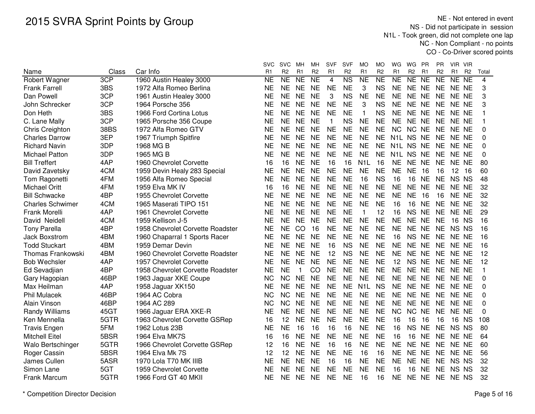NE - Not entered in event NS - Did not participate in session N1L - Took green, did not complete one lap NC - Non Compliant - no pointsCO - Co-Driver scored points

|                          |       |                                  | svc            | <b>SVC</b>     | мн             | MН                  | <b>SVF</b>     | <b>SVF</b>     | МO               | MO             | WG             | WG             | <b>PR</b>      | PR             | VIR VIR        |                |                |
|--------------------------|-------|----------------------------------|----------------|----------------|----------------|---------------------|----------------|----------------|------------------|----------------|----------------|----------------|----------------|----------------|----------------|----------------|----------------|
| Name                     | Class | Car Info                         | R <sub>1</sub> | R <sub>2</sub> | R <sub>1</sub> | R <sub>2</sub>      | R <sub>1</sub> | R <sub>2</sub> | R <sub>1</sub>   | R <sub>2</sub> | R <sub>1</sub> | R <sub>2</sub> | R <sub>1</sub> | R <sub>2</sub> | R <sub>1</sub> | R <sub>2</sub> | Total          |
| <b>Robert Wagner</b>     | 3CP   | 1960 Austin Healey 3000          | <b>NE</b>      | NE             | <b>NE</b>      | $\overline{\sf NE}$ | 4              | N <sub>S</sub> | N <sub>E</sub>   | NE             | <b>NE</b>      | NE NE          |                | NE             | NE NE          |                | $\overline{4}$ |
| <b>Frank Farrell</b>     | 3BS   | 1972 Alfa Romeo Berlina          | <b>NE</b>      | <b>NE</b>      | <b>NE</b>      | <b>NE</b>           | <b>NE</b>      | <b>NE</b>      | 3                | <b>NS</b>      | <b>NE</b>      | NE NE          |                | <b>NE</b>      | NE NE          |                | 3              |
| Dan Powell               | 3CP   | 1961 Austin Healey 3000          | <b>NE</b>      | <b>NE</b>      | <b>NE</b>      | <b>NE</b>           | 3              | <b>NS</b>      | <b>NE</b>        | <b>NE</b>      | <b>NE</b>      | NE NE          |                | <b>NE</b>      | NE NE          |                | 3              |
| John Schrecker           | 3CP   | 1964 Porsche 356                 | <b>NE</b>      | <b>NE</b>      | <b>NE</b>      | <b>NE</b>           | <b>NE</b>      | <b>NE</b>      | 3                | <b>NS</b>      | <b>NE</b>      | NE NE          |                | <b>NE</b>      | NE NE          |                | 3              |
| Don Heth                 | 3BS   | 1966 Ford Cortina Lotus          | <b>NE</b>      | <b>NE</b>      | <b>NE</b>      | <b>NE</b>           | <b>NE</b>      | <b>NE</b>      | $\mathbf{1}$     | <b>NS</b>      | <b>NE</b>      | NE NE          |                | <b>NE</b>      | NE NE          |                | 1              |
| C. Lane Mally            | 3CP   | 1965 Porsche 356 Coupe           | <b>NE</b>      | <b>NE</b>      | <b>NE</b>      | <b>NE</b>           | $\mathbf 1$    | <b>NS</b>      | <b>NE</b>        | <b>NE</b>      | <b>NE</b>      | NE NE          |                | <b>NE</b>      | NE NE          |                |                |
| Chris Creighton          | 38BS  | 1972 Alfa Romeo GTV              | NE             | <b>NE</b>      | <b>NE</b>      | <b>NE</b>           | <b>NE</b>      | <b>NE</b>      | <b>NE</b>        | <b>NE</b>      | <b>NC</b>      | NC NE          |                | <b>NE</b>      | NE NE          |                | 0              |
| <b>Charles Darrow</b>    | 3EP   | 1967 Triumph Spitfire            | ΝE             | <b>NE</b>      | <b>NE</b>      | <b>NE</b>           | <b>NE</b>      | <b>NE</b>      | <b>NE</b>        | <b>NE</b>      | N1L NS NE      |                |                | NE NE NE       |                |                | $\Omega$       |
| <b>Richard Navin</b>     | 3DP   | 1968 MG B                        | ΝE             | <b>NE</b>      | <b>NE</b>      | <b>NE</b>           | <b>NE</b>      | <b>NE</b>      | <b>NE</b>        | <b>NE</b>      | N1L NS NE      |                |                | <b>NE</b>      | NE NE          |                | 0              |
| <b>Michael Patton</b>    | 3DP   | 1965 MG B                        | ΝE             | <b>NE</b>      | <b>NE</b>      | <b>NE</b>           | <b>NE</b>      | <b>NE</b>      | <b>NE</b>        | <b>NE</b>      |                | N1L NS NE      |                | <b>NE</b>      | NE NE          |                | 0              |
| <b>Bill Treffert</b>     | 4AP   | 1960 Chevrolet Corvette          | 16             | 16             | <b>NE</b>      | <b>NE</b>           | 16             | 16             | N <sub>1</sub> L | 16             | <b>NE</b>      | NE NE          |                | <b>NE</b>      | NE NE          |                | 80             |
| David Zavetsky           | 4CM   | 1959 Devin Healy 283 Special     | <b>NE</b>      | <b>NE</b>      | <b>NE</b>      | <b>NE</b>           | <b>NE</b>      | <b>NE</b>      | <b>NE</b>        | <b>NE</b>      | <b>NE</b>      | <b>NE</b>      | 16             | 16             | 12             | - 16           | 60             |
| Tom Ragonetti            | 4FM   | 1956 Alfa Romeo Special          | <b>NE</b>      | <b>NE</b>      | <b>NE</b>      | <b>NE</b>           | <b>NE</b>      | <b>NE</b>      | 16               | <b>NS</b>      | 16             | 16 NE          |                | <b>NE</b>      | NS NS          |                | 48             |
| <b>Michael Oritt</b>     | 4FM   | 1959 Elva MK IV                  | 16             | 16             | <b>NE</b>      | <b>NE</b>           | <b>NE</b>      | <b>NE</b>      | <b>NE</b>        | <b>NE</b>      | <b>NE</b>      | <b>NE</b>      | <b>NE</b>      | <b>NE</b>      | NE NE          |                | 32             |
| <b>Bill Schwacke</b>     | 4BP   | 1955 Chevrolet Corvette          | <b>NE</b>      | <b>NE</b>      | <b>NE</b>      | <b>NE</b>           | <b>NE</b>      | <b>NE</b>      | <b>NE</b>        | <b>NE</b>      | <b>NE</b>      | <b>NE</b>      | 16             | 16             | NE NE          |                | 32             |
| <b>Charles Schwimer</b>  | 4CM   | 1965 Maserati TIPO 151           | NE             | <b>NE</b>      | <b>NE</b>      | <b>NE</b>           | <b>NE</b>      | <b>NE</b>      | <b>NE</b>        | <b>NE</b>      | 16             | 16             | NE             | <b>NE</b>      | NE NE          |                | 32             |
| Frank Morelli            | 4AP   | 1961 Chevrolet Corvette          | <b>NE</b>      | <b>NE</b>      | <b>NE</b>      | <b>NE</b>           | <b>NE</b>      | <b>NE</b>      | $\mathbf{1}$     | 12             | 16             | <b>NS</b>      | <b>NE</b>      | <b>NE</b>      | NE NE          |                | 29             |
| David Neidell            | 4CM   | 1959 Kellison J-5                | <b>NE</b>      | <b>NE</b>      | <b>NE</b>      | <b>NE</b>           | <b>NE</b>      | <b>NE</b>      | <b>NE</b>        | <b>NE</b>      | <b>NE</b>      | <b>NE</b>      | <b>NE</b>      | <b>NE</b>      | 16             | <b>NS</b>      | 16             |
| <b>Tony Parella</b>      | 4BP   | 1958 Chevrolet Corvette Roadster | <b>NE</b>      | <b>NE</b>      | CO             | 16                  | <b>NE</b>      | <b>NE</b>      | <b>NE</b>        | <b>NE</b>      | <b>NE</b>      | NE NE          |                | <b>NE</b>      | NS NS          |                | 16             |
| <b>Jack Boxstrom</b>     | 4BM   | 1960 Chaparral 1 Sports Racer    | <b>NE</b>      | <b>NE</b>      | <b>NE</b>      | <b>NE</b>           | <b>NE</b>      | <b>NE</b>      | <b>NE</b>        | <b>NE</b>      | 16             | <b>NS</b>      | <b>NE</b>      | <b>NE</b>      | NE NE          |                | 16             |
| <b>Todd Stuckart</b>     | 4BM   | 1959 Demar Devin                 | <b>NE</b>      | <b>NE</b>      | <b>NE</b>      | <b>NE</b>           | 16             | <b>NS</b>      | <b>NE</b>        | <b>NE</b>      | <b>NE</b>      | NE NE          |                | <b>NE</b>      | NE NE          |                | 16             |
| <b>Thomas Frankowski</b> | 4BM   | 1960 Chevrolet Corvette Roadster | <b>NE</b>      | <b>NE</b>      | <b>NE</b>      | <b>NE</b>           | 12             | <b>NS</b>      | <b>NE</b>        | <b>NE</b>      | <b>NE</b>      | NE NE          |                | <b>NE</b>      | NE NE          |                | 12             |
| <b>Bob Wechsler</b>      | 4AP   | 1957 Chevrolet Corvette          | <b>NE</b>      | <b>NE</b>      | <b>NE</b>      | <b>NE</b>           | <b>NE</b>      | <b>NE</b>      | <b>NE</b>        | <b>NE</b>      | 12             | NS NE          |                | NE NE NE       |                |                | 12             |
| Ed Sevadjian             | 4BP   | 1958 Chevrolet Corvette Roadster | <b>NE</b>      | <b>NE</b>      | 1              | <b>CO</b>           | <b>NE</b>      | <b>NE</b>      | <b>NE</b>        | <b>NE</b>      | <b>NE</b>      | NE NE          |                | <b>NE</b>      | NE NE          |                | 1              |
| Gary Hagopian            | 46BP  | 1963 Jaguar XKE Coupe            | <b>NC</b>      | <b>NC</b>      | <b>NE</b>      | <b>NE</b>           | <b>NE</b>      | <b>NE</b>      | <b>NE</b>        | <b>NE</b>      | <b>NE</b>      | NE NE          |                | <b>NE</b>      | NE NE          |                | 0              |
| Max Heilman              | 4AP   | 1958 Jaguar XK150                | <b>NE</b>      | <b>NE</b>      | <b>NE</b>      | <b>NE</b>           | <b>NE</b>      | <b>NE</b>      | N <sub>1</sub> L | <b>NS</b>      | <b>NE</b>      | NE NE          |                | NE.            | NE NE          |                | 0              |
| <b>Phil Mulacek</b>      | 46BP  | 1964 AC Cobra                    | <b>NC</b>      | <b>NC</b>      | <b>NE</b>      | <b>NE</b>           | <b>NE</b>      | <b>NE</b>      | <b>NE</b>        | <b>NE</b>      | <b>NE</b>      | NE NE          |                | <b>NE</b>      | NE NE          |                | 0              |
| Alain Vinson             | 46BP  | 1964 AC 289                      | <b>NC</b>      | <b>NC</b>      | <b>NE</b>      | <b>NE</b>           | <b>NE</b>      | <b>NE</b>      | <b>NE</b>        | <b>NE</b>      | <b>NE</b>      | NE NE          |                | <b>NE</b>      | NE NE          |                | 0              |
| Randy Williams           | 45GT  | 1966 Jaguar ERA XKE-R            | <b>NE</b>      | <b>NE</b>      | <b>NE</b>      | <b>NE</b>           | <b>NE</b>      | <b>NE</b>      | <b>NE</b>        | <b>NE</b>      | <b>NC</b>      | NC NE          |                | <b>NE</b>      | NE NE          |                | 0              |
| Ken Mennella             | 5GTR  | 1963 Chevrolet Corvette GSRep    | 16             | 12             | <b>NE</b>      | <b>NE</b>           | <b>NE</b>      | <b>NE</b>      | <b>NE</b>        | <b>NE</b>      | 16             | 16             | 16             | 16             | 16             | <b>NS</b>      | 108            |
| <b>Travis Engen</b>      | 5FM   | 1962 Lotus 23B                   | <b>NE</b>      | <b>NE</b>      | 16             | 16                  | 16             | 16             | <b>NE</b>        | <b>NE</b>      | 16             | <b>NS</b>      | <b>NE</b>      | <b>NE</b>      | NS NS          |                | 80             |
| <b>Mitchell Eitel</b>    | 5BSR  | 1964 Elva MK7S                   | 16             | 16             | <b>NE</b>      | <b>NE</b>           | <b>NE</b>      | <b>NE</b>      | <b>NE</b>        | <b>NE</b>      | 16             | 16             | <b>NE</b>      | <b>NE</b>      | NE NE          |                | 64             |
| Walo Bertschinger        | 5GTR  | 1966 Chevrolet Corvette GSRep    | 12             | 16             | <b>NE</b>      | <b>NE</b>           | 16             | 16             | <b>NE</b>        | <b>NE</b>      | <b>NE</b>      | <b>NE</b>      | <b>NE</b>      | <b>NE</b>      | NE NE          |                | 60             |
| Roger Cassin             | 5BSR  | 1964 Elva Mk 7S                  | 12             | 12             | <b>NE</b>      | <b>NE</b>           | <b>NE</b>      | <b>NE</b>      | 16               | 16             | <b>NE</b>      | <b>NE</b>      | <b>NE</b>      | <b>NE</b>      | NE NE          |                | 56             |
| James Cullen             | 5ASR  | 1970 Lola T70 MK IIIB            | <b>NE</b>      | <b>NE</b>      | <b>NE</b>      | <b>NE</b>           | 16             | 16             | <b>NE</b>        | <b>NE</b>      | <b>NE</b>      | NE NE          |                | <b>NE</b>      | NS NS          |                | 32             |
| Simon Lane               | 5GT   | 1959 Chevrolet Corvette          | <b>NE</b>      | <b>NE</b>      | <b>NE</b>      | <b>NE</b>           | <b>NE</b>      | <b>NE</b>      | <b>NE</b>        | <b>NE</b>      | 16             | 16             | <b>NE</b>      | <b>NE</b>      | NS NS          |                | 32             |
| Frank Marcum             | 5GTR  | 1966 Ford GT 40 MKII             | <b>NE</b>      | <b>NE</b>      | <b>NE</b>      | <b>NE</b>           | <b>NE</b>      | <b>NE</b>      | 16               | 16             | <b>NE</b>      | NE NE          |                | <b>NE</b>      | NE NS          |                | 32             |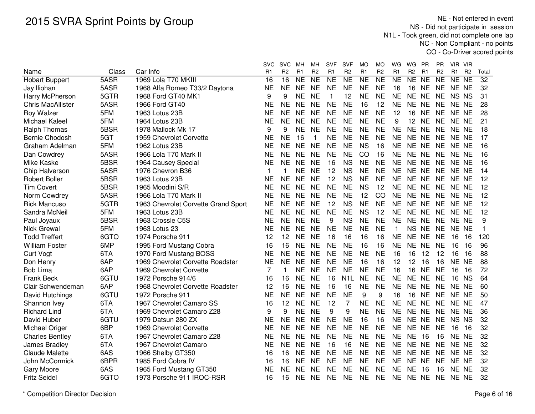NE - Not entered in event NS - Did not participate in session N1L - Took green, did not complete one lap NC - Non Compliant - no pointsCO - Co-Driver scored points

|                          |       |                                     | svc            | <b>SVC</b>     | MН             | мн                  | SVF            | <b>SVF</b>       | МO                  | MO                     | WG        | WG<br><b>PR</b>                  |           | ΡR             | VIR VIR         |                |                 |
|--------------------------|-------|-------------------------------------|----------------|----------------|----------------|---------------------|----------------|------------------|---------------------|------------------------|-----------|----------------------------------|-----------|----------------|-----------------|----------------|-----------------|
| Name                     | Class | Car Info                            | R <sub>1</sub> | R <sub>2</sub> | R <sub>1</sub> | R <sub>2</sub>      | R <sub>1</sub> | R <sub>2</sub>   | R <sub>1</sub>      | R <sub>2</sub>         | R1        | R <sub>2</sub><br>R <sub>1</sub> |           | R <sub>2</sub> | R1              | R <sub>2</sub> | Total           |
| <b>Hobart Buppert</b>    | 5ASR  | 1969 Lola T70 MKIII                 | 16             | 16             | <b>NE</b>      | $\overline{\sf NE}$ | <b>NE</b>      | <b>NE</b>        | $\overline{\sf NE}$ | $\overline{\text{NE}}$ | <b>NE</b> | NE<br><b>NE</b>                  |           | <b>NE</b>      | NE NE           |                | $\overline{32}$ |
| Jay Iliohan              | 5ASR  | 1968 Alfa Romeo T33/2 Daytona       | <b>NE</b>      | <b>NE</b>      | <b>NE</b>      | <b>NE</b>           | <b>NE</b>      | <b>NE</b>        | <b>NE</b>           | <b>NE</b>              | 16        | 16<br><b>NE</b>                  |           | <b>NE</b>      | NE NE           |                | 32              |
| Harry McPherson          | 5GTR  | 1968 Ford GT40 MK1                  | 9              | 9              | <b>NE</b>      | <b>NE</b>           | 1              | 12               | <b>NE</b>           | <b>NE</b>              | <b>NE</b> | <b>NE</b>                        | <b>NE</b> | <b>NE</b>      | NS NS           |                | 31              |
| <b>Chris MacAllister</b> | 5ASR  | 1966 Ford GT40                      | <b>NE</b>      | <b>NE</b>      | <b>NE</b>      | <b>NE</b>           | <b>NE</b>      | <b>NE</b>        | 16                  | 12                     | <b>NE</b> | <b>NE</b><br><b>NE</b>           |           | <b>NE</b>      | NE NE           |                | 28              |
| Roy Walzer               | 5FM   | 1963 Lotus 23B                      | <b>NE</b>      | <b>NE</b>      | <b>NE</b>      | <b>NE</b>           | <b>NE</b>      | <b>NE</b>        | <b>NE</b>           | <b>NE</b>              | 12        | 16<br><b>NE</b>                  |           | <b>NE</b>      | NE NE           |                | 28              |
| Michael Kaleel           | 5FM   | 1964 Lotus 23B                      | <b>NE</b>      | <b>NE</b>      | <b>NE</b>      | <b>NE</b>           | <b>NE</b>      | <b>NE</b>        | <b>NE</b>           | <b>NE</b>              | 9         | 12 NE                            |           | <b>NE</b>      | NE NE           |                | 21              |
| <b>Ralph Thomas</b>      | 5BSR  | 1978 Mallock Mk 17                  | 9              | 9              | <b>NE</b>      | <b>NE</b>           | <b>NE</b>      | <b>NE</b>        | <b>NE</b>           | <b>NE</b>              | <b>NE</b> | NE NE                            |           | <b>NE</b>      | NE NE           |                | 18              |
| Bernie Chodosh           | 5GT   | 1959 Chevrolet Corvette             | <b>NE</b>      | <b>NE</b>      | 16             | $\mathbf 1$         | <b>NE</b>      | <b>NE</b>        | <b>NE</b>           | <b>NE</b>              | <b>NE</b> | NE NE                            |           | <b>NE</b>      | NE NE           |                | 17              |
| Graham Adelman           | 5FM   | 1962 Lotus 23B                      | <b>NE</b>      | <b>NE</b>      | <b>NE</b>      | <b>NE</b>           | <b>NE</b>      | <b>NE</b>        | <b>NS</b>           | 16                     | <b>NE</b> | <b>NE</b><br><b>NE</b>           |           | <b>NE</b>      | NE NE           |                | 16              |
| Dan Cowdrey              | 5ASR  | 1966 Lola T70 Mark II               | <b>NE</b>      | <b>NE</b>      | <b>NE</b>      | <b>NE</b>           | <b>NE</b>      | <b>NE</b>        | CO                  | 16                     | <b>NE</b> | NE NE                            |           | <b>NE</b>      | NE NE           |                | 16              |
| Mike Kaske               | 5BSR  | 1964 Causey Special                 | NE             | <b>NE</b>      | <b>NE</b>      | <b>NE</b>           | 16             | <b>NS</b>        | <b>NE</b>           | <b>NE</b>              | <b>NE</b> | NE NE                            |           | <b>NE</b>      | NE NE           |                | 16              |
| Chip Halverson           | 5ASR  | 1976 Chevron B36                    | 1              | 1              | <b>NE</b>      | <b>NE</b>           | 12             | <b>NS</b>        | <b>NE</b>           | <b>NE</b>              | <b>NE</b> | <b>NE</b><br><b>NE</b>           |           | <b>NE</b>      | NE NE           |                | 14              |
| <b>Robert Boller</b>     | 5BSR  | 1963 Lotus 23B                      | <b>NE</b>      | <b>NE</b>      | <b>NE</b>      | <b>NE</b>           | 12             | <b>NS</b>        | <b>NE</b>           | <b>NE</b>              | <b>NE</b> | NE NE                            |           | <b>NE</b>      | NE NE           |                | 12              |
| <b>Tim Covert</b>        | 5BSR  | 1965 Moodini S/R                    | <b>NE</b>      | <b>NE</b>      | <b>NE</b>      | <b>NE</b>           | <b>NE</b>      | <b>NE</b>        | <b>NS</b>           | 12                     | <b>NE</b> | NE NE                            |           | <b>NE</b>      | NE NE           |                | 12              |
| Norm Cowdrey             | 5ASR  | 1966 Lola T70 Mark II               | <b>NE</b>      | <b>NE</b>      | <b>NE</b>      | <b>NE</b>           | <b>NE</b>      | <b>NE</b>        | 12                  | CO                     | <b>NE</b> | <b>NE</b><br><b>NE</b>           |           | <b>NE</b>      | NE NE           |                | 12              |
| <b>Rick Mancuso</b>      | 5GTR  | 1963 Chevrolet Corvette Grand Sport | <b>NE</b>      | <b>NE</b>      | <b>NE</b>      | <b>NE</b>           | 12             | <b>NS</b>        | <b>NE</b>           | <b>NE</b>              | <b>NE</b> | <b>NE</b>                        | <b>NE</b> | <b>NE</b>      | NE NE           |                | 12              |
| Sandra McNeil            | 5FM   | 1963 Lotus 23B                      | <b>NE</b>      | <b>NE</b>      | <b>NE</b>      | <b>NE</b>           | <b>NE</b>      | <b>NE</b>        | <b>NS</b>           | 12                     | <b>NE</b> | <b>NE</b>                        | <b>NE</b> | <b>NE</b>      | NE NE           |                | 12              |
| Paul Joyaux              | 5BSR  | 1963 Crossle C5S                    | <b>NE</b>      | <b>NE</b>      | <b>NE</b>      | <b>NE</b>           | 9              | <b>NS</b>        | <b>NE</b>           | <b>NE</b>              | <b>NE</b> | <b>NE</b><br><b>NE</b>           |           | <b>NE</b>      | NE NE           |                | 9               |
| <b>Nick Grewal</b>       | 5FM   | 1963 Lotus 23                       | <b>NE</b>      | <b>NE</b>      | <b>NE</b>      | <b>NE</b>           | <b>NE</b>      | <b>NE</b>        | <b>NE</b>           | <b>NE</b>              | 1         | <b>NS</b><br><b>NE</b>           |           | <b>NE</b>      | NE NE           |                | $\mathbf{1}$    |
| <b>Todd Treffert</b>     | 6GTO  | 1974 Porsche 911                    | 12             | 12             | <b>NE</b>      | <b>NE</b>           | 16             | 16               | 16                  | 16                     | <b>NE</b> | NE NE                            |           | <b>NE</b>      | 16<br>16        |                | 120             |
| <b>William Foster</b>    | 6MP   | 1995 Ford Mustang Cobra             | 16             | 16             | <b>NE</b>      | <b>NE</b>           | <b>NE</b>      | <b>NE</b>        | 16                  | 16                     | <b>NE</b> | NE NE                            |           | <b>NE</b>      | 16<br>16        |                | 96              |
| <b>Curt Vogt</b>         | 6TA   | 1970 Ford Mustang BOSS              | <b>NE</b>      | <b>NE</b>      | <b>NE</b>      | <b>NE</b>           | <b>NE</b>      | <b>NE</b>        | <b>NE</b>           | <b>NE</b>              | 16        | 16                               | 12        | 12             | 16<br>16        |                | 88              |
| Don Henry                | 6AP   | 1969 Chevrolet Corvette Roadster    | <b>NE</b>      | <b>NE</b>      | <b>NE</b>      | <b>NE</b>           | <b>NE</b>      | <b>NE</b>        | 16                  | 16                     | 12        | 12                               | 16        | 16             | NE NE           |                | 88              |
| Bob Lima                 | 6AP   | 1969 Chevrolet Corvette             | 7              | 1              | <b>NE</b>      | <b>NE</b>           | <b>NE</b>      | <b>NE</b>        | <b>NE</b>           | <b>NE</b>              | 16        | 16<br><b>NE</b>                  |           | <b>NE</b>      | 16<br>16        |                | 72              |
| Frank Beck               | 6GTU  | 1972 Porsche 914/6                  | 16             | 16             | <b>NE</b>      | <b>NE</b>           | 16             | N <sub>1</sub> L | <b>NE</b>           | <b>NE</b>              | <b>NE</b> | <b>NE</b><br><b>NE</b>           |           | <b>NE</b>      | <b>NS</b><br>16 |                | 64              |
| Clair Schwendeman        | 6AP   | 1968 Chevrolet Corvette Roadster    | 12             | 16             | <b>NE</b>      | <b>NE</b>           | 16             | 16               | <b>NE</b>           | <b>NE</b>              | <b>NE</b> | <b>NE</b><br><b>NE</b>           |           | <b>NE</b>      | NE NE           |                | 60              |
| David Hutchings          | 6GTU  | 1972 Porsche 911                    | <b>NE</b>      | <b>NE</b>      | <b>NE</b>      | <b>NE</b>           | <b>NE</b>      | <b>NE</b>        | 9                   | 9                      | 16        | 16<br><b>NE</b>                  |           | <b>NE</b>      | NE NE           |                | 50              |
| Shannon Ivey             | 6TA   | 1967 Chevrolet Camaro SS            | 16             | 12             | <b>NE</b>      | <b>NE</b>           | 12             | $\overline{7}$   | <b>NE</b>           | <b>NE</b>              | <b>NE</b> | <b>NE</b><br><b>NE</b>           |           | <b>NE</b>      | NE NE           |                | 47              |
| <b>Richard Lind</b>      | 6TA   | 1969 Chevrolet Camaro Z28           | 9              | 9              | <b>NE</b>      | <b>NE</b>           | 9              | 9                | <b>NE</b>           | <b>NE</b>              | <b>NE</b> | <b>NE</b><br><b>NE</b>           |           | <b>NE</b>      | NE NE           |                | 36              |
| David Huber              | 6GTU  | 1979 Datsun 280 ZX                  | <b>NE</b>      | <b>NE</b>      | <b>NE</b>      | <b>NE</b>           | <b>NE</b>      | <b>NE</b>        | 16                  | 16                     | <b>NE</b> | <b>NE</b>                        | <b>NE</b> | <b>NE</b>      | NS NS           |                | 32              |
| Michael Origer           | 6BP   | 1969 Chevrolet Corvette             | <b>NE</b>      | <b>NE</b>      | <b>NE</b>      | <b>NE</b>           | <b>NE</b>      | <b>NE</b>        | <b>NE</b>           | <b>NE</b>              | <b>NE</b> | <b>NE</b><br><b>NE</b>           |           | <b>NE</b>      | 16<br>16        |                | 32              |
| <b>Charles Bentley</b>   | 6TA   | 1967 Chevrolet Camaro Z28           | <b>NE</b>      | <b>NE</b>      | <b>NE</b>      | <b>NE</b>           | <b>NE</b>      | <b>NE</b>        | <b>NE</b>           | <b>NE</b>              | <b>NE</b> | <b>NE</b>                        | 16        | 16             | NE NE           |                | 32              |
| James Bradley            | 6TA   | 1967 Chevrolet Camaro               | <b>NE</b>      | <b>NE</b>      | <b>NE</b>      | <b>NE</b>           | 16             | 16               | <b>NE</b>           | <b>NE</b>              | <b>NE</b> | NE NE                            |           | <b>NE</b>      | NE NE           |                | 32              |
| <b>Claude Malette</b>    | 6AS   | 1966 Shelby GT350                   | 16             | 16             | <b>NE</b>      | <b>NE</b>           | <b>NE</b>      | <b>NE</b>        | <b>NE</b>           | <b>NE</b>              | <b>NE</b> | NE NE                            |           | <b>NE</b>      | NE NE           |                | 32              |
| John McCormick           | 6BPR  | 1985 Ford Cobra IV                  | 16             | 16             | NE             | <b>NE</b>           | <b>NE</b>      | <b>NE</b>        | <b>NE</b>           | NE                     | NE        | NE NE                            |           | NE             | NE NE           |                | 32              |
| <b>Gary Moore</b>        | 6AS   | 1965 Ford Mustang GT350             | ΝE             | <b>NE</b>      | <b>NE</b>      | <b>NE</b>           | <b>NE</b>      | <b>NE</b>        | <b>NE</b>           | <b>NE</b>              | <b>NE</b> | <b>NE</b><br>16                  |           | 16             | NE NE           |                | 32              |
| <b>Fritz Seidel</b>      | 6GTO  | 1973 Porsche 911 IROC-RSR           | 16             | 16             | NE             | <b>NE</b>           | <b>NE</b>      | <b>NE</b>        | <b>NE</b>           | <b>NE</b>              | <b>NE</b> | NE NE                            |           |                | NE NE NE        |                | 32              |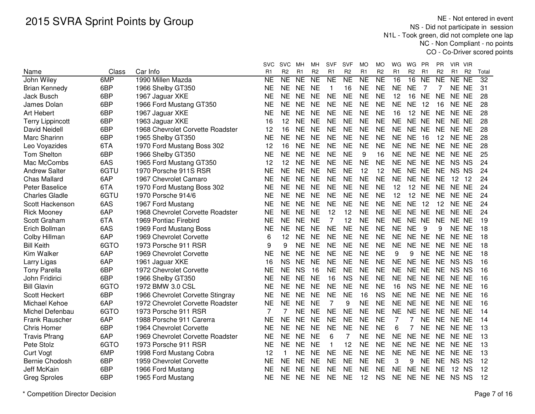NE - Not entered in event NS - Did not participate in session N1L - Took green, did not complete one lap NC - Non Compliant - no pointsCO - Co-Driver scored points

|                         |       |                                  | SVC       | <b>SVC</b>     | MН        | MН             | <b>SVF</b>     | <b>SVF</b>     | МO        | МO             | WG             | WG              | <b>PR</b>      | PR             | VIR VIR         |                |       |
|-------------------------|-------|----------------------------------|-----------|----------------|-----------|----------------|----------------|----------------|-----------|----------------|----------------|-----------------|----------------|----------------|-----------------|----------------|-------|
| Name                    | Class | Car Info                         | R1        | R <sub>2</sub> | R1        | R <sub>2</sub> | R1             | R <sub>2</sub> | R1        | R <sub>2</sub> | R <sub>1</sub> | R <sub>2</sub>  | R <sub>1</sub> | R <sub>2</sub> | R1              | R <sub>2</sub> | Total |
| John Wiley              | 6MP   | 1990 Millen Mazda                | <b>NE</b> | <b>NE</b>      | <b>NE</b> | <b>NE</b>      | <b>NE</b>      | <b>NE</b>      | <b>NE</b> | <b>NE</b>      | 16             | 16              | <b>NE</b>      | <b>NE</b>      | NE NE           |                | 32    |
| <b>Brian Kennedy</b>    | 6BP   | 1966 Shelby GT350                | <b>NE</b> | <b>NE</b>      | <b>NE</b> | <b>NE</b>      | $\mathbf{1}$   | 16             | <b>NE</b> | <b>NE</b>      | <b>NE</b>      | <b>NE</b>       | -7             | 7              | NE NE           |                | 31    |
| <b>Jack Busch</b>       | 6BP   | 1967 Jaguar XKE                  | <b>NE</b> | <b>NE</b>      | <b>NE</b> | <b>NE</b>      | <b>NE</b>      | <b>NE</b>      | <b>NE</b> | <b>NE</b>      | 12             | 16              | <b>NE</b>      | <b>NE</b>      | NE NE           |                | 28    |
| James Dolan             | 6BP   | 1966 Ford Mustang GT350          | <b>NE</b> | <b>NE</b>      | <b>NE</b> | <b>NE</b>      | <b>NE</b>      | <b>NE</b>      | <b>NE</b> | <b>NE</b>      | <b>NE</b>      | <b>NE</b>       | 12             | 16             | NE NE           |                | 28    |
| <b>Art Hebert</b>       | 6BP   | 1967 Jaguar XKE                  | <b>NE</b> | <b>NE</b>      | <b>NE</b> | <b>NE</b>      | <b>NE</b>      | <b>NE</b>      | <b>NE</b> | <b>NE</b>      | 16             | 12 <sup>°</sup> | <b>NE</b>      | <b>NE</b>      | NE NE           |                | 28    |
| <b>Terry Lippincott</b> | 6BP   | 1963 Jaguar XKE                  | 16        | 12             | <b>NE</b> | <b>NE</b>      | <b>NE</b>      | <b>NE</b>      | <b>NE</b> | <b>NE</b>      | <b>NE</b>      | NE NE           |                | <b>NE</b>      | NE NE           |                | 28    |
| David Neidell           | 6BP   | 1968 Chevrolet Corvette Roadster | 12        | 16             | <b>NE</b> | <b>NE</b>      | <b>NE</b>      | <b>NE</b>      | <b>NE</b> | <b>NE</b>      | <b>NE</b>      | NE NE           |                | <b>NE</b>      | NE NE           |                | 28    |
| Marc Sharinn            | 6BP   | 1965 Shelby GT350                | <b>NE</b> | <b>NE</b>      | <b>NE</b> | <b>NE</b>      | <b>NE</b>      | <b>NE</b>      | <b>NE</b> | <b>NE</b>      | <b>NE</b>      | <b>NE</b>       | 16             | 12             | NE NE           |                | 28    |
| Leo Voyazides           | 6TA   | 1970 Ford Mustang Boss 302       | 12        | 16             | <b>NE</b> | <b>NE</b>      | <b>NE</b>      | <b>NE</b>      | <b>NE</b> | <b>NE</b>      | <b>NE</b>      | NE NE           |                | <b>NE</b>      | NE NE           |                | 28    |
| <b>Tom Shelton</b>      | 6BP   | 1966 Shelby GT350                | <b>NE</b> | <b>NE</b>      | <b>NE</b> | <b>NE</b>      | <b>NE</b>      | <b>NE</b>      | 9         | 16             | <b>NE</b>      | NE NE           |                | <b>NE</b>      | NE NE           |                | 25    |
| Mac McCombs             | 6AS   | 1965 Ford Mustang GT350          | 12        | 12             | <b>NE</b> | <b>NE</b>      | <b>NE</b>      | <b>NE</b>      | <b>NE</b> | <b>NE</b>      | <b>NE</b>      | NE NE           |                | <b>NE</b>      | NS NS           |                | 24    |
| <b>Andrew Salter</b>    | 6GTU  | 1970 Porsche 911S RSR            | <b>NE</b> | <b>NE</b>      | <b>NE</b> | <b>NE</b>      | <b>NE</b>      | <b>NE</b>      | 12        | 12             | <b>NE</b>      | NE NE           |                | <b>NE</b>      | NS NS           |                | 24    |
| <b>Chas Mallard</b>     | 6AP   | 1967 Chevrolet Camaro            | <b>NE</b> | <b>NE</b>      | <b>NE</b> | <b>NE</b>      | <b>NE</b>      | <b>NE</b>      | <b>NE</b> | <b>NE</b>      | <b>NE</b>      | NE NE           |                | <b>NE</b>      | 12 <sup>2</sup> | -12            | 24    |
| <b>Peter Baselice</b>   | 6TA   | 1970 Ford Mustang Boss 302       | <b>NE</b> | <b>NE</b>      | <b>NE</b> | <b>NE</b>      | <b>NE</b>      | <b>NE</b>      | <b>NE</b> | <b>NE</b>      | 12             | 12 <sup>°</sup> | <b>NE</b>      | <b>NE</b>      | NE NE           |                | 24    |
| <b>Charles Gladle</b>   | 6GTU  | 1970 Porsche 914/6               | <b>NE</b> | <b>NE</b>      | <b>NE</b> | <b>NE</b>      | <b>NE</b>      | <b>NE</b>      | <b>NE</b> | <b>NE</b>      | 12             | 12              | <b>NE</b>      | <b>NE</b>      | NE NE           |                | 24    |
| Scott Hackenson         | 6AS   | 1967 Ford Mustang                | <b>NE</b> | <b>NE</b>      | <b>NE</b> | <b>NE</b>      | <b>NE</b>      | <b>NE</b>      | <b>NE</b> | <b>NE</b>      | <b>NE</b>      | <b>NE</b>       | 12             | 12             | NE NE           |                | 24    |
| <b>Rick Mooney</b>      | 6AP   | 1968 Chevrolet Corvette Roadster | <b>NE</b> | <b>NE</b>      | <b>NE</b> | <b>NE</b>      | 12             | 12             | <b>NE</b> | <b>NE</b>      | <b>NE</b>      | NE NE           |                | <b>NE</b>      | NE NE           |                | 24    |
| Scott Graham            | 6TA   | 1969 Pontiac Firebird            | <b>NE</b> | <b>NE</b>      | <b>NE</b> | <b>NE</b>      | $\overline{7}$ | 12             | <b>NE</b> | <b>NE</b>      | <b>NE</b>      | NE NE           |                | <b>NE</b>      | NE NE           |                | 19    |
| Erich Bollman           | 6AS   | 1969 Ford Mustang Boss           | <b>NE</b> | <b>NE</b>      | <b>NE</b> | <b>NE</b>      | <b>NE</b>      | <b>NE</b>      | <b>NE</b> | <b>NE</b>      | <b>NE</b>      | <b>NE</b>       | 9              | 9              | NE NE           |                | 18    |
| Colby Hillman           | 6AP   | 1969 Chevrolet Corvette          | 6         | 12             | <b>NE</b> | <b>NE</b>      | <b>NE</b>      | <b>NE</b>      | <b>NE</b> | <b>NE</b>      | <b>NE</b>      | NE NE           |                | <b>NE</b>      | NE NE           |                | 18    |
| <b>Bill Keith</b>       | 6GTO  | 1973 Porsche 911 RSR             | 9         | 9              | <b>NE</b> | <b>NE</b>      | <b>NE</b>      | <b>NE</b>      | <b>NE</b> | <b>NE</b>      | <b>NE</b>      | NE NE           |                | <b>NE</b>      | NE NE           |                | 18    |
| Kim Walker              | 6AP   | 1969 Chevrolet Corvette          | NE        | <b>NE</b>      | <b>NE</b> | <b>NE</b>      | <b>NE</b>      | <b>NE</b>      | <b>NE</b> | <b>NE</b>      | 9              | 9               | <b>NE</b>      | <b>NE</b>      | NE NE           |                | 18    |
| Larry Ligas             | 6AP   | 1961 Jaguar XKE                  | 16        | <b>NS</b>      | <b>NE</b> | <b>NE</b>      | <b>NE</b>      | <b>NE</b>      | <b>NE</b> | <b>NE</b>      | <b>NE</b>      | NE NE           |                | <b>NE</b>      | NS NS           |                | 16    |
| <b>Tony Parella</b>     | 6BP   | 1972 Chevrolet Corvette          | <b>NE</b> | <b>NE</b>      | <b>NS</b> | 16             | <b>NE</b>      | <b>NE</b>      | <b>NE</b> | <b>NE</b>      | <b>NE</b>      | NE NE           |                | <b>NE</b>      | NS NS           |                | 16    |
| John Fridirici          | 6BP   | 1966 Shelby GT350                | <b>NE</b> | <b>NE</b>      | <b>NE</b> | <b>NE</b>      | 16             | <b>NS</b>      | <b>NE</b> | <b>NE</b>      | <b>NE</b>      | NE NE           |                | <b>NE</b>      | NE NE           |                | 16    |
| <b>Bill Glavin</b>      | 6GTO  | 1972 BMW 3.0 CSL                 | <b>NE</b> | <b>NE</b>      | <b>NE</b> | <b>NE</b>      | <b>NE</b>      | <b>NE</b>      | <b>NE</b> | <b>NE</b>      | 16             | NS NE           |                | <b>NE</b>      | NE NE           |                | 16    |
| Scott Heckert           | 6BP   | 1966 Chevrolet Corvette Stingray | <b>NE</b> | <b>NE</b>      | <b>NE</b> | <b>NE</b>      | <b>NE</b>      | <b>NE</b>      | 16        | <b>NS</b>      | <b>NE</b>      | NE NE           |                | <b>NE</b>      | NE NE           |                | 16    |
| Michael Kehoe           | 6AP   | 1972 Chevrolet Corvette Roadster | <b>NE</b> | <b>NE</b>      | <b>NE</b> | <b>NE</b>      | 7              | 9              | <b>NE</b> | <b>NE</b>      | <b>NE</b>      | NE NE           |                | <b>NE</b>      | NE NE           |                | 16    |
| Michel Defenbau         | 6GTO  | 1973 Porsche 911 RSR             | 7         | 7              | <b>NE</b> | <b>NE</b>      | <b>NE</b>      | <b>NE</b>      | <b>NE</b> | <b>NE</b>      | <b>NE</b>      | NE NE           |                | <b>NE</b>      | NE NE           |                | 14    |
| Frank Rauscher          | 6AP   | 1988 Porsche 911 Carerra         | <b>NE</b> | <b>NE</b>      | <b>NE</b> | <b>NE</b>      | <b>NE</b>      | <b>NE</b>      | <b>NE</b> | <b>NE</b>      | $\overline{7}$ | 7               | <b>NE</b>      | <b>NE</b>      | NE NE           |                | 14    |
| <b>Chris Homer</b>      | 6BP   | 1964 Chevrolet Corvette          | <b>NE</b> | <b>NE</b>      | <b>NE</b> | <b>NE</b>      | <b>NE</b>      | <b>NE</b>      | <b>NE</b> | <b>NE</b>      | 6              | 7               | <b>NE</b>      | <b>NE</b>      | NE NE           |                | 13    |
| <b>Travis Pfrang</b>    | 6AP   | 1969 Chevrolet Corvette Roadster | <b>NE</b> | <b>NE</b>      | <b>NE</b> | <b>NE</b>      | 6              | 7              | <b>NE</b> | <b>NE</b>      | <b>NE</b>      | NE NE           |                | <b>NE</b>      | NE NE           |                | 13    |
| Pete Stolz              | 6GTO  | 1973 Porsche 911 RSR             | <b>NE</b> | <b>NE</b>      | <b>NE</b> | <b>NE</b>      | $\mathbf{1}$   | 12             | <b>NE</b> | <b>NE</b>      | <b>NE</b>      | NE NE           |                | <b>NE</b>      | NE NE           |                | 13    |
| <b>Curt Vogt</b>        | 6MP   | 1998 Ford Mustang Cobra          | 12        | $\mathbf{1}$   | <b>NE</b> | <b>NE</b>      | <b>NE</b>      | <b>NE</b>      | <b>NE</b> | <b>NE</b>      | <b>NE</b>      | NE NE           |                | <b>NE</b>      | NE NE           |                | 13    |
| <b>Bernie Chodosh</b>   | 6BP   | 1959 Chevrolet Corvette          | NE        | <b>NE</b>      | <b>NE</b> | <b>NE</b>      | <b>NE</b>      | <b>NE</b>      | <b>NE</b> | <b>NE</b>      | 3              | 9               | <b>NE</b>      | <b>NE</b>      | NS NS           |                | 12    |
| Jeff McKain             | 6BP   | 1966 Ford Mustang                | NE        | <b>NE</b>      | <b>NE</b> | <b>NE</b>      | <b>NE</b>      | NE             | NE        | <b>NE</b>      | <b>NE</b>      | NE NE           |                | <b>NE</b>      | 12 NS           |                | 12    |
| <b>Greg Sproles</b>     | 6BP   | 1965 Ford Mustang                | <b>NE</b> | NE             | <b>NE</b> | <b>NE</b>      | <b>NE</b>      | <b>NE</b>      | 12        | <b>NS</b>      | <b>NE</b>      | NE NE           |                | <b>NE</b>      | NS NS           |                | 12    |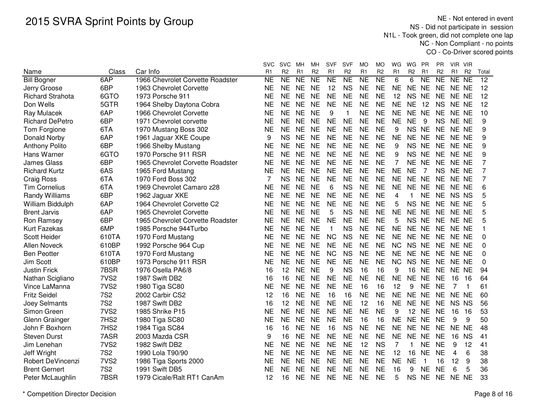NE - Not entered in event NS - Did not participate in session N1L - Took green, did not complete one lap NC - Non Compliant - no pointsCO - Co-Driver scored points

|                          |                  |                                  | <b>SVC</b> | <b>SVC</b>     | MН             | MН              | <b>SVF</b>     | <b>SVF</b>     | MO             | MO              | WG             | WG.            | <b>PR</b>      | ΡR             | VIR VIR        |                |                 |
|--------------------------|------------------|----------------------------------|------------|----------------|----------------|-----------------|----------------|----------------|----------------|-----------------|----------------|----------------|----------------|----------------|----------------|----------------|-----------------|
| Name                     | Class            | Car Info                         | R1         | R <sub>2</sub> | R <sub>1</sub> | R <sub>2</sub>  | R <sub>1</sub> | R <sub>2</sub> | R <sub>1</sub> | R <sub>2</sub>  | R <sub>1</sub> | R <sub>2</sub> | R <sub>1</sub> | R <sub>2</sub> | R <sub>1</sub> | R <sub>2</sub> | Total           |
| <b>Bill Bogner</b>       | 6AP              | 1966 Chevrolet Corvette Roadster | NE         | NE             | N <sub>E</sub> | $\overline{NE}$ | <b>NE</b>      | <b>NE</b>      | NE             | $\overline{NE}$ | 6              | 6              | N <sub>E</sub> | <b>NE</b>      | NE NE          |                | $\overline{12}$ |
| Jerry Groose             | 6BP              | 1963 Chevrolet Corvette          | <b>NE</b>  | <b>NE</b>      | <b>NE</b>      | <b>NE</b>       | 12             | <b>NS</b>      | <b>NE</b>      | <b>NE</b>       | <b>NE</b>      | <b>NE</b>      | <b>NE</b>      | <b>NE</b>      | NE NE          |                | 12              |
| <b>Richard Strahota</b>  | 6GTO             | 1973 Porsche 911                 | <b>NE</b>  | <b>NE</b>      | <b>NE</b>      | <b>NE</b>       | <b>NE</b>      | <b>NE</b>      | <b>NE</b>      | <b>NE</b>       | 12             | <b>NS</b>      | <b>NE</b>      | <b>NE</b>      | NE NE          |                | 12              |
| Don Wells                | 5GTR             | 1964 Shelby Daytona Cobra        | <b>NE</b>  | <b>NE</b>      | <b>NE</b>      | <b>NE</b>       | <b>NE</b>      | <b>NE</b>      | <b>NE</b>      | <b>NE</b>       | <b>NE</b>      | <b>NE</b>      | 12             | <b>NS</b>      | NE NE          |                | 12              |
| Ray Mulacek              | 6AP              | 1966 Chevrolet Corvette          | <b>NE</b>  | <b>NE</b>      | <b>NE</b>      | <b>NE</b>       | 9              | 1              | <b>NE</b>      | <b>NE</b>       | <b>NE</b>      | NE NE          |                | <b>NE</b>      | NE NE          |                | 10              |
| <b>Richard DePetro</b>   | 6BP              | 1971 Chevrolet corvette          | <b>NE</b>  | <b>NE</b>      | <b>NE</b>      | <b>NE</b>       | <b>NE</b>      | <b>NE</b>      | <b>NE</b>      | <b>NE</b>       | <b>NE</b>      | <b>NE</b>      | 9              | <b>NS</b>      | NE NE          |                | 9               |
| Tom Forgione             | 6TA              | 1970 Mustang Boss 302            | <b>NE</b>  | <b>NE</b>      | <b>NE</b>      | <b>NE</b>       | <b>NE</b>      | <b>NE</b>      | <b>NE</b>      | <b>NE</b>       | 9              | NS NE          |                | <b>NE</b>      | NE NE          |                | 9               |
| Donald Norby             | 6AP              | 1961 Jaguar XKE Coupe            | 9          | <b>NS</b>      | <b>NE</b>      | <b>NE</b>       | <b>NE</b>      | <b>NE</b>      | <b>NE</b>      | <b>NE</b>       | <b>NE</b>      | NE NE          |                | <b>NE</b>      | NE NE          |                | 9               |
| <b>Anthony Polito</b>    | 6BP              | 1966 Shelby Mustang              | <b>NE</b>  | <b>NE</b>      | <b>NE</b>      | <b>NE</b>       | <b>NE</b>      | <b>NE</b>      | <b>NE</b>      | <b>NE</b>       | 9              | NS NE          |                | <b>NE</b>      | NE NE          |                | 9               |
| Hans Warner              | 6GTO             | 1970 Porsche 911 RSR             | NE         | <b>NE</b>      | <b>NE</b>      | <b>NE</b>       | <b>NE</b>      | <b>NE</b>      | <b>NE</b>      | <b>NE</b>       | 9              | NS NE          |                | <b>NE</b>      | NE NE          |                | 9               |
| <b>James Glass</b>       | 6BP              | 1965 Chevrolet Corvette Roadster | NE         | <b>NE</b>      | <b>NE</b>      | <b>NE</b>       | <b>NE</b>      | <b>NE</b>      | <b>NE</b>      | <b>NE</b>       | 7              | NE NE          |                | <b>NE</b>      | NE NE          |                | 7               |
| <b>Richard Kurtz</b>     | 6AS              | 1965 Ford Mustang                | <b>NE</b>  | <b>NE</b>      | <b>NE</b>      | <b>NE</b>       | <b>NE</b>      | <b>NE</b>      | <b>NE</b>      | <b>NE</b>       | <b>NE</b>      | <b>NE</b>      | 7              | <b>NS</b>      | NE NE          |                | 7               |
| <b>Craig Ross</b>        | 6TA              | 1970 Ford Boss 302               | 7          | <b>NS</b>      | <b>NE</b>      | <b>NE</b>       | <b>NE</b>      | <b>NE</b>      | <b>NE</b>      | <b>NE</b>       | <b>NE</b>      | NE NE          |                | <b>NE</b>      | NE NE          |                | 7               |
| <b>Tim Cornelius</b>     | 6TA              | 1969 Chevrolet Camaro z28        | <b>NE</b>  | <b>NE</b>      | <b>NE</b>      | <b>NE</b>       | 6              | <b>NS</b>      | <b>NE</b>      | <b>NE</b>       | <b>NE</b>      | NE NE          |                | <b>NE</b>      | NE NE          |                | 6               |
| Randy Williams           | 6BP              | 1962 Jaguar XKE                  | <b>NE</b>  | <b>NE</b>      | <b>NE</b>      | <b>NE</b>       | <b>NE</b>      | <b>NE</b>      | <b>NE</b>      | <b>NE</b>       | 4              | $\mathbf{1}$   | <b>NE</b>      | <b>NE</b>      | NS NS          |                | 5               |
| William Biddulph         | 6AP              | 1964 Chevrolet Corvette C2       | <b>NE</b>  | <b>NE</b>      | <b>NE</b>      | <b>NE</b>       | <b>NE</b>      | <b>NE</b>      | <b>NE</b>      | <b>NE</b>       | 5              | <b>NS</b>      | <b>NE</b>      | <b>NE</b>      | NE NE          |                | 5               |
| <b>Brent Jarvis</b>      | 6AP              | 1965 Chevrolet Corvette          | <b>NE</b>  | <b>NE</b>      | <b>NE</b>      | <b>NE</b>       | 5              | <b>NS</b>      | <b>NE</b>      | <b>NE</b>       | <b>NE</b>      | <b>NE</b>      | <b>NE</b>      | <b>NE</b>      | NE NE          |                | 5               |
| Ron Ramsey               | 6BP              | 1965 Chevrolet Corvette Roadster | <b>NE</b>  | <b>NE</b>      | <b>NE</b>      | <b>NE</b>       | <b>NE</b>      | <b>NE</b>      | <b>NE</b>      | <b>NE</b>       | 5              | <b>NS</b>      | <b>NE</b>      | <b>NE</b>      | NE NE          |                | 5               |
| <b>Kurt Fazekas</b>      | 6MP              | 1985 Porsche 944Turbo            | <b>NE</b>  | <b>NE</b>      | <b>NE</b>      | <b>NE</b>       | $\mathbf{1}$   | <b>NS</b>      | <b>NE</b>      | <b>NE</b>       | <b>NE</b>      | <b>NE</b>      | <b>NE</b>      | <b>NE</b>      | NE NE          |                | 1               |
| <b>Scott Heider</b>      | 610TA            | 1970 Ford Mustang                | <b>NE</b>  | <b>NE</b>      | <b>NE</b>      | <b>NE</b>       | <b>NC</b>      | <b>NS</b>      | <b>NE</b>      | <b>NE</b>       | <b>NE</b>      | <b>NE</b>      | <b>NE</b>      | <b>NE</b>      | NE NE          |                | $\Omega$        |
| Allen Noveck             | 610BP            | 1992 Porsche 964 Cup             | <b>NE</b>  | <b>NE</b>      | <b>NE</b>      | <b>NE</b>       | <b>NE</b>      | <b>NE</b>      | <b>NE</b>      | <b>NE</b>       | <b>NC</b>      | <b>NS</b>      | <b>NE</b>      | <b>NE</b>      | NE NE          |                | 0               |
| <b>Ben Peotter</b>       | 610TA            | 1970 Ford Mustang                | <b>NE</b>  | <b>NE</b>      | <b>NE</b>      | <b>NE</b>       | <b>NC</b>      | <b>NS</b>      | <b>NE</b>      | <b>NE</b>       | <b>NE</b>      | NE NE          |                | <b>NE</b>      | NE NE          |                | $\Omega$        |
| <b>Jim Scott</b>         | 610BP            | 1973 Porsche 911 RSR             | <b>NE</b>  | <b>NE</b>      | <b>NE</b>      | <b>NE</b>       | <b>NE</b>      | <b>NE</b>      | <b>NE</b>      | <b>NE</b>       | <b>NC</b>      | NS NE          |                | <b>NE</b>      | NE NE          |                | $\Omega$        |
| <b>Justin Frick</b>      | 7BSR             | 1976 Osella PA6/8                | 16         | 12             | <b>NE</b>      | <b>NE</b>       | 9              | <b>NS</b>      | 16             | 16              | 9              | 16             | <b>NE</b>      | <b>NE</b>      | NE NE          |                | 94              |
| Nathan Scigliano         | 7VS <sub>2</sub> | 1987 Swift DB2                   | 16         | 16             | <b>NE</b>      | <b>NE</b>       | <b>NE</b>      | <b>NE</b>      | <b>NE</b>      | <b>NE</b>       | <b>NE</b>      | <b>NE</b>      | <b>NE</b>      | <b>NE</b>      | 16             | 16             | 64              |
| Vince LaManna            | 7VS <sub>2</sub> | 1980 Tiga SC80                   | <b>NE</b>  | <b>NE</b>      | <b>NE</b>      | <b>NE</b>       | <b>NE</b>      | <b>NE</b>      | 16             | 16              | 12             | 9              | <b>NE</b>      | <b>NE</b>      | $\overline{7}$ | $\overline{1}$ | 61              |
| <b>Fritz Seidel</b>      | <b>7S2</b>       | 2002 Carbir CS2                  | 12         | 16             | <b>NE</b>      | <b>NE</b>       | 16             | 16             | <b>NE</b>      | <b>NE</b>       | <b>NE</b>      | <b>NE</b>      | <b>NE</b>      | <b>NE</b>      | NE NE          |                | 60              |
| Joey Selmants            | <b>7S2</b>       | 1987 Swift DB2                   | 16         | 12             | <b>NE</b>      | <b>NE</b>       | <b>NE</b>      | <b>NE</b>      | 12             | 16              | <b>NE</b>      | <b>NE</b>      | <b>NE</b>      | <b>NE</b>      | NS NS          |                | 56              |
| Simon Green              | 7VS <sub>2</sub> | 1985 Shrike P15                  | <b>NE</b>  | <b>NE</b>      | <b>NE</b>      | <b>NE</b>       | <b>NE</b>      | <b>NE</b>      | <b>NE</b>      | <b>NE</b>       | 9              | 12             | <b>NE</b>      | <b>NE</b>      | 16             | 16             | 53              |
| Glenn Grainger           | 7HS2             | 1980 Tiga SC80                   | <b>NE</b>  | <b>NE</b>      | <b>NE</b>      | <b>NE</b>       | <b>NE</b>      | <b>NE</b>      | 16             | 16              | <b>NE</b>      | <b>NE</b>      | <b>NE</b>      | <b>NE</b>      | 9              | 9              | 50              |
| John F Boxhorn           | 7HS2             | 1984 Tiga SC84                   | 16         | 16             | <b>NE</b>      | <b>NE</b>       | 16             | <b>NS</b>      | <b>NE</b>      | <b>NE</b>       | <b>NE</b>      | <b>NE</b>      | <b>NE</b>      | <b>NE</b>      | NE NE          |                | 48              |
| <b>Steven Durst</b>      | 7ASR             | 2003 Mazda CSR                   | 9          | 16             | <b>NE</b>      | <b>NE</b>       | <b>NE</b>      | <b>NE</b>      | <b>NE</b>      | <b>NE</b>       | <b>NE</b>      | <b>NE</b>      | <b>NE</b>      | <b>NE</b>      | 16             | <b>NS</b>      | 41              |
| Jim Lenehan              | 7VS <sub>2</sub> | 1982 Swift DB2                   | <b>NE</b>  | <b>NE</b>      | <b>NE</b>      | <b>NE</b>       | <b>NE</b>      | <b>NE</b>      | 12             | <b>NS</b>       | 7              | 1              | <b>NE</b>      | <b>NE</b>      | 9              | 12             | 41              |
| Jeff Wright              | <b>7S2</b>       | 1990 Lola T90/90                 | <b>NE</b>  | <b>NE</b>      | <b>NE</b>      | <b>NE</b>       | <b>NE</b>      | <b>NE</b>      | <b>NE</b>      | <b>NE</b>       | 12             | 16             | <b>NE</b>      | <b>NE</b>      | 4              | 6              | 38              |
| <b>Robert DeVincenzi</b> | 7VS <sub>2</sub> | 1986 Tiga Sports 2000            | <b>NE</b>  | <b>NE</b>      | <b>NE</b>      | <b>NE</b>       | <b>NE</b>      | <b>NE</b>      | <b>NE</b>      | <b>NE</b>       | <b>NE</b>      | <b>NE</b>      | $\overline{1}$ | 16             | 12             | 9              | 38              |
| <b>Brent Gernert</b>     | <b>7S2</b>       | 1991 Swift DB5                   | <b>NE</b>  | <b>NE</b>      | <b>NE</b>      | <b>NE</b>       | <b>NE</b>      | <b>NE</b>      | <b>NE</b>      | <b>NE</b>       | 16             | 9              | <b>NE</b>      | <b>NE</b>      | 6              | 5              | 36              |
| Peter McLaughlin         | 7BSR             | 1979 Cicale/Ralt RT1 CanAm       | 12         | 16             | <b>NE</b>      | <b>NE</b>       | <b>NE</b>      | <b>NE</b>      | <b>NE</b>      | <b>NE</b>       | 5              | <b>NS</b>      | <b>NE</b>      | <b>NE</b>      | NE NE          |                | 33              |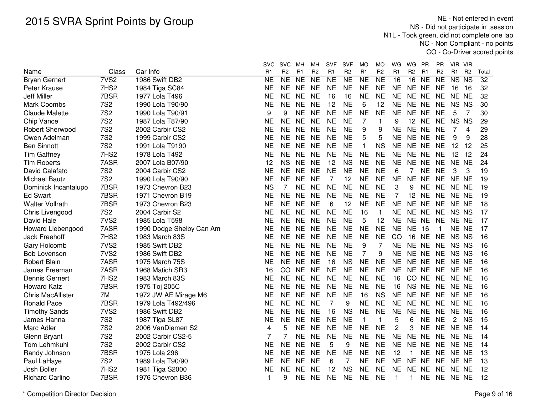NE - Not entered in event NS - Did not participate in session N1L - Took green, did not complete one lap NC - Non Compliant - no pointsCO - Co-Driver scored points

|                                      |                           |                            | <b>SVC</b>      | <b>SVC</b>           | MН                               | мн                                | <b>SVF</b>                       | <b>SVF</b>           | MO                   | MO.                  | WG                   | WG                   | <b>PR</b>                   | PR                          | VIR VIR                                                                              |                          |
|--------------------------------------|---------------------------|----------------------------|-----------------|----------------------|----------------------------------|-----------------------------------|----------------------------------|----------------------|----------------------|----------------------|----------------------|----------------------|-----------------------------|-----------------------------|--------------------------------------------------------------------------------------|--------------------------|
| Name                                 | Class<br>7VS <sub>2</sub> | Car Info<br>1986 Swift DB2 | R <sub>1</sub>  | R <sub>2</sub><br>NE | R <sub>1</sub><br>N <sub>E</sub> | R <sub>2</sub><br>$\overline{NE}$ | R <sub>1</sub><br>N <sub>E</sub> | R <sub>2</sub><br>NE | R <sub>1</sub><br>NE | R <sub>2</sub><br>NE | R <sub>1</sub><br>16 | R <sub>2</sub><br>16 | R <sub>1</sub><br><b>NE</b> | R <sub>2</sub><br><b>NE</b> | R <sub>1</sub><br>R <sub>2</sub><br>$\overline{\text{NS}}$<br>$\overline{\text{NS}}$ | Total<br>$\overline{32}$ |
| <b>Bryan Gernert</b><br>Peter Krause | 7HS2                      |                            | NE<br><b>NE</b> | <b>NE</b>            | <b>NE</b>                        | <b>NE</b>                         | <b>NE</b>                        | <b>NE</b>            | <b>NE</b>            | <b>NE</b>            | <b>NE</b>            | NE NE                |                             | <b>NE</b>                   |                                                                                      | 32                       |
|                                      | 7BSR                      | 1984 Tiga SC84             |                 | <b>NE</b>            | <b>NE</b>                        |                                   |                                  |                      | <b>NE</b>            | <b>NE</b>            | <b>NE</b>            | NE NE                |                             |                             | 16<br>16                                                                             |                          |
| <b>Jeff Miller</b>                   |                           | 1977 Lola T496             | NE              |                      |                                  | <b>NE</b>                         | 16                               | 16                   |                      |                      |                      |                      |                             | <b>NE</b>                   | NE NE                                                                                | 32                       |
| <b>Mark Coombs</b>                   | <b>7S2</b>                | 1990 Lola T90/90           | ΝE              | <b>NE</b>            | <b>NE</b>                        | <b>NE</b>                         | 12                               | <b>NE</b>            | 6                    | 12                   | <b>NE</b>            | NE NE                |                             | <b>NE</b>                   | NS NS                                                                                | 30                       |
| <b>Claude Malette</b>                | <b>7S2</b>                | 1990 Lola T90/91           | 9               | 9                    | <b>NE</b>                        | <b>NE</b>                         | <b>NE</b>                        | <b>NE</b>            | <b>NE</b>            | <b>NE</b>            | <b>NE</b>            | NE NE                |                             | <b>NE</b>                   | 7<br>5                                                                               | 30                       |
| Chip Vance                           | <b>7S2</b>                | 1987 Lola T87/90           | ΝE              | <b>NE</b>            | <b>NE</b>                        | <b>NE</b>                         | <b>NE</b>                        | <b>NE</b>            | $\overline{7}$       | $\mathbf{1}$         | 9                    | 12 NE                |                             | <b>NE</b>                   | <b>NS</b><br><b>NS</b>                                                               | 29                       |
| <b>Robert Sherwood</b>               | <b>7S2</b>                | 2002 Carbir CS2            | NE              | <b>NE</b>            | <b>NE</b>                        | <b>NE</b>                         | <b>NE</b>                        | <b>NE</b>            | 9                    | 9                    | <b>NE</b>            | NE NE                |                             | <b>NE</b>                   | 7<br>4                                                                               | 29                       |
| Owen Adelman                         | <b>7S2</b>                | 1999 Carbir CS2            | NΕ              | <b>NE</b>            | NE.                              | <b>NE</b>                         | <b>NE</b>                        | <b>NE</b>            | 5                    | 5                    | <b>NE</b>            | NE NE                |                             | <b>NE</b>                   | 9<br>9                                                                               | 28                       |
| <b>Ben Sinnott</b>                   | <b>7S2</b>                | 1991 Lola T9190            | ΝE              | <b>NE</b>            | NE.                              | <b>NE</b>                         | <b>NE</b>                        | <b>NE</b>            | $\mathbf{1}$         | <b>NS</b>            | <b>NE</b>            | NE NE                |                             | <b>NE</b>                   | 12<br>12                                                                             | 25                       |
| <b>Tim Gaffney</b>                   | 7HS2                      | 1978 Lola T492             | NE              | <b>NE</b>            | NE.                              | <b>NE</b>                         | <b>NE</b>                        | <b>NE</b>            | <b>NE</b>            | <b>NE</b>            | <b>NE</b>            | NE NE                |                             | <b>NE</b>                   | 12 12                                                                                | 24                       |
| <b>Tim Roberts</b>                   | 7ASR                      | 2007 Lola B07/90           | 12              | <b>NS</b>            | <b>NE</b>                        | <b>NE</b>                         | 12                               | <b>NS</b>            | <b>NE</b>            | <b>NE</b>            | <b>NE</b>            | NE NE                |                             | <b>NE</b>                   | NE NE                                                                                | 24                       |
| David Calafato                       | <b>7S2</b>                | 2004 Carbir CS2            | NE              | <b>NE</b>            | <b>NE</b>                        | <b>NE</b>                         | <b>NE</b>                        | <b>NE</b>            | <b>NE</b>            | <b>NE</b>            | 6                    | 7                    | <b>NE</b>                   | <b>NE</b>                   | 3<br>3                                                                               | 19                       |
| <b>Michael Bautz</b>                 | <b>7S2</b>                | 1990 Lola T90/90           | <b>NE</b>       | <b>NE</b>            | <b>NE</b>                        | <b>NE</b>                         | $\overline{7}$                   | 12                   | <b>NE</b>            | <b>NE</b>            | <b>NE</b>            | <b>NE</b>            | <b>NE</b>                   | <b>NE</b>                   | NE NE                                                                                | 19                       |
| Dominick Incantalupo                 | 7BSR                      | 1973 Chevron B23           | <b>NS</b>       | 7                    | <b>NE</b>                        | <b>NE</b>                         | <b>NE</b>                        | <b>NE</b>            | <b>NE</b>            | <b>NE</b>            | 3                    | 9                    | <b>NE</b>                   | <b>NE</b>                   | NE NE                                                                                | 19                       |
| <b>Ed Swart</b>                      | 7BSR                      | 1971 Chevron B19           | NE              | <b>NE</b>            | <b>NE</b>                        | <b>NE</b>                         | <b>NE</b>                        | <b>NE</b>            | <b>NE</b>            | <b>NE</b>            | 7                    | 12                   | <b>NE</b>                   | <b>NE</b>                   | NE NE                                                                                | 19                       |
| <b>Walter Vollrath</b>               | 7BSR                      | 1973 Chevron B23           | <b>NE</b>       | <b>NE</b>            | <b>NE</b>                        | <b>NE</b>                         | 6                                | 12                   | <b>NE</b>            | <b>NE</b>            | <b>NE</b>            | NE NE                |                             | <b>NE</b>                   | NE NE                                                                                | 18                       |
| Chris Livengood                      | <b>7S2</b>                | 2004 Carbir S2             | <b>NE</b>       | <b>NE</b>            | <b>NE</b>                        | <b>NE</b>                         | <b>NE</b>                        | <b>NE</b>            | 16                   | $\mathbf{1}$         | <b>NE</b>            | NE NE                |                             | <b>NE</b>                   | NS NS                                                                                | 17                       |
| David Hale                           | 7VS <sub>2</sub>          | 1985 Lola T598             | <b>NE</b>       | <b>NE</b>            | <b>NE</b>                        | <b>NE</b>                         | <b>NE</b>                        | <b>NE</b>            | 5                    | 12                   | <b>NE</b>            | NE NE                |                             | <b>NE</b>                   | NE NE                                                                                | 17                       |
| Howard Liebengood                    | 7ASR                      | 1990 Dodge Shelby Can Am   | NE              | <b>NE</b>            | <b>NE</b>                        | <b>NE</b>                         | <b>NE</b>                        | <b>NE</b>            | <b>NE</b>            | <b>NE</b>            | <b>NE</b>            | <b>NE</b>            | 16                          | $\mathbf 1$                 | NE NE                                                                                | 17                       |
| Jack Freehoff                        | 7HS2                      | 1983 March 83S             | <b>NE</b>       | <b>NE</b>            | <b>NE</b>                        | <b>NE</b>                         | <b>NE</b>                        | <b>NE</b>            | <b>NE</b>            | <b>NE</b>            | CO                   | 16                   | <b>NE</b>                   | <b>NE</b>                   | NS NS                                                                                | 16                       |
| Gary Holcomb                         | 7VS <sub>2</sub>          | 1985 Swift DB2             | NE              | <b>NE</b>            | <b>NE</b>                        | <b>NE</b>                         | <b>NE</b>                        | <b>NE</b>            | 9                    | $\overline{7}$       | <b>NE</b>            | NE NE                |                             | <b>NE</b>                   | NS NS                                                                                | 16                       |
| <b>Bob Lovenson</b>                  | 7VS <sub>2</sub>          | 1986 Swift DB2             | NΕ              | <b>NE</b>            | <b>NE</b>                        | <b>NE</b>                         | <b>NE</b>                        | <b>NE</b>            | $\overline{7}$       | 9                    | <b>NE</b>            | NE NE                |                             | <b>NE</b>                   | NS NS                                                                                | 16                       |
| <b>Robert Blain</b>                  | 7ASR                      | 1975 March 75S             | NΕ              | <b>NE</b>            | NE.                              | <b>NE</b>                         | 16                               | <b>NS</b>            | <b>NE</b>            | <b>NE</b>            | <b>NE</b>            | NE NE                |                             | <b>NE</b>                   | NE NE                                                                                | 16                       |
| James Freeman                        | 7ASR                      | 1968 Matich SR3            | 16              | <b>CO</b>            | <b>NE</b>                        | <b>NE</b>                         | <b>NE</b>                        | <b>NE</b>            | <b>NE</b>            | <b>NE</b>            | <b>NE</b>            | NE NE                |                             | <b>NE</b>                   | NE NE                                                                                | 16                       |
| <b>Dennis Gernert</b>                | 7HS2                      | 1983 March 83S             | NE              | <b>NE</b>            | <b>NE</b>                        | <b>NE</b>                         | <b>NE</b>                        | <b>NE</b>            | <b>NE</b>            | <b>NE</b>            | 16                   | CO NE                |                             | <b>NE</b>                   | NE NE                                                                                | 16                       |
| <b>Howard Katz</b>                   | 7BSR                      | 1975 Toj 205C              | NΕ              | <b>NE</b>            | <b>NE</b>                        | <b>NE</b>                         | <b>NE</b>                        | <b>NE</b>            | <b>NE</b>            | <b>NE</b>            | 16                   | NS NE                |                             | <b>NE</b>                   | NE NE                                                                                | 16                       |
| <b>Chris MacAllister</b>             | 7M                        | 1972 JW AE Mirage M6       | <b>NE</b>       | <b>NE</b>            | <b>NE</b>                        | <b>NE</b>                         | <b>NE</b>                        | <b>NE</b>            | 16                   | <b>NS</b>            | <b>NE</b>            | NE NE                |                             | <b>NE</b>                   | NE NE                                                                                | 16                       |
| <b>Ronald Pace</b>                   | 7BSR                      | 1979 Lola T492/496         | <b>NE</b>       | <b>NE</b>            | <b>NE</b>                        | <b>NE</b>                         | $\overline{7}$                   | 9                    | <b>NE</b>            | <b>NE</b>            | <b>NE</b>            | NE NE                |                             | <b>NE</b>                   | NE NE                                                                                | 16                       |
| <b>Timothy Sands</b>                 | 7VS <sub>2</sub>          | 1986 Swift DB2             | NE              | <b>NE</b>            | <b>NE</b>                        | <b>NE</b>                         | 16                               | <b>NS</b>            | <b>NE</b>            | <b>NE</b>            | <b>NE</b>            | <b>NE</b>            | <b>NE</b>                   | <b>NE</b>                   | NE NE                                                                                | 16                       |
| James Hanna                          | <b>7S2</b>                | 1987 Tiga SL87             | ΝE              | <b>NE</b>            | <b>NE</b>                        | <b>NE</b>                         | <b>NE</b>                        | <b>NE</b>            | $\mathbf{1}$         | $\mathbf{1}$         | 5                    | 6                    | <b>NE</b>                   | <b>NE</b>                   | $\mathbf{2}$<br><b>NS</b>                                                            | 15                       |
| Marc Adler                           | <b>7S2</b>                | 2006 VanDiemen S2          | 4               | 5                    | <b>NE</b>                        | <b>NE</b>                         | <b>NE</b>                        | <b>NE</b>            | <b>NE</b>            | <b>NE</b>            | $\overline{2}$       | 3                    | <b>NE</b>                   | <b>NE</b>                   | NE NE                                                                                | 14                       |
| Glenn Bryant                         | <b>7S2</b>                | 2002 Carbir CS2-5          | 7               | 7                    | <b>NE</b>                        | <b>NE</b>                         | <b>NE</b>                        | <b>NE</b>            | <b>NE</b>            | <b>NE</b>            | <b>NE</b>            | NE NE                |                             | <b>NE</b>                   | NE NE                                                                                | 14                       |
| Tom Lehmkuhl                         | <b>7S2</b>                | 2002 Carbir CS2            | <b>NE</b>       | <b>NE</b>            | <b>NE</b>                        | <b>NE</b>                         | 5                                | 9                    | <b>NE</b>            | <b>NE</b>            | <b>NE</b>            | NE NE                |                             | <b>NE</b>                   | NE NE                                                                                | 14                       |
| Randy Johnson                        | 7BSR                      | 1975 Lola 296              | NE              | <b>NE</b>            | <b>NE</b>                        | <b>NE</b>                         | <b>NE</b>                        | <b>NE</b>            | <b>NE</b>            | <b>NE</b>            | 12                   | 1                    | <b>NE</b>                   | <b>NE</b>                   | NE NE                                                                                | 13                       |
| Paul LaHaye                          | <b>7S2</b>                | 1989 Lola T90/90           | NE              | <b>NE</b>            | <b>NE</b>                        | <b>NE</b>                         | 6                                | $\overline{7}$       | <b>NE</b>            | <b>NE</b>            | <b>NE</b>            | NE NE                |                             | <b>NE</b>                   | NE NE                                                                                | 13                       |
| Josh Boller                          | 7HS <sub>2</sub>          | 1981 Tiga S2000            | NE              | <b>NE</b>            | <b>NE</b>                        | <b>NE</b>                         | 12                               | <b>NS</b>            | <b>NE</b>            | <b>NE</b>            | <b>NE</b>            | NE NE                |                             | <b>NE</b>                   | NE NE                                                                                | 12                       |
| <b>Richard Carlino</b>               | 7BSR                      | 1976 Chevron B36           |                 | 9                    | NE                               | <b>NE</b>                         | <b>NE</b>                        | <b>NE</b>            | <b>NE</b>            | <b>NE</b>            | -1                   | 1.                   | <b>NE</b>                   |                             | NE NE NE                                                                             | 12                       |
|                                      |                           |                            |                 |                      |                                  |                                   |                                  |                      |                      |                      |                      |                      |                             |                             |                                                                                      |                          |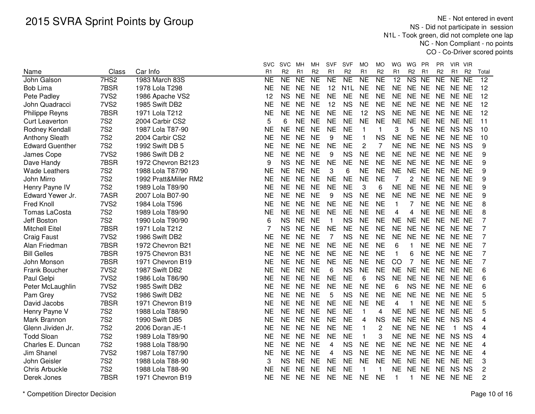NE - Not entered in event NS - Did not participate in session N1L - Took green, did not complete one lap NC - Non Compliant - no pointsCO - Co-Driver scored points

|                        |                  |                       | <b>SVC</b>     | <b>SVC</b>     | MН             | MН             | <b>SVF</b>     | <b>SVF</b>       | <b>MO</b>      | МO             | WG             | WG                     | <b>PR</b>      | <b>PR</b>      | VIR VIR                          |                 |
|------------------------|------------------|-----------------------|----------------|----------------|----------------|----------------|----------------|------------------|----------------|----------------|----------------|------------------------|----------------|----------------|----------------------------------|-----------------|
| Name                   | Class            | Car Info              | R <sub>1</sub> | R <sub>2</sub> | R <sub>1</sub> | R <sub>2</sub> | R <sub>1</sub> | R <sub>2</sub>   | R <sub>1</sub> | R <sub>2</sub> | R <sub>1</sub> | R <sub>2</sub>         | R <sub>1</sub> | R <sub>2</sub> | R <sub>1</sub><br>R <sub>2</sub> | Total           |
| John Galson            | 7HS2             | 1983 March 83S        | <b>NE</b>      | <b>NE</b>      | NE             | <b>NE</b>      | <b>NE</b>      | <b>NE</b>        | <b>NE</b>      | <b>NE</b>      | 12             | $\overline{\text{NS}}$ | <b>NE</b>      | <b>NE</b>      | NE NE                            | $\overline{12}$ |
| <b>Bob Lima</b>        | 7BSR             | 1978 Lola T298        | <b>NE</b>      | <b>NE</b>      | <b>NE</b>      | <b>NE</b>      | 12             | N <sub>1</sub> L | NE             | <b>NE</b>      | NE             | NE NE                  |                | <b>NE</b>      | NE NE                            | 12              |
| Pete Padley            | 7VS <sub>2</sub> | 1986 Apache VS2       | 12             | <b>NS</b>      | <b>NE</b>      | <b>NE</b>      | <b>NE</b>      | <b>NE</b>        | <b>NE</b>      | <b>NE</b>      | <b>NE</b>      | NE NE                  |                | <b>NE</b>      | NE NE                            | 12              |
| John Quadracci         | 7VS <sub>2</sub> | 1985 Swift DB2        | <b>NE</b>      | <b>NE</b>      | <b>NE</b>      | <b>NE</b>      | 12             | <b>NS</b>        | <b>NE</b>      | <b>NE</b>      | <b>NE</b>      | NE NE                  |                | <b>NE</b>      | NE NE                            | 12              |
| Philippe Reyns         | 7BSR             | 1971 Lola T212        | <b>NE</b>      | <b>NE</b>      | <b>NE</b>      | <b>NE</b>      | <b>NE</b>      | <b>NE</b>        | 12             | <b>NS</b>      | <b>NE</b>      | NE NE                  |                | <b>NE</b>      | NE NE                            | 12              |
| <b>Curt Leaverton</b>  | <b>7S2</b>       | 2004 Carbir CS2       | 5              | 6              | <b>NE</b>      | <b>NE</b>      | <b>NE</b>      | <b>NE</b>        | <b>NE</b>      | <b>NE</b>      | <b>NE</b>      | NE NE                  |                | <b>NE</b>      | NE NE                            | 11              |
| Rodney Kendall         | <b>7S2</b>       | 1987 Lola T87-90      | <b>NE</b>      | <b>NE</b>      | <b>NE</b>      | <b>NE</b>      | <b>NE</b>      | <b>NE</b>        | $\mathbf{1}$   | $\mathbf{1}$   | 3              | 5                      | <b>NE</b>      | <b>NE</b>      | NS NS                            | 10              |
| <b>Anthony Sleath</b>  | <b>7S2</b>       | 2004 Carbir CS2       | <b>NE</b>      | <b>NE</b>      | <b>NE</b>      | <b>NE</b>      | 9              | <b>NE</b>        | -1             | <b>NS</b>      | <b>NE</b>      | NE NE                  |                |                | NE NE NE                         | 10              |
| <b>Edward Guenther</b> | <b>7S2</b>       | 1992 Swift DB 5       | NE             | <b>NE</b>      | <b>NE</b>      | NE             | <b>NE</b>      | <b>NE</b>        | 2              | 7              | <b>NE</b>      | NE NE                  |                | NE             | NS NS                            | 9               |
| James Cope             | 7VS <sub>2</sub> | 1986 Swift DB 2       | NΕ             | <b>NE</b>      | <b>NE</b>      | <b>NE</b>      | 9              | <b>NS</b>        | <b>NE</b>      | <b>NE</b>      | <b>NE</b>      | NE NE                  |                | NE.            | NE NE                            | 9               |
| Dave Handy             | 7BSR             | 1972 Chevron B2123    | 9              | <b>NS</b>      | <b>NE</b>      | <b>NE</b>      | <b>NE</b>      | <b>NE</b>        | <b>NE</b>      | <b>NE</b>      | <b>NE</b>      | NE NE                  |                | NE.            | NE NE                            | 9               |
| <b>Wade Leathers</b>   | <b>7S2</b>       | 1988 Lola T87/90      | <b>NE</b>      | <b>NE</b>      | <b>NE</b>      | <b>NE</b>      | 3              | 6                | <b>NE</b>      | <b>NE</b>      | <b>NE</b>      | NE NE                  |                | <b>NE</b>      | NE NE                            | 9               |
| John Mirro             | <b>7S2</b>       | 1992 Pratt&Miller RM2 | <b>NE</b>      | <b>NE</b>      | <b>NE</b>      | <b>NE</b>      | <b>NE</b>      | <b>NE</b>        | <b>NE</b>      | <b>NE</b>      | 7              | 2                      | <b>NE</b>      | <b>NE</b>      | NE NE                            | 9               |
| Henry Payne IV         | <b>7S2</b>       | 1989 Lola T89/90      | <b>NE</b>      | <b>NE</b>      | <b>NE</b>      | <b>NE</b>      | <b>NE</b>      | <b>NE</b>        | 3              | 6              | <b>NE</b>      | NE NE                  |                | <b>NE</b>      | NE NE                            | 9               |
| Edward Yewer Jr.       | 7ASR             | 2007 Lola B07-90      | <b>NE</b>      | <b>NE</b>      | <b>NE</b>      | <b>NE</b>      | 9              | <b>NS</b>        | <b>NE</b>      | <b>NE</b>      | <b>NE</b>      | NE NE                  |                | <b>NE</b>      | NE NE                            | 9               |
| <b>Fred Knoll</b>      | 7VS <sub>2</sub> | 1984 Lola T596        | <b>NE</b>      | <b>NE</b>      | <b>NE</b>      | <b>NE</b>      | <b>NE</b>      | <b>NE</b>        | <b>NE</b>      | <b>NE</b>      | 1              | 7                      | <b>NE</b>      | <b>NE</b>      | NE NE                            | 8               |
| <b>Tomas LaCosta</b>   | <b>7S2</b>       | 1989 Lola T89/90      | <b>NE</b>      | <b>NE</b>      | <b>NE</b>      | <b>NE</b>      | <b>NE</b>      | <b>NE</b>        | <b>NE</b>      | <b>NE</b>      | 4              | 4                      | <b>NE</b>      | <b>NE</b>      | NE NE                            | 8               |
| Jeff Boston            | <b>7S2</b>       | 1990 Lola T90/90      | 6              | <b>NS</b>      | <b>NE</b>      | <b>NE</b>      | $\mathbf{1}$   | <b>NS</b>        | <b>NE</b>      | <b>NE</b>      | <b>NE</b>      | NE NE                  |                | <b>NE</b>      | NE NE                            | 7               |
| <b>Mitchell Eitel</b>  | 7BSR             | 1971 Lola T212        | 7              | <b>NS</b>      | <b>NE</b>      | <b>NE</b>      | <b>NE</b>      | <b>NE</b>        | <b>NE</b>      | <b>NE</b>      | <b>NE</b>      | NE NE                  |                | <b>NE</b>      | NE NE                            | 7               |
| <b>Craig Faust</b>     | 7VS <sub>2</sub> | 1986 Swift DB2        | <b>NE</b>      | <b>NE</b>      | <b>NE</b>      | <b>NE</b>      | 7              | <b>NS</b>        | <b>NE</b>      | <b>NE</b>      | <b>NE</b>      | NE NE                  |                | <b>NE</b>      | NE NE                            | $\overline{7}$  |
| Alan Friedman          | 7BSR             | 1972 Chevron B21      | <b>NE</b>      | <b>NE</b>      | <b>NE</b>      | <b>NE</b>      | <b>NE</b>      | <b>NE</b>        | <b>NE</b>      | <b>NE</b>      | 6              | 1                      | <b>NE</b>      |                | NE NE NE                         | 7               |
| <b>Bill Gelles</b>     | 7BSR             | 1975 Chevron B31      | NE             | <b>NE</b>      | <b>NE</b>      | NE             | <b>NE</b>      | <b>NE</b>        | <b>NE</b>      | <b>NE</b>      | 1              | 6                      | <b>NE</b>      | <b>NE</b>      | NE NE                            | 7               |
| John Monson            | 7BSR             | 1971 Chevron B19      | NE             | <b>NE</b>      | <b>NE</b>      | <b>NE</b>      | <b>NE</b>      | <b>NE</b>        | NE             | <b>NE</b>      | CO             | 7                      | <b>NE</b>      | <b>NE</b>      | NE NE                            | 7               |
| Frank Boucher          | 7VS <sub>2</sub> | 1987 Swift DB2        | <b>NE</b>      | <b>NE</b>      | <b>NE</b>      | <b>NE</b>      | 6              | <b>NS</b>        | <b>NE</b>      | <b>NE</b>      | <b>NE</b>      | <b>NE</b>              | <b>NE</b>      | <b>NE</b>      | NE NE                            | 6               |
| Paul Gelpi             | 7VS <sub>2</sub> | 1986 Lola T86/90      | <b>NE</b>      | <b>NE</b>      | <b>NE</b>      | <b>NE</b>      | <b>NE</b>      | <b>NE</b>        | 6              | <b>NS</b>      | <b>NE</b>      | NE NE                  |                | <b>NE</b>      | NE NE                            | 6               |
| Peter McLaughlin       | 7VS <sub>2</sub> | 1985 Swift DB2        | <b>NE</b>      | <b>NE</b>      | <b>NE</b>      | <b>NE</b>      | <b>NE</b>      | <b>NE</b>        | <b>NE</b>      | <b>NE</b>      | 6              | NS NE                  |                | <b>NE</b>      | NE NE                            | 6               |
| Pam Grey               | 7VS <sub>2</sub> | 1986 Swift DB2        | <b>NE</b>      | <b>NE</b>      | <b>NE</b>      | <b>NE</b>      | 5              | <b>NS</b>        | <b>NE</b>      | <b>NE</b>      | <b>NE</b>      | NE NE                  |                | <b>NE</b>      | NE NE                            | 5               |
| David Jacobs           | 7BSR             | 1971 Chevron B19      | <b>NE</b>      | <b>NE</b>      | <b>NE</b>      | <b>NE</b>      | <b>NE</b>      | <b>NE</b>        | <b>NE</b>      | <b>NE</b>      | 4              | 1                      | <b>NE</b>      | <b>NE</b>      | NE NE                            | 5               |
| Henry Payne V          | <b>7S2</b>       | 1988 Lola T88/90      | <b>NE</b>      | <b>NE</b>      | <b>NE</b>      | <b>NE</b>      | <b>NE</b>      | <b>NE</b>        | $\mathbf 1$    | 4              | <b>NE</b>      | <b>NE</b>              | <b>NE</b>      | <b>NE</b>      | NE NE                            | 5               |
| Mark Brannon           | <b>7S2</b>       | 1990 Swift DB5        | <b>NE</b>      | <b>NE</b>      | <b>NE</b>      | <b>NE</b>      | <b>NE</b>      | <b>NE</b>        | 4              | <b>NS</b>      | <b>NE</b>      | NE NE                  |                | <b>NE</b>      | NS NS                            | 4               |
| Glenn Jividen Jr.      | <b>7S2</b>       | 2006 Doran JE-1       | <b>NE</b>      | <b>NE</b>      | <b>NE</b>      | <b>NE</b>      | <b>NE</b>      | <b>NE</b>        | $\mathbf{1}$   | $\overline{c}$ | <b>NE</b>      | NE NE                  |                | <b>NE</b>      | <b>NS</b><br>$\mathbf{1}$        | 4               |
| <b>Todd Sloan</b>      | <b>7S2</b>       | 1989 Lola T89/90      | <b>NE</b>      | <b>NE</b>      | <b>NE</b>      | <b>NE</b>      | <b>NE</b>      | <b>NE</b>        | $\mathbf{1}$   | 3              | <b>NE</b>      | NE NE                  |                | <b>NE</b>      | NS NS                            | 4               |
| Charles E. Duncan      | <b>7S2</b>       | 1988 Lola T88/90      | <b>NE</b>      | <b>NE</b>      | <b>NE</b>      | <b>NE</b>      | 4              | <b>NS</b>        | <b>NE</b>      | <b>NE</b>      | <b>NE</b>      | NE NE                  |                | <b>NE</b>      | NE NE                            | 4               |
| Jim Shanel             | 7VS <sub>2</sub> | 1987 Lola T87/90      | <b>NE</b>      | <b>NE</b>      | <b>NE</b>      | <b>NE</b>      | 4              | <b>NS</b>        | <b>NE</b>      | <b>NE</b>      | <b>NE</b>      | NE NE                  |                | <b>NE</b>      | NE NE                            | 4               |
| John Geisler           | <b>7S2</b>       | 1988 Lola T88-90      | 3              | <b>NS</b>      | <b>NE</b>      | <b>NE</b>      | <b>NE</b>      | <b>NE</b>        | <b>NE</b>      | <b>NE</b>      | <b>NE</b>      | NE NE                  |                | NE.            | NE NE                            | 3               |
| <b>Chris Arbuckle</b>  | <b>7S2</b>       | 1988 Lola T88-90      | NΕ             | <b>NE</b>      | <b>NE</b>      | <b>NE</b>      | <b>NE</b>      | NE               | -1             | 1              | NE             | NE.                    | NE.            | <b>NE</b>      | NS NS                            | 2               |
| Derek Jones            | 7BSR             | 1971 Chevron B19      | NΕ             | <b>NE</b>      | <b>NE</b>      | <b>NE</b>      | <b>NE</b>      | <b>NE</b>        | <b>NE</b>      | <b>NE</b>      |                | 1                      |                |                | NE NE NE NE                      | 2               |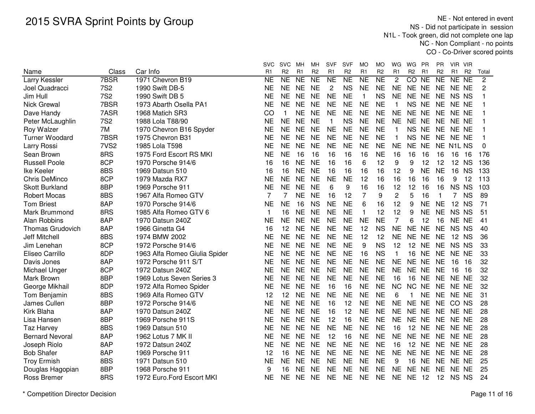NE - Not entered in event NS - Did not participate in session N1L - Took green, did not complete one lap NC - Non Compliant - no pointsCO - Co-Driver scored points

|                         |                  |                               | svc            | <b>SVC</b>     | мн             | MН              | <b>SVF</b>     | <b>SVF</b>     | МO             | MO             | WG             | WG              | <b>PR</b>      | PR             | VIR VIR        |                |                |
|-------------------------|------------------|-------------------------------|----------------|----------------|----------------|-----------------|----------------|----------------|----------------|----------------|----------------|-----------------|----------------|----------------|----------------|----------------|----------------|
| Name                    | Class            | Car Info                      | R <sub>1</sub> | R <sub>2</sub> | R <sub>1</sub> | R <sub>2</sub>  | R <sub>1</sub> | R <sub>2</sub> | R <sub>1</sub> | R <sub>2</sub> | R <sub>1</sub> | R <sub>2</sub>  | R <sub>1</sub> | R <sub>2</sub> | R <sub>1</sub> | R <sub>2</sub> | Total          |
| Larry Kessler           | 7BSR             | 1971 Chevron B19              | <b>NE</b>      | NE             | <b>NE</b>      | $\overline{NE}$ | <b>NE</b>      | <b>NE</b>      | <b>NE</b>      | N <sub>E</sub> | $\overline{c}$ | CO NE           |                | <b>NE</b>      | NE NE          |                | $\overline{c}$ |
| Joel Quadracci          | <b>7S2</b>       | 1990 Swift DB-5               | <b>NE</b>      | <b>NE</b>      | <b>NE</b>      | <b>NE</b>       | $\overline{c}$ | <b>NS</b>      | <b>NE</b>      | <b>NE</b>      | <b>NE</b>      | NE NE           |                | <b>NE</b>      | NE NE          |                | $\overline{2}$ |
| Jim Hull                | <b>7S2</b>       | 1990 Swift DB 5               | <b>NE</b>      | <b>NE</b>      | <b>NE</b>      | <b>NE</b>       | <b>NE</b>      | <b>NE</b>      | $\mathbf{1}$   | <b>NS</b>      | <b>NE</b>      | NE NE           |                | <b>NE</b>      | NS NS          |                |                |
| <b>Nick Grewal</b>      | 7BSR             | 1973 Abarth Osella PA1        | <b>NE</b>      | <b>NE</b>      | <b>NE</b>      | <b>NE</b>       | <b>NE</b>      | <b>NE</b>      | <b>NE</b>      | <b>NE</b>      | 1              | <b>NS</b>       | <b>NE</b>      | <b>NE</b>      | NE NE          |                |                |
| Dave Handy              | 7ASR             | 1968 Matich SR3               | CO             | $\mathbf 1$    | <b>NE</b>      | <b>NE</b>       | <b>NE</b>      | <b>NE</b>      | <b>NE</b>      | <b>NE</b>      | <b>NE</b>      | <b>NE</b>       | <b>NE</b>      | <b>NE</b>      | NE NE          |                |                |
| Peter McLaughlin        | <b>7S2</b>       | 1988 Lola T88/90              | <b>NE</b>      | <b>NE</b>      | <b>NE</b>      | <b>NE</b>       | $\mathbf 1$    | <b>NS</b>      | <b>NE</b>      | <b>NE</b>      | <b>NE</b>      | NE NE           |                | <b>NE</b>      | NE NE          |                |                |
| Roy Walzer              | 7M               | 1970 Chevron B16 Spyder       | NΕ             | <b>NE</b>      | <b>NE</b>      | <b>NE</b>       | <b>NE</b>      | <b>NE</b>      | <b>NE</b>      | <b>NE</b>      | 1              | NS NE           |                | <b>NE</b>      | NE NE          |                |                |
| <b>Turner Woodard</b>   | 7BSR             | 1975 Chevron B31              | ΝE             | <b>NE</b>      | <b>NE</b>      | <b>NE</b>       | <b>NE</b>      | <b>NE</b>      | <b>NE</b>      | <b>NE</b>      | 1              | NS NE           |                | <b>NE</b>      | NE NE          |                |                |
| Larry Rossi             | 7VS <sub>2</sub> | 1985 Lola T598                | <b>NE</b>      | <b>NE</b>      | <b>NE</b>      | <b>NE</b>       | <b>NE</b>      | <b>NE</b>      | <b>NE</b>      | <b>NE</b>      | <b>NE</b>      | NE NE           |                |                | NE N1L NS      |                | 0              |
| Sean Brown              | 8RS              | 1975 Ford Escort RS MKI       | <b>NE</b>      | <b>NE</b>      | 16             | 16              | 16             | 16             | 16             | <b>NE</b>      | 16             | 16              | 16             | 16             | 16             | 16             | 176            |
| <b>Russell Poole</b>    | 8CP              | 1970 Porsche 914/6            | 16             | 16             | <b>NE</b>      | <b>NE</b>       | 16             | 16             | 6              | 12             | 9              | 9               | 12             | 12             | 12 NS          |                | 136            |
| Ike Keeler              | 8BS              | 1969 Datsun 510               | 16             | 16             | <b>NE</b>      | <b>NE</b>       | 16             | 16             | 16             | 16             | 12             | 9               | <b>NE</b>      | <b>NE</b>      | 16             | <b>NS</b>      | 133            |
| <b>Chris DeMinco</b>    | 8CP              | 1979 Mazda RX7                | <b>NE</b>      | <b>NE</b>      | <b>NE</b>      | <b>NE</b>       | <b>NE</b>      | <b>NE</b>      | 12             | 16             | 16             | 16              | 16             | 16             | 9              | 12             | 113            |
| <b>Skott Burkland</b>   | 8BP              | 1969 Porsche 911              | <b>NE</b>      | <b>NE</b>      | <b>NE</b>      | <b>NE</b>       | 6              | 9              | 16             | 16             | 12             | 12              | 16             | 16             | NS NS          |                | 103            |
| <b>Robert Mocas</b>     | 8BS              | 1967 Alfa Romeo GTV           | 7              | 7              | <b>NE</b>      | <b>NE</b>       | 16             | 12             | $\overline{7}$ | 9              | $\overline{c}$ | 5               | 16             | $\mathbf 1$    | 7              | <b>NS</b>      | 89             |
| <b>Tom Briest</b>       | 8AP              | 1970 Porsche 914/6            | <b>NE</b>      | <b>NE</b>      | 16             | <b>NS</b>       | <b>NE</b>      | <b>NE</b>      | 6              | 16             | 12             | 9               | <b>NE</b>      | <b>NE</b>      | 12             | <b>NS</b>      | 71             |
| Mark Brummond           | 8RS              | 1985 Alfa Romeo GTV 6         | 1              | 16             | <b>NE</b>      | <b>NE</b>       | <b>NE</b>      | <b>NE</b>      | $\mathbf{1}$   | 12             | 12             | 9               | <b>NE</b>      | <b>NE</b>      | NS NS          |                | 51             |
| <b>Alan Robbins</b>     | 8AP              | 1970 Datsun 240Z              | <b>NE</b>      | <b>NE</b>      | <b>NE</b>      | <b>NE</b>       | <b>NE</b>      | <b>NE</b>      | <b>NE</b>      | <b>NE</b>      | $\overline{7}$ | 6               | 12             | 16             | NE NE          |                | 41             |
| <b>Thomas Grudovich</b> | 8AP              | 1966 Ginetta G4               | 16             | 12             | <b>NE</b>      | <b>NE</b>       | <b>NE</b>      | <b>NE</b>      | 12             | <b>NS</b>      | <b>NE</b>      | <b>NE</b>       | <b>NE</b>      | <b>NE</b>      | NS NS          |                | 40             |
| <b>Jeff Mitchell</b>    | 8BS              | 1974 BMW 2002                 | <b>NE</b>      | <b>NE</b>      | <b>NE</b>      | <b>NE</b>       | <b>NE</b>      | <b>NE</b>      | 12             | 12             | <b>NE</b>      | NE NE           |                | <b>NE</b>      | 12 NS          |                | 36             |
| Jim Lenehan             | 8CP              | 1972 Porsche 914/6            | NE             | <b>NE</b>      | <b>NE</b>      | <b>NE</b>       | <b>NE</b>      | <b>NE</b>      | 9              | <b>NS</b>      | 12             | 12 NE           |                | <b>NE</b>      | NS NS          |                | 33             |
| Eliseo Carrillo         | 8DP              | 1963 Alfa Romeo Giulia Spider | <b>NE</b>      | <b>NE</b>      | <b>NE</b>      | <b>NE</b>       | <b>NE</b>      | <b>NE</b>      | 16             | <b>NS</b>      | 1              | 16 NE           |                | <b>NE</b>      | NE NE          |                | 33             |
| Davis Jones             | 8AP              | 1972 Porsche 911 S/T          | <b>NE</b>      | <b>NE</b>      | <b>NE</b>      | <b>NE</b>       | <b>NE</b>      | <b>NE</b>      | <b>NE</b>      | <b>NE</b>      | <b>NE</b>      | NE NE           |                | <b>NE</b>      | 16             | -16            | 32             |
| Michael Unger           | 8CP              | 1972 Datsun 240Z              | <b>NE</b>      | <b>NE</b>      | <b>NE</b>      | <b>NE</b>       | <b>NE</b>      | <b>NE</b>      | <b>NE</b>      | <b>NE</b>      | <b>NE</b>      | NE NE           |                | <b>NE</b>      | 16             | 16             | 32             |
| Mark Brown              | 8BP              | 1969 Lotus Seven Series 3     | <b>NE</b>      | <b>NE</b>      | <b>NE</b>      | <b>NE</b>       | <b>NE</b>      | <b>NE</b>      | <b>NE</b>      | <b>NE</b>      | 16             | 16              | <b>NE</b>      | <b>NE</b>      | NE NE          |                | 32             |
| George Mikhail          | 8DP              | 1972 Alfa Romeo Spider        | <b>NE</b>      | <b>NE</b>      | <b>NE</b>      | <b>NE</b>       | 16             | 16             | <b>NE</b>      | <b>NE</b>      | <b>NC</b>      | <b>NC</b>       | <b>NE</b>      | <b>NE</b>      | NE NE          |                | 32             |
| Tom Benjamin            | 8BS              | 1969 Alfa Romeo GTV           | 12             | 12             | <b>NE</b>      | <b>NE</b>       | <b>NE</b>      | <b>NE</b>      | <b>NE</b>      | <b>NE</b>      | 6              | 1               | <b>NE</b>      | <b>NE</b>      | NE NE          |                | 31             |
| James Cullen            | 8BP              | 1972 Porsche 914/6            | <b>NE</b>      | <b>NE</b>      | <b>NE</b>      | <b>NE</b>       | 16             | 12             | <b>NE</b>      | <b>NE</b>      | <b>NE</b>      | NE NE           |                | <b>NE</b>      | CO NS          |                | 28             |
| Kirk Blaha              | 8AP              | 1970 Datsun 240Z              | <b>NE</b>      | <b>NE</b>      | <b>NE</b>      | <b>NE</b>       | 16             | 12             | <b>NE</b>      | <b>NE</b>      | <b>NE</b>      | <b>NE</b>       | <b>NE</b>      | <b>NE</b>      | NE NE          |                | 28             |
| Lisa Hansen             | 8BP              | 1969 Porsche 911S             | <b>NE</b>      | <b>NE</b>      | <b>NE</b>      | <b>NE</b>       | 12             | 16             | <b>NE</b>      | <b>NE</b>      | <b>NE</b>      | <b>NE</b>       | <b>NE</b>      | <b>NE</b>      | NE NE          |                | 28             |
| <b>Taz Harvey</b>       | 8BS              | 1969 Datsun 510               | <b>NE</b>      | <b>NE</b>      | <b>NE</b>      | <b>NE</b>       | <b>NE</b>      | <b>NE</b>      | <b>NE</b>      | <b>NE</b>      | 16             | 12              | <b>NE</b>      | <b>NE</b>      | NE NE          |                | 28             |
| <b>Bernard Nevoral</b>  | 8AP              | 1962 Lotus 7 MK II            | <b>NE</b>      | <b>NE</b>      | <b>NE</b>      | <b>NE</b>       | 12             | 16             | <b>NE</b>      | <b>NE</b>      | <b>NE</b>      | NE NE           |                | <b>NE</b>      | NE NE          |                | 28             |
| Joseph Riolo            | 8AP              | 1972 Datsun 240Z              | <b>NE</b>      | <b>NE</b>      | <b>NE</b>      | <b>NE</b>       | <b>NE</b>      | <b>NE</b>      | <b>NE</b>      | <b>NE</b>      | 16             | 12 <sup>2</sup> | <b>NE</b>      | <b>NE</b>      | NE NE          |                | 28             |
| <b>Bob Shafer</b>       | 8AP              | 1969 Porsche 911              | 12             | 16             | <b>NE</b>      | <b>NE</b>       | <b>NE</b>      | <b>NE</b>      | <b>NE</b>      | <b>NE</b>      | <b>NE</b>      | NE NE           |                | <b>NE</b>      | NE NE          |                | 28             |
| <b>Troy Ermish</b>      | 8BS              | 1971 Datsun 510               | NE             | <b>NE</b>      | <b>NE</b>      | <b>NE</b>       | <b>NE</b>      | <b>NE</b>      | <b>NE</b>      | <b>NE</b>      | 9              | 16 NE           |                | <b>NE</b>      | NE NE          |                | 25             |
| Douglas Hagopian        | 8BP              | 1968 Porsche 911              | 9              | 16             | <b>NE</b>      | <b>NE</b>       | <b>NE</b>      | <b>NE</b>      | <b>NE</b>      | <b>NE</b>      | <b>NE</b>      | NE NE           |                | NE.            | NE NE          |                | 25             |
| <b>Ross Bremer</b>      | 8RS              | 1972 Euro.Ford Escort MKI     | <b>NE</b>      | <b>NE</b>      | NE.            | <b>NE</b>       | <b>NE</b>      | <b>NE</b>      | <b>NE</b>      | <b>NE</b>      | <b>NE</b>      | <b>NE</b>       | -12            |                | 12 NS NS       |                | 24             |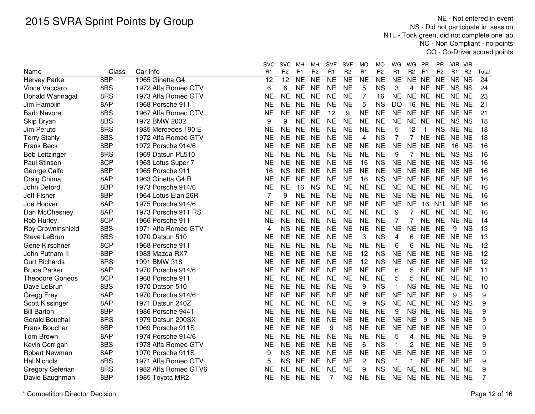NE - Not entered in event NS - Did not participate in session N1L - Took green, did not complete one lap NC - Non Compliant - no pointsCO - Co-Driver scored points

|                             | Class | Car Info                                   | <b>SVC</b><br>R <sub>1</sub> | <b>SVC</b><br>R <sub>2</sub> | MН<br>R <sub>1</sub> | мн<br>R <sub>2</sub> | <b>SVF</b><br>R <sub>1</sub> | <b>SVF</b><br>R <sub>2</sub> | MO<br>R <sub>1</sub> | МO<br>R <sub>2</sub> | WG<br>R <sub>1</sub> | WG<br>R <sub>2</sub> | PR<br>R <sub>1</sub> | PR<br>R <sub>2</sub> | VIR.<br>R <sub>1</sub> | - VIR<br>R <sub>2</sub> | Total |
|-----------------------------|-------|--------------------------------------------|------------------------------|------------------------------|----------------------|----------------------|------------------------------|------------------------------|----------------------|----------------------|----------------------|----------------------|----------------------|----------------------|------------------------|-------------------------|-------|
| Name<br><b>Hervey Parke</b> | 8BP   | 1965 Ginetta G4                            | 12                           | $\overline{12}$              | <b>NE</b>            | <b>NE</b>            | $\overline{NE}$              | N <sub>E</sub>               | <b>NE</b>            | $\overline{\sf NE}$  | <b>NE</b>            | N <sub>E</sub>       | <b>NE</b>            | <b>NE</b>            | <b>NS</b>              | <b>NS</b>               | 24    |
| Vince Vaccaro               | 8BS   | 1972 Alfa Romeo GTV                        | 6                            | 6                            | <b>NE</b>            | <b>NE</b>            | <b>NE</b>                    | <b>NE</b>                    | 5                    | <b>NS</b>            | 3                    | 4                    | <b>NE</b>            | <b>NE</b>            | NS NS                  |                         | 24    |
| Donald Wannagat             | 8RS   | 1973 Alfa Romeo GTV                        | ΝE                           | <b>NE</b>                    | <b>NE</b>            | <b>NE</b>            | <b>NE</b>                    | <b>NE</b>                    | 7                    | 16                   | <b>NE</b>            | NE NE                |                      | <b>NE</b>            | NE NE                  |                         | 23    |
| Jim Hamblin                 | 8AP   | 1968 Porsche 911                           | <b>NE</b>                    | <b>NE</b>                    | <b>NE</b>            | <b>NE</b>            | <b>NE</b>                    | <b>NE</b>                    | 5                    | <b>NS</b>            | DQ                   | 16                   | <b>NE</b>            | <b>NE</b>            | NE NE                  |                         | 21    |
| <b>Barb Nevoral</b>         | 8BS   | 1967 Alfa Romeo GTV                        | NE                           | <b>NE</b>                    | <b>NE</b>            | <b>NE</b>            | 12                           | 9                            | <b>NE</b>            | <b>NE</b>            | <b>NE</b>            | <b>NE</b>            | <b>NE</b>            | <b>NE</b>            | NE NE                  |                         | 21    |
|                             | 8BS   | 1972 BMW 2002                              | 9                            | 9                            | <b>NE</b>            | <b>NE</b>            | <b>NE</b>                    | <b>NE</b>                    | <b>NE</b>            | <b>NE</b>            | <b>NE</b>            | NE NE                |                      | <b>NE</b>            | NS NS                  |                         | 18    |
| Skip Bryan<br>Jim Peruto    | 8RS   |                                            | <b>NE</b>                    | <b>NE</b>                    | <b>NE</b>            | <b>NE</b>            | <b>NE</b>                    | <b>NE</b>                    | <b>NE</b>            | <b>NE</b>            |                      | 12                   |                      | <b>NS</b>            | NE NE                  |                         | 18    |
| <b>Terry Stahly</b>         | 8BS   | 1985 Mercedes 190 E<br>1972 Alfa Romeo GTV | NE                           | <b>NE</b>                    | <b>NE</b>            | <b>NE</b>            | <b>NE</b>                    | <b>NE</b>                    | 4                    | <b>NS</b>            | 5<br>$\overline{7}$  | $\overline{7}$       | <b>NE</b>            | <b>NE</b>            | NE NE                  |                         | 18    |
|                             | 8BP   |                                            |                              | <b>NE</b>                    |                      |                      |                              | <b>NE</b>                    |                      |                      | <b>NE</b>            |                      |                      |                      |                        |                         |       |
| Frank Beck                  |       | 1972 Porsche 914/6                         | ΝE                           |                              | <b>NE</b>            | <b>NE</b>            | <b>NE</b>                    |                              | <b>NE</b>            | <b>NE</b>            |                      | NE NE                |                      | <b>NE</b>            | 16 NS                  |                         | 16    |
| <b>Bob Leitzinger</b>       | 8RS   | 1969 Datsun PL510                          | NE                           | <b>NE</b>                    | <b>NE</b>            | <b>NE</b>            | <b>NE</b>                    | <b>NE</b>                    | <b>NE</b>            | <b>NE</b>            | 9                    | $\overline{7}$       | <b>NE</b>            | <b>NE</b>            | NS NS                  |                         | 16    |
| Paul Stinson                | 8CP   | 1963 Lotus Super 7                         | NE                           | <b>NE</b>                    | <b>NE</b>            | <b>NE</b>            | <b>NE</b>                    | <b>NE</b>                    | 16                   | <b>NS</b>            | <b>NE</b>            | NE NE                |                      | <b>NE</b>            | NS NS                  |                         | 16    |
| George Calfo                | 8BP   | 1965 Porsche 911                           | 16                           | <b>NS</b>                    | <b>NE</b>            | <b>NE</b>            | <b>NE</b>                    | <b>NE</b>                    | <b>NE</b>            | <b>NE</b>            | <b>NE</b>            | NE NE                |                      | <b>NE</b>            | NE NE                  |                         | 16    |
| Craig Chima                 | 8AP   | 1963 Ginetta G4 R                          | NE                           | <b>NE</b>                    | <b>NE</b>            | <b>NE</b>            | <b>NE</b>                    | <b>NE</b>                    | 16                   | <b>NS</b>            | <b>NE</b>            | <b>NE</b>            | <b>NE</b>            | <b>NE</b>            | NE NE                  |                         | 16    |
| John Deford                 | 8BP   | 1973 Porsche 914/6                         | <b>NE</b>                    | <b>NE</b>                    | 16                   | <b>NS</b>            | <b>NE</b>                    | <b>NE</b>                    | <b>NE</b>            | <b>NE</b>            | <b>NE</b>            | NE NE                |                      | <b>NE</b>            | NE NE                  |                         | 16    |
| Jeff Fisher                 | 8BP   | 1964 Lotus Elan 26R                        | $\overline{7}$               | 9                            | <b>NE</b>            | <b>NE</b>            | <b>NE</b>                    | <b>NE</b>                    | <b>NE</b>            | <b>NE</b>            | <b>NE</b>            | <b>NE</b>            | <b>NE</b>            | <b>NE</b>            | NE NE                  |                         | 16    |
| Joe Hoover                  | 8AP   | 1975 Porsche 914/6                         | <b>NE</b>                    | <b>NE</b>                    | <b>NE</b>            | <b>NE</b>            | <b>NE</b>                    | <b>NE</b>                    | <b>NE</b>            | <b>NE</b>            | <b>NE</b>            | <b>NE</b>            | 16                   | N1L                  | NE NE                  |                         | 16    |
| Dan McChesney               | 8AP   | 1973 Porsche 911 RS                        | <b>NE</b>                    | <b>NE</b>                    | <b>NE</b>            | <b>NE</b>            | <b>NE</b>                    | <b>NE</b>                    | <b>NE</b>            | <b>NE</b>            | 9                    | 7                    | <b>NE</b>            | <b>NE</b>            | NE NE                  |                         | 16    |
| Rob Hurley                  | 8CP   | 1966 Porsche 911                           | <b>NE</b>                    | <b>NE</b>                    | <b>NE</b>            | <b>NE</b>            | <b>NE</b>                    | <b>NE</b>                    | <b>NE</b>            | <b>NE</b>            | $\overline{7}$       | 7                    | <b>NE</b>            | <b>NE</b>            | NE NE                  |                         | 14    |
| Roy Crowninshield           | 8BS   | 1971 Alfa Romeo GTV                        | 4                            | <b>NS</b>                    | <b>NE</b>            | <b>NE</b>            | <b>NE</b>                    | <b>NE</b>                    | <b>NE</b>            | <b>NE</b>            | <b>NE</b>            | <b>NE</b>            | <b>NE</b>            | <b>NE</b>            | 9                      | <b>NS</b>               | 13    |
| Steve LeBrun                | 8BS   | 1970 Datsun 510                            | NE                           | <b>NE</b>                    | <b>NE</b>            | <b>NE</b>            | <b>NE</b>                    | <b>NE</b>                    | 3                    | <b>NS</b>            | 4                    | 6                    | <b>NE</b>            | <b>NE</b>            | NE NE                  |                         | 13    |
| Gene Kirschner              | 8CP   | 1968 Porsche 911                           | NΕ                           | <b>NE</b>                    | NE                   | <b>NE</b>            | <b>NE</b>                    | <b>NE</b>                    | <b>NE</b>            | <b>NE</b>            | 6                    | 6                    | <b>NE</b>            | <b>NE</b>            | NE NE                  |                         | 12    |
| John Putnam II              | 8BP   | 1983 Mazda RX7                             | NΕ                           | <b>NE</b>                    | <b>NE</b>            | <b>NE</b>            | <b>NE</b>                    | <b>NE</b>                    | 12                   | <b>NS</b>            | <b>NE</b>            | <b>NE</b>            | <b>NE</b>            | <b>NE</b>            | NE NE                  |                         | 12    |
| <b>Curt Richards</b>        | 8RS   | 1991 BMW 318                               | ΝE                           | <b>NE</b>                    | <b>NE</b>            | <b>NE</b>            | <b>NE</b>                    | <b>NE</b>                    | 12                   | <b>NS</b>            | <b>NE</b>            | <b>NE</b>            | <b>NE</b>            | <b>NE</b>            | NE NE                  |                         | 12    |
| <b>Bruce Parker</b>         | 8AP   | 1970 Porsche 914/6                         | NE                           | <b>NE</b>                    | <b>NE</b>            | <b>NE</b>            | <b>NE</b>                    | <b>NE</b>                    | <b>NE</b>            | <b>NE</b>            | 6                    | 5                    | <b>NE</b>            | <b>NE</b>            | NE NE                  |                         | 11    |
| <b>Theodore Goneos</b>      | 8CP   | 1968 Porsche 911                           | NE                           | <b>NE</b>                    | <b>NE</b>            | <b>NE</b>            | <b>NE</b>                    | <b>NE</b>                    | <b>NE</b>            | <b>NE</b>            | 5                    | 5                    | <b>NE</b>            | <b>NE</b>            | NE NE                  |                         | 10    |
| Dave LeBrun                 | 8BS   | 1970 Datson 510                            | NE                           | <b>NE</b>                    | <b>NE</b>            | <b>NE</b>            | <b>NE</b>                    | <b>NE</b>                    | 9                    | <b>NS</b>            | $\mathbf{1}$         | <b>NS</b>            | <b>NE</b>            | <b>NE</b>            | NE NE                  |                         | 10    |
| Gregg Frey                  | 8AP   | 1970 Porsche 914/6                         | <b>NE</b>                    | <b>NE</b>                    | <b>NE</b>            | <b>NE</b>            | <b>NE</b>                    | <b>NE</b>                    | <b>NE</b>            | <b>NE</b>            | <b>NE</b>            | <b>NE</b>            | <b>NE</b>            | <b>NE</b>            | 9                      | <b>NS</b>               | 9     |
| Scott Kissinger             | 8AP   | 1971 Datsun 240Z                           | NE                           | <b>NE</b>                    | <b>NE</b>            | <b>NE</b>            | <b>NE</b>                    | <b>NE</b>                    | 9                    | <b>NS</b>            | <b>NE</b>            | <b>NE</b>            | <b>NE</b>            | <b>NE</b>            | NS NS                  |                         | 9     |
| <b>Bill Barton</b>          | 8BP   | 1986 Porsche 944T                          | <b>NE</b>                    | <b>NE</b>                    | <b>NE</b>            | <b>NE</b>            | <b>NE</b>                    | <b>NE</b>                    | <b>NE</b>            | <b>NE</b>            | 9                    | <b>NS</b>            | <b>NE</b>            | <b>NE</b>            | NE NE                  |                         | 9     |
| Gerald Bouchal              | 8RS   | 1979 Datsun 200SX                          | <b>NE</b>                    | <b>NE</b>                    | <b>NE</b>            | <b>NE</b>            | <b>NE</b>                    | <b>NE</b>                    | <b>NE</b>            | <b>NE</b>            | <b>NE</b>            | <b>NE</b>            | 9                    | <b>NS</b>            | NE NE                  |                         | 9     |
| Frank Boucher               | 8BP   | 1969 Porsche 911S                          | <b>NE</b>                    | <b>NE</b>                    | <b>NE</b>            | <b>NE</b>            | 9                            | <b>NS</b>                    | <b>NE</b>            | <b>NE</b>            | <b>NE</b>            | NE NE                |                      | <b>NE</b>            | NE NE                  |                         | 9     |
| Tom Brown                   | 8AP   | 1974 Porsche 914/6                         | <b>NE</b>                    | <b>NE</b>                    | <b>NE</b>            | <b>NE</b>            | <b>NE</b>                    | <b>NE</b>                    | <b>NE</b>            | <b>NE</b>            | 5                    | 4                    | <b>NE</b>            | <b>NE</b>            | NE NE                  |                         | 9     |
| Kevin Corrigan              | 8BS   | 1973 Alfa Romeo GTV                        | <b>NE</b>                    | <b>NE</b>                    | <b>NE</b>            | <b>NE</b>            | <b>NE</b>                    | <b>NE</b>                    | 6                    | <b>NS</b>            | $\mathbf{1}$         | 2                    | <b>NE</b>            | <b>NE</b>            | NE NE                  |                         | 9     |
| <b>Robert Newman</b>        | 8AP   | 1970 Porsche 911S                          | 9                            | <b>NS</b>                    | <b>NE</b>            | <b>NE</b>            | <b>NE</b>                    | <b>NE</b>                    | <b>NE</b>            | <b>NE</b>            | <b>NE</b>            | <b>NE</b>            | <b>NE</b>            | <b>NE</b>            | NE NE                  |                         | 9     |
| <b>Hal Nichols</b>          | 8BS   | 1971 Alfa Romeo GTV                        | 5                            | <b>NS</b>                    | NE                   | <b>NE</b>            | <b>NE</b>                    | <b>NE</b>                    | 2                    | <b>NS</b>            | 1                    | 1                    | <b>NE</b>            | <b>NE</b>            | NE NE                  |                         | 9     |
| <b>Gregory Seferian</b>     | 8RS   | 1982 Alfa Romeo GTV6                       | NΕ                           | <b>NE</b>                    | <b>NE</b>            | <b>NE</b>            | NE                           | <b>NE</b>                    | 9                    | <b>NS</b>            | <b>NE</b>            | NE NE                |                      | <b>NE</b>            | NE NE                  |                         | 9     |
| David Baughman              | 8BP   | 1985 Toyota MR2                            | NE.                          | <b>NE</b>                    | <b>NE</b>            | <b>NE</b>            |                              | <b>NS</b>                    | <b>NE</b>            | <b>NE</b>            | <b>NE</b>            | NE NE                |                      |                      | NE NE NE               |                         | 7     |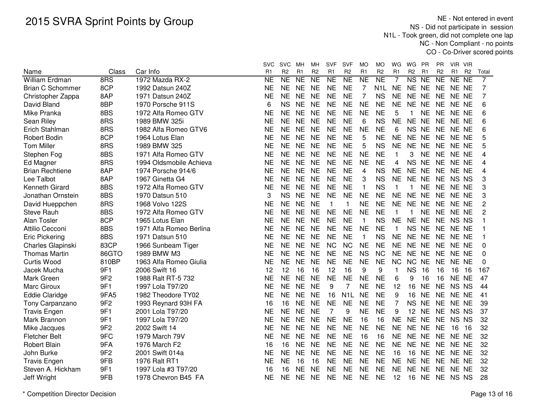NE - Not entered in event NS - Did not participate in session N1L - Took green, did not complete one lap NC - Non Compliant - no pointsCO - Co-Driver scored points

|                         |                 |                         | svc            | <b>SVC</b>          | мн        | MН             | <b>SVF</b>     | SVF                    | <b>MO</b>      | МO               | WG             | WG                     | PR        | <b>PR</b>      | - VIR<br>VIR.         |                |          |
|-------------------------|-----------------|-------------------------|----------------|---------------------|-----------|----------------|----------------|------------------------|----------------|------------------|----------------|------------------------|-----------|----------------|-----------------------|----------------|----------|
| Name                    | Class           | Car Info                | R <sub>1</sub> | R <sub>2</sub>      | R1        | R <sub>2</sub> | R <sub>1</sub> | R <sub>2</sub>         | R <sub>1</sub> | R <sub>2</sub>   | R <sub>1</sub> | R <sub>2</sub>         | R1        | R <sub>2</sub> | R <sub>1</sub>        | R <sub>2</sub> | Total    |
| William Erdman          | 8RS             | 1972 Mazda RX-2         | <b>NE</b>      | $\overline{\sf NE}$ | <b>NE</b> | N <sub>E</sub> | N <sub>E</sub> | $\overline{\text{NE}}$ | <b>NE</b>      | NE               | 7              | $\overline{\text{NS}}$ | $N_{E}$   | N <sub>E</sub> | NE<br>$\overline{NE}$ |                | 7        |
| <b>Brian C Schommer</b> | 8CP             | 1992 Datsun 240Z        | NE             | <b>NE</b>           | <b>NE</b> | <b>NE</b>      | <b>NE</b>      | <b>NE</b>              | 7              | N <sub>1</sub> L | <b>NE</b>      | NE NE                  |           | <b>NE</b>      | NE NE                 |                | 7        |
| Christopher Zappa       | 8AP             | 1971 Datsun 240Z        | NE             | <b>NE</b>           | <b>NE</b> | <b>NE</b>      | <b>NE</b>      | <b>NE</b>              | $\overline{7}$ | <b>NS</b>        | <b>NE</b>      | NE NE                  |           | <b>NE</b>      | NE NE                 |                | 7        |
| David Bland             | 8BP             | 1970 Porsche 911S       | 6              | <b>NS</b>           | <b>NE</b> | <b>NE</b>      | <b>NE</b>      | <b>NE</b>              | <b>NE</b>      | <b>NE</b>        | <b>NE</b>      | NE NE                  |           | <b>NE</b>      | NE NE                 |                | 6        |
| Mike Pranka             | 8BS             | 1972 Alfa Romeo GTV     | NE             | <b>NE</b>           | <b>NE</b> | <b>NE</b>      | <b>NE</b>      | <b>NE</b>              | <b>NE</b>      | <b>NE</b>        | 5              | 1                      | <b>NE</b> | <b>NE</b>      | NE NE                 |                | 6        |
| Sean Riley              | 8RS             | 1989 BMW 325i           | <b>NE</b>      | <b>NE</b>           | <b>NE</b> | <b>NE</b>      | <b>NE</b>      | <b>NE</b>              | 6              | <b>NS</b>        | <b>NE</b>      | NE NE                  |           | <b>NE</b>      | NE NE                 |                | 6        |
| Erich Stahlman          | 8RS             | 1982 Alfa Romeo GTV6    | NE             | <b>NE</b>           | <b>NE</b> | <b>NE</b>      | <b>NE</b>      | <b>NE</b>              | <b>NE</b>      | <b>NE</b>        | 6              | NS NE                  |           |                | NE NE NE              |                | 6        |
| <b>Robert Bodin</b>     | 8CP             | 1964 Lotus Elan         | NE             | <b>NE</b>           | <b>NE</b> | <b>NE</b>      | <b>NE</b>      | <b>NE</b>              | 5              | <b>NE</b>        | <b>NE</b>      | NE NE                  |           |                | NE NE NE              |                | 5        |
| <b>Tom Miller</b>       | 8RS             | 1989 BMW 325            | ΝE             | <b>NE</b>           | <b>NE</b> | <b>NE</b>      | <b>NE</b>      | <b>NE</b>              | 5              | <b>NS</b>        | <b>NE</b>      | NE NE                  |           |                | NE NE NE              |                | 5        |
| Stephen Fog             | 8BS             | 1971 Alfa Romeo GTV     | NE             | <b>NE</b>           | <b>NE</b> | <b>NE</b>      | <b>NE</b>      | <b>NE</b>              | <b>NE</b>      | <b>NE</b>        | 1              | 3                      | <b>NE</b> |                | NE NE NE              |                | 4        |
| Ed Magner               | 8RS             | 1994 Oldsmobile Achieva | <b>NE</b>      | <b>NE</b>           | <b>NE</b> | <b>NE</b>      | <b>NE</b>      | <b>NE</b>              | <b>NE</b>      | <b>NE</b>        | 4              | NS NE                  |           |                | NE NE NE              |                | 4        |
| <b>Brian Rechtiene</b>  | 8AP             | 1974 Porsche 914/6      | NE             | <b>NE</b>           | <b>NE</b> | <b>NE</b>      | <b>NE</b>      | <b>NE</b>              | 4              | <b>NS</b>        | <b>NE</b>      | NE NE                  |           | <b>NE</b>      | NE NE                 |                | 4        |
| Lee Talbot              | 8AP             | 1967 Ginetta G4         | NE             | <b>NE</b>           | <b>NE</b> | <b>NE</b>      | <b>NE</b>      | <b>NE</b>              | 3              | <b>NS</b>        | <b>NE</b>      | NE NE                  |           | <b>NE</b>      | NS NS                 |                | 3        |
| Kenneth Girard          | 8BS             | 1972 Alfa Romeo GTV     | <b>NE</b>      | <b>NE</b>           | <b>NE</b> | <b>NE</b>      | <b>NE</b>      | <b>NE</b>              | 1              | <b>NS</b>        | $\mathbf{1}$   | 1                      | <b>NE</b> | <b>NE</b>      | NE NE                 |                | 3        |
| Jonathan Ornstein       | 8BS             | 1970 Datsun 510         | 3              | <b>NS</b>           | <b>NE</b> | <b>NE</b>      | <b>NE</b>      | <b>NE</b>              | <b>NE</b>      | <b>NE</b>        | <b>NE</b>      | NE NE                  |           |                | NE NE NE              |                | 3        |
| David Hueppchen         | 8RS             | 1968 Volvo 122S         | <b>NE</b>      | <b>NE</b>           | <b>NE</b> | <b>NE</b>      | $\mathbf{1}$   | -1                     | <b>NE</b>      | <b>NE</b>        | <b>NE</b>      | NE NE                  |           |                | NE NE NE              |                | 2        |
| <b>Steve Rauh</b>       | 8BS             | 1972 Alfa Romeo GTV     | <b>NE</b>      | <b>NE</b>           | <b>NE</b> | <b>NE</b>      | <b>NE</b>      | <b>NE</b>              | <b>NE</b>      | <b>NE</b>        | $\mathbf{1}$   | 1                      | <b>NE</b> | <b>NE</b>      | NE NE                 |                | 2        |
| Alan Tosler             | 8CP             | 1965 Lotus Elan         | <b>NE</b>      | <b>NE</b>           | <b>NE</b> | <b>NE</b>      | <b>NE</b>      | <b>NE</b>              | $\mathbf{1}$   | <b>NS</b>        | <b>NE</b>      | NE NE                  |           |                | NE NS NS              |                |          |
| Attilio Cecconi         | 8BS             | 1971 Alfa Romeo Berlina | <b>NE</b>      | <b>NE</b>           | <b>NE</b> | <b>NE</b>      | <b>NE</b>      | <b>NE</b>              | <b>NE</b>      | <b>NE</b>        | $\mathbf{1}$   | NS NE                  |           | <b>NE</b>      | NE NE                 |                |          |
| <b>Eric Pickering</b>   | 8BS             | 1971 Datsun 510         | NE             | <b>NE</b>           | <b>NE</b> | <b>NE</b>      | <b>NE</b>      | <b>NE</b>              | $\mathbf{1}$   | <b>NS</b>        | <b>NE</b>      | NE NE                  |           | <b>NE</b>      | NE NE                 |                | 1        |
| Charles Glapinski       | 83CP            | 1966 Sunbeam Tiger      | <b>NE</b>      | <b>NE</b>           | <b>NE</b> | <b>NE</b>      | <b>NC</b>      | <b>NC</b>              | <b>NE</b>      | <b>NE</b>        | <b>NE</b>      | NE NE                  |           | <b>NE</b>      | NE NE                 |                | $\Omega$ |
| <b>Thomas Martin</b>    | 86GTO           | 1989 BMW M3             | <b>NE</b>      | <b>NE</b>           | <b>NE</b> | <b>NE</b>      | <b>NE</b>      | <b>NE</b>              | <b>NS</b>      | <b>NC</b>        | <b>NE</b>      | NE NE                  |           | <b>NE</b>      | NE NE                 |                | 0        |
| Curtis Wood             | 810BP           | 1963 Alfa Romeo Giulia  | NE             | <b>NE</b>           | <b>NE</b> | <b>NE</b>      | <b>NE</b>      | <b>NE</b>              | <b>NE</b>      | <b>NE</b>        | <b>NC</b>      | NC NE                  |           | <b>NE</b>      | NE NE                 |                | 0        |
| Jacek Mucha             | 9F1             | 2006 Swift 16           | 12             | 12                  | 16        | 16             | 12             | 16                     | 9              | 9                | $\mathbf{1}$   | <b>NS</b>              | 16        | 16             | 16                    | 16             | 167      |
| Mark Green              | 9F <sub>2</sub> | 1988 Ralt RT-5 732      | NE             | <b>NE</b>           | <b>NE</b> | <b>NE</b>      | <b>NE</b>      | <b>NE</b>              | <b>NE</b>      | <b>NE</b>        | 6              | 9                      | 16        | 16             | NE NE                 |                | 47       |
| <b>Marc Giroux</b>      | 9F1             | 1997 Lola T97/20        | NE             | <b>NE</b>           | <b>NE</b> | <b>NE</b>      | 9              | 7                      | <b>NE</b>      | <b>NE</b>        | 12             | 16                     | <b>NE</b> | <b>NE</b>      | NS NS                 |                | 44       |
| <b>Eddie Claridge</b>   | 9FA5            | 1982 Theodore TY02      | <b>NE</b>      | <b>NE</b>           | <b>NE</b> | <b>NE</b>      | 16             | N <sub>1</sub> L       | <b>NE</b>      | <b>NE</b>        | 9              | 16                     | <b>NE</b> | <b>NE</b>      | NE NE                 |                | 41       |
| Tony Carpanzano         | 9F <sub>2</sub> | 1993 Reynard 93H FA     | 16             | 16                  | NE        | <b>NE</b>      | <b>NE</b>      | <b>NE</b>              | <b>NE</b>      | <b>NE</b>        | $\overline{7}$ | NS NE                  |           | <b>NE</b>      | NE NE                 |                | 39       |
| <b>Travis Engen</b>     | 9F1             | 2001 Lola T97/20        | <b>NE</b>      | <b>NE</b>           | <b>NE</b> | <b>NE</b>      | 7              | 9                      | <b>NE</b>      | <b>NE</b>        | 9              | 12                     | <b>NE</b> | <b>NE</b>      | NS NS                 |                | 37       |
| Mark Brannon            | 9F1             | 1997 Lola T97/20        | NE             | <b>NE</b>           | <b>NE</b> | <b>NE</b>      | <b>NE</b>      | <b>NE</b>              | 16             | 16               | <b>NE</b>      | NE NE                  |           | <b>NE</b>      | NS NS                 |                | 32       |
| Mike Jacques            | 9F <sub>2</sub> | 2002 Swift 14           | <b>NE</b>      | <b>NE</b>           | <b>NE</b> | <b>NE</b>      | <b>NE</b>      | <b>NE</b>              | <b>NE</b>      | <b>NE</b>        | <b>NE</b>      | NE NE                  |           | <b>NE</b>      | 16                    | 16             | 32       |
| <b>Fletcher Belt</b>    | 9FC             | 1979 March 79V          | <b>NE</b>      | <b>NE</b>           | <b>NE</b> | <b>NE</b>      | <b>NE</b>      | <b>NE</b>              | 16             | 16               | <b>NE</b>      | NE NE                  |           | <b>NE</b>      | NE NE                 |                | 32       |
| Robert Blain            | 9FA             | 1976 March F2           | 16             | 16                  | <b>NE</b> | <b>NE</b>      | <b>NE</b>      | <b>NE</b>              | <b>NE</b>      | <b>NE</b>        | <b>NE</b>      | NE NE                  |           |                | NE NE NE              |                | 32       |
| John Burke              | 9F <sub>2</sub> | 2001 Swift 014a         | NE             | <b>NE</b>           | <b>NE</b> | <b>NE</b>      | <b>NE</b>      | <b>NE</b>              | <b>NE</b>      | <b>NE</b>        | 16             | 16                     | <b>NE</b> |                | NE NE NE              |                | 32       |
| <b>Travis Engen</b>     | 9FB             | 1976 Ralt RT1           | <b>NE</b>      | <b>NE</b>           | 16        | 16             | <b>NE</b>      | <b>NE</b>              | <b>NE</b>      | <b>NE</b>        | <b>NE</b>      | NE NE                  |           | <b>NE</b>      | NE NE                 |                | 32       |
| Steven A. Hickham       | 9F1             | 1997 Lola #3 T97/20     | 16             | 16                  | <b>NE</b> | <b>NE</b>      | <b>NE</b>      | <b>NE</b>              | <b>NE</b>      | <b>NE</b>        | <b>NE</b>      | NE NE                  |           | <b>NE</b>      | NE NE                 |                | 32       |
| Jeff Wright             | 9FB             | 1978 Chevron B45 FA     | NE             | <b>NE</b>           | <b>NE</b> | <b>NE</b>      | <b>NE</b>      | <b>NE</b>              | <b>NE</b>      | <b>NE</b>        | 12             | 16                     | <b>NE</b> |                | NE NS NS              |                | 28       |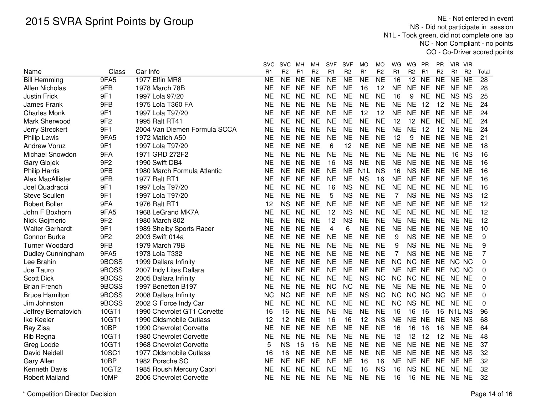NE - Not entered in event NS - Did not participate in session N1L - Took green, did not complete one lap NC - Non Compliant - no pointsCO - Co-Driver scored points

|                        |                 |                              | <b>SVC</b>     | <b>SVC</b>     | мн             | мн              | <b>SVF</b>              | <b>SVF</b>     | MO               | МO             | WG             | WG             | PR             | <b>PR</b>      | VIR VIR                        |                |       |
|------------------------|-----------------|------------------------------|----------------|----------------|----------------|-----------------|-------------------------|----------------|------------------|----------------|----------------|----------------|----------------|----------------|--------------------------------|----------------|-------|
| Name                   | Class           | Car Info                     | R <sub>1</sub> | R <sub>2</sub> | R <sub>1</sub> | R <sub>2</sub>  | R <sub>1</sub>          | R <sub>2</sub> | R <sub>1</sub>   | R <sub>2</sub> | R <sub>1</sub> | R <sub>2</sub> | R <sub>1</sub> | R <sub>2</sub> | R <sub>1</sub>                 | R <sub>2</sub> | Total |
| <b>Bill Hemming</b>    | 9FA5            | 1977 Elfin MR8               | NE             | NE             | <b>NE</b>      | $\overline{NE}$ | <b>NE</b>               | <b>NE</b>      | <b>NE</b>        | N <sub>E</sub> | 16             | 12             | <b>NE</b>      | <b>NE</b>      | <b>NE</b>                      | <b>NE</b>      | 28    |
| Allen Nicholas         | 9FB             | 1978 March 78B               | <b>NE</b>      | <b>NE</b>      | <b>NE</b>      | <b>NE</b>       | <b>NE</b>               | <b>NE</b>      | 16               | 12             | <b>NE</b>      | NE NE          |                | <b>NE</b>      | NE NE                          |                | 28    |
| <b>Justin Frick</b>    | 9F1             | 1997 Lola 97/20              | <b>NE</b>      | <b>NE</b>      | <b>NE</b>      | <b>NE</b>       | <b>NE</b>               | <b>NE</b>      | <b>NE</b>        | <b>NE</b>      | 16             | 9              | <b>NE</b>      | <b>NE</b>      | <b>NS</b>                      | <b>NS</b>      | 25    |
| <b>James Frank</b>     | 9FB             | 1975 Lola T360 FA            | NE             | <b>NE</b>      | <b>NE</b>      | <b>NE</b>       | <b>NE</b>               | <b>NE</b>      | <b>NE</b>        | <b>NE</b>      | <b>NE</b>      | <b>NE</b>      | 12             | 12             | NE NE                          |                | 24    |
| <b>Charles Monk</b>    | 9F1             | 1997 Lola T97/20             | NE             | <b>NE</b>      | <b>NE</b>      | <b>NE</b>       | <b>NE</b>               | <b>NE</b>      | 12               | 12             | <b>NE</b>      | NE NE          |                | <b>NE</b>      | NE NE                          |                | 24    |
| Mark Sherwood          | 9F <sub>2</sub> | 1995 Ralt RT41               | NE             | <b>NE</b>      | <b>NE</b>      | <b>NE</b>       | <b>NE</b>               | <b>NE</b>      | <b>NE</b>        | <b>NE</b>      | 12             | 12             | <b>NE</b>      | <b>NE</b>      | NE NE                          |                | 24    |
| Jerry Streckert        | 9F1             | 2004 Van Diemen Formula SCCA | <b>NE</b>      | <b>NE</b>      | <b>NE</b>      | <b>NE</b>       | <b>NE</b>               | <b>NE</b>      | <b>NE</b>        | <b>NE</b>      | <b>NE</b>      | <b>NE</b>      | 12             | 12             | NE NE                          |                | 24    |
| <b>Philip Lewis</b>    | 9FA5            | 1972 Matich A50              | <b>NE</b>      | <b>NE</b>      | <b>NE</b>      | <b>NE</b>       | <b>NE</b>               | <b>NE</b>      | <b>NE</b>        | <b>NE</b>      | 12             | 9              | <b>NE</b>      | <b>NE</b>      | NE NE                          |                | 21    |
| <b>Andrew Voruz</b>    | 9F1             | 1997 Lola T97/20             | <b>NE</b>      | <b>NE</b>      | <b>NE</b>      | <b>NE</b>       | 6                       | 12             | <b>NE</b>        | <b>NE</b>      | <b>NE</b>      | NE NE          |                | <b>NE</b>      | NE NE                          |                | 18    |
| Michael Snowdon        | 9FA             | 1971 GRD 272F2               | <b>NE</b>      | <b>NE</b>      | <b>NE</b>      | <b>NE</b>       | <b>NE</b>               | <b>NE</b>      | <b>NE</b>        | <b>NE</b>      | <b>NE</b>      | NE NE          |                | <b>NE</b>      | 16 NS                          |                | 16    |
| <b>Gary Glojek</b>     | 9F <sub>2</sub> | 1990 Swift DB4               | NE             | <b>NE</b>      | <b>NE</b>      | <b>NE</b>       | 16                      | <b>NS</b>      | <b>NE</b>        | <b>NE</b>      | <b>NE</b>      | NE NE          |                | <b>NE</b>      | NE NE                          |                | 16    |
| <b>Philip Harris</b>   | 9FB             | 1980 March Formula Atlantic  | <b>NE</b>      | <b>NE</b>      | <b>NE</b>      | <b>NE</b>       | <b>NE</b>               | <b>NE</b>      | N <sub>1</sub> L | <b>NS</b>      | 16             | NS NE          |                | <b>NE</b>      | NE NE                          |                | 16    |
| Alex MacAllister       | 9FB             | 1977 Ralt RT1                | <b>NE</b>      | <b>NE</b>      | <b>NE</b>      | <b>NE</b>       | <b>NE</b>               | <b>NE</b>      | <b>NS</b>        | 16             | <b>NE</b>      | NE NE          |                | <b>NE</b>      | NE NE                          |                | 16    |
| Joel Quadracci         | 9F1             | 1997 Lola T97/20             | <b>NE</b>      | <b>NE</b>      | <b>NE</b>      | <b>NE</b>       | 16                      | <b>NS</b>      | <b>NE</b>        | <b>NE</b>      | <b>NE</b>      | NE NE          |                | <b>NE</b>      | NE NE                          |                | 16    |
| <b>Steve Scullen</b>   | 9F1             | 1997 Lola T97/20             | <b>NE</b>      | <b>NE</b>      | <b>NE</b>      | <b>NE</b>       | 5                       | <b>NS</b>      | <b>NE</b>        | <b>NE</b>      | 7              | <b>NS</b>      | <b>NE</b>      | <b>NE</b>      | <b>NS</b>                      | <b>NS</b>      | 12    |
| <b>Robert Boller</b>   | 9FA             | 1976 Ralt RT1                | 12             | <b>NS</b>      | <b>NE</b>      | <b>NE</b>       | <b>NE</b>               | <b>NE</b>      | <b>NE</b>        | <b>NE</b>      | <b>NE</b>      | NE NE          |                | <b>NE</b>      | NE NE                          |                | 12    |
| John F Boxhorn         | 9FA5            | 1968 LeGrand MK7A            | <b>NE</b>      | <b>NE</b>      | <b>NE</b>      | <b>NE</b>       | 12                      | <b>NS</b>      | <b>NE</b>        | <b>NE</b>      | <b>NE</b>      | NE NE          |                | <b>NE</b>      | NE NE                          |                | 12    |
| Nick Gojmeric          | 9F <sub>2</sub> | 1980 March 802               | <b>NE</b>      | <b>NE</b>      | <b>NE</b>      | <b>NE</b>       | 12                      | <b>NS</b>      | <b>NE</b>        | <b>NE</b>      | <b>NE</b>      | NE NE          |                | <b>NE</b>      | NE NE                          |                | 12    |
| <b>Walter Gerhardt</b> | 9F1             | 1989 Shelby Sports Racer     | <b>NE</b>      | <b>NE</b>      | <b>NE</b>      | <b>NE</b>       | $\overline{\mathbf{4}}$ | 6              | <b>NE</b>        | <b>NE</b>      | <b>NE</b>      | NE NE          |                | <b>NE</b>      | NE NE                          |                | 10    |
| <b>Connor Burke</b>    | 9F <sub>2</sub> | 2003 Swift 014a              | NE             | <b>NE</b>      | <b>NE</b>      | <b>NE</b>       | <b>NE</b>               | <b>NE</b>      | <b>NE</b>        | <b>NE</b>      | 9              | NS NE          |                | <b>NE</b>      | NE NE                          |                | 9     |
| <b>Turner Woodard</b>  | 9FB             | 1979 March 79B               | NΕ             | <b>NE</b>      | <b>NE</b>      | <b>NE</b>       | <b>NE</b>               | <b>NE</b>      | <b>NE</b>        | <b>NE</b>      | 9              | NS NE          |                | <b>NE</b>      | NE NE                          |                | 9     |
| Dudley Cunningham      | 9FA5            | 1973 Lola T332               | <b>NE</b>      | <b>NE</b>      | <b>NE</b>      | <b>NE</b>       | <b>NE</b>               | <b>NE</b>      | <b>NE</b>        | <b>NE</b>      | 7              | NS NE          |                | <b>NE</b>      | NE NE                          |                | 7     |
| Lee Brahin             | 9BOSS           | 1999 Dallara Infinity        | <b>NE</b>      | <b>NE</b>      | <b>NE</b>      | <b>NE</b>       | <b>NE</b>               | <b>NE</b>      | <b>NE</b>        | <b>NE</b>      | <b>NC</b>      | NC NE          |                | <b>NE</b>      | NC NC                          |                | 0     |
| Joe Tauro              | 9BOSS           | 2007 Indy Lites Dallara      | <b>NE</b>      | <b>NE</b>      | <b>NE</b>      | <b>NE</b>       | <b>NE</b>               | <b>NE</b>      | <b>NE</b>        | <b>NE</b>      | <b>NE</b>      | NE NE          |                | <b>NE</b>      | NC NC                          |                | 0     |
| <b>Scott Dick</b>      | 9BOSS           | 2005 Dallara Infinity        | <b>NE</b>      | <b>NE</b>      | <b>NE</b>      | <b>NE</b>       | <b>NE</b>               | <b>NE</b>      | <b>NS</b>        | <b>NC</b>      | <b>NC</b>      | NC NE          |                | <b>NE</b>      | NE NE                          |                | 0     |
| <b>Brian French</b>    | 9BOSS           | 1997 Benetton B197           | NE             | <b>NE</b>      | <b>NE</b>      | <b>NE</b>       | <b>NC</b>               | <b>NC</b>      | <b>NE</b>        | <b>NE</b>      | <b>NE</b>      | NE NE          |                | <b>NE</b>      | NE NE                          |                | 0     |
| <b>Bruce Hamilton</b>  | 9BOSS           | 2008 Dallara Infinity        | <b>NC</b>      | <b>NC</b>      | <b>NE</b>      | <b>NE</b>       | <b>NE</b>               | <b>NE</b>      | <b>NS</b>        | <b>NC</b>      | <b>NC</b>      | NC NC          |                | <b>NC</b>      | NE NE                          |                | 0     |
| Jim Johnston           | 9BOSS           | 2002 G Force Indy Car        | <b>NE</b>      | <b>NE</b>      | <b>NE</b>      | <b>NE</b>       | <b>NE</b>               | <b>NE</b>      | <b>NE</b>        | <b>NE</b>      | <b>NC</b>      | <b>NS</b>      | <b>NE</b>      | <b>NE</b>      | NE NE                          |                | 0     |
| Jeffrey Bernatovich    | 10GT1           | 1990 Chevrolet GT1 Corvette  | 16             | 16             | <b>NE</b>      | <b>NE</b>       | <b>NE</b>               | <b>NE</b>      | <b>NE</b>        | <b>NE</b>      | 16             | 16             | 16             | 16             | N <sub>1</sub> L <sub>NS</sub> |                | 96    |
| Ike Keeler             | 10GT1           | 1990 Oldsmobile Cutlass      | 12             | 12             | <b>NE</b>      | <b>NE</b>       | 16                      | 16             | 12               | <b>NS</b>      | <b>NE</b>      | NE NE          |                | <b>NE</b>      | <b>NS</b>                      | <b>NS</b>      | 68    |
| Ray Zisa               | 10BP            | 1990 Chevrolet Corvette      | <b>NE</b>      | <b>NE</b>      | <b>NE</b>      | <b>NE</b>       | <b>NE</b>               | <b>NE</b>      | <b>NE</b>        | <b>NE</b>      | 16             | 16             | 16             | 16             | NE NE                          |                | 64    |
| Rib Regna              | 10GT1           | 1980 Chevrolet Corvette      | <b>NE</b>      | <b>NE</b>      | <b>NE</b>      | <b>NE</b>       | <b>NE</b>               | <b>NE</b>      | <b>NE</b>        | <b>NE</b>      | 12             | 12             | 12             | 12             | NE NE                          |                | 48    |
| Greg Lodde             | 10GT1           | 1968 Chevrolet Corvette      | 5              | <b>NS</b>      | 16             | 16              | <b>NE</b>               | <b>NE</b>      | <b>NE</b>        | <b>NE</b>      | <b>NE</b>      | NE NE          |                | <b>NE</b>      | NE NE                          |                | 37    |
| David Neidell          | 10SC1           | 1977 Oldsmobile Cutlass      | 16             | 16             | <b>NE</b>      | <b>NE</b>       | <b>NE</b>               | <b>NE</b>      | <b>NE</b>        | <b>NE</b>      | <b>NE</b>      | NE NE          |                | <b>NE</b>      | NS NS                          |                | 32    |
| Gary Allen             | 10BP            | 1982 Porsche SC              | NΕ             | NE             | <b>NE</b>      | <b>NE</b>       | <b>NE</b>               | <b>NE</b>      | 16               | 16             | <b>NE</b>      | NE NE          |                | NE.            | NE NE                          |                | 32    |
| <b>Kenneth Davis</b>   | 10GT2           | 1985 Roush Mercury Capri     | NΕ             | <b>NE</b>      | <b>NE</b>      | <b>NE</b>       | <b>NE</b>               | <b>NE</b>      | 16               | <b>NS</b>      | 16             | NS NE          |                | NE.            | NE NE                          |                | 32    |
| <b>Robert Mailand</b>  | 10MP            | 2006 Chevrolet Corvette      | NΕ             | <b>NE</b>      | <b>NE</b>      | <b>NE</b>       | NE                      | <b>NE</b>      | <b>NE</b>        | <b>NE</b>      | 16             | 16             | <b>NE</b>      |                | NE NE NE                       |                | 32    |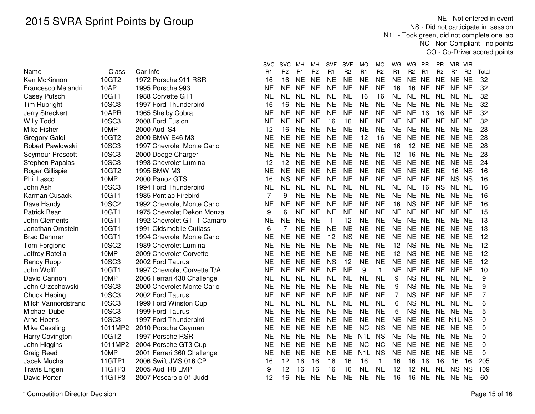NE - Not entered in event NS - Did not participate in session N1L - Took green, did not complete one lap NC - Non Compliant - no pointsCO - Co-Driver scored points

|                        |         |                             | SVC       | <b>SVC</b>      | MН             | MН             | <b>SVF</b>     | <b>SVF</b>     | MO               | MO             | WG             | WG<br><b>PR</b>                  | PR.             | VIR VIR                          |                 |
|------------------------|---------|-----------------------------|-----------|-----------------|----------------|----------------|----------------|----------------|------------------|----------------|----------------|----------------------------------|-----------------|----------------------------------|-----------------|
| Name                   | Class   | Car Info                    | R1        | R <sub>2</sub>  | R <sub>1</sub> | R <sub>2</sub> | R <sub>1</sub> | R <sub>2</sub> | R <sub>1</sub>   | R <sub>2</sub> | R <sub>1</sub> | R <sub>2</sub><br>R <sub>1</sub> | R <sub>2</sub>  | R <sub>1</sub><br>R <sub>2</sub> | Total           |
| Ken McKinnon           | 10GT2   | 1972 Porsche 911 RSR        | 16        | $\overline{16}$ | <b>NE</b>      | N <sub>E</sub> | <b>NE</b>      | <b>NE</b>      | $\overline{NE}$  | NE             | N <sub>E</sub> | NE NE                            | $\overline{NE}$ | NE NE                            | $\overline{32}$ |
| Francesco Melandri     | 10AP    | 1995 Porsche 993            | <b>NE</b> | <b>NE</b>       | <b>NE</b>      | <b>NE</b>      | <b>NE</b>      | <b>NE</b>      | <b>NE</b>        | <b>NE</b>      | 16             | 16<br><b>NE</b>                  | <b>NE</b>       | NE NE                            | 32              |
| Casey Putsch           | 10GT1   | 1988 Corvette GT1           | NE        | <b>NE</b>       | <b>NE</b>      | <b>NE</b>      | <b>NE</b>      | <b>NE</b>      | 16               | 16             | <b>NE</b>      | NE.<br>NE                        | <b>NE</b>       | NE NE                            | 32              |
| Tim Rubright           | 10SC3   | 1997 Ford Thunderbird       | 16        | 16              | <b>NE</b>      | <b>NE</b>      | <b>NE</b>      | <b>NE</b>      | <b>NE</b>        | <b>NE</b>      | <b>NE</b>      | NE NE                            | <b>NE</b>       | NE NE                            | 32              |
| Jerry Streckert        | 10APR   | 1965 Shelby Cobra           | <b>NE</b> | <b>NE</b>       | <b>NE</b>      | <b>NE</b>      | <b>NE</b>      | <b>NE</b>      | <b>NE</b>        | <b>NE</b>      | <b>NE</b>      | <b>NE</b><br>16                  | 16              | NE NE                            | 32              |
| <b>Willy Todd</b>      | 10SC3   | 2008 Ford Fusion            | <b>NE</b> | <b>NE</b>       | <b>NE</b>      | <b>NE</b>      | 16             | 16             | <b>NE</b>        | <b>NE</b>      | <b>NE</b>      | NE NE                            | <b>NE</b>       | NE NE                            | 32              |
| Mike Fisher            | 10MP    | 2000 Audi S4                | 12        | 16              | <b>NE</b>      | <b>NE</b>      | <b>NE</b>      | <b>NE</b>      | <b>NE</b>        | <b>NE</b>      | <b>NE</b>      | NE NE                            | <b>NE</b>       | NE NE                            | 28              |
| Gregory Galdi          | 10GT2   | 2000 BMW E46 M3             | <b>NE</b> | <b>NE</b>       | <b>NE</b>      | <b>NE</b>      | <b>NE</b>      | <b>NE</b>      | 12               | 16             | <b>NE</b>      | NE NE                            | <b>NE</b>       | NE NE                            | 28              |
| Robert Pawlowski       | 10SC3   | 1997 Chevrolet Monte Carlo  | <b>NE</b> | <b>NE</b>       | <b>NE</b>      | <b>NE</b>      | <b>NE</b>      | <b>NE</b>      | <b>NE</b>        | <b>NE</b>      | 16             | 12 NE                            | <b>NE</b>       | NE NE                            | 28              |
| Seymour Prescott       | 10SC3   | 2000 Dodge Charger          | <b>NE</b> | <b>NE</b>       | <b>NE</b>      | <b>NE</b>      | <b>NE</b>      | <b>NE</b>      | <b>NE</b>        | <b>NE</b>      | 12             | 16 NE                            | <b>NE</b>       | NE NE                            | 28              |
| Stephen Papalas        | 10SC3   | 1993 Chevrolet Lumina       | 12        | 12              | <b>NE</b>      | <b>NE</b>      | <b>NE</b>      | <b>NE</b>      | <b>NE</b>        | <b>NE</b>      | <b>NE</b>      | NE NE                            | <b>NE</b>       | NE NE                            | 24              |
| Roger Gillispie        | 10GT2   | 1995 BMW M3                 | <b>NE</b> | <b>NE</b>       | <b>NE</b>      | <b>NE</b>      | <b>NE</b>      | <b>NE</b>      | <b>NE</b>        | <b>NE</b>      | <b>NE</b>      | NE NE                            | <b>NE</b>       | 16 NS                            | 16              |
| <b>Phil Lasco</b>      | 10MP    | 2000 Panoz GTS              | 16        | <b>NS</b>       | <b>NE</b>      | <b>NE</b>      | <b>NE</b>      | <b>NE</b>      | <b>NE</b>        | <b>NE</b>      | <b>NE</b>      | NE NE                            | <b>NE</b>       | NS NS                            | 16              |
| John Ash               | 10SC3   | 1994 Ford Thunderbird       | <b>NE</b> | <b>NE</b>       | <b>NE</b>      | <b>NE</b>      | <b>NE</b>      | <b>NE</b>      | <b>NE</b>        | <b>NE</b>      | <b>NE</b>      | <b>NE</b><br>16                  | <b>NS</b>       | NE NE                            | 16              |
| Karman Cusack          | 10GT1   | 1985 Pontiac Firebird       | 7         | 9               | <b>NE</b>      | <b>NE</b>      | <b>NE</b>      | <b>NE</b>      | <b>NE</b>        | <b>NE</b>      | <b>NE</b>      | NE NE                            | <b>NE</b>       | NE NE                            | 16              |
| Dave Handy             | 10SC2   | 1992 Chevrolet Monte Carlo  | <b>NE</b> | <b>NE</b>       | <b>NE</b>      | <b>NE</b>      | <b>NE</b>      | <b>NE</b>      | <b>NE</b>        | <b>NE</b>      | 16             | NS NE                            | <b>NE</b>       | NE NE                            | 16              |
| Patrick Bean           | 10GT1   | 1975 Chevrolet Dekon Monza  | 9         | 6               | <b>NE</b>      | <b>NE</b>      | <b>NE</b>      | <b>NE</b>      | <b>NE</b>        | <b>NE</b>      | <b>NE</b>      | NE NE                            | <b>NE</b>       | NE NE                            | 15              |
| John Clements          | 10GT1   | 1992 Chevrolet GT -1 Camaro | <b>NE</b> | <b>NE</b>       | <b>NE</b>      | <b>NE</b>      | $\mathbf{1}$   | 12             | <b>NE</b>        | <b>NE</b>      | <b>NE</b>      | NE NE                            | <b>NE</b>       | NE NE                            | 13              |
| Jonathan Ornstein      | 10GT1   | 1991 Oldsmobile Cutlass     | 6         | 7               | <b>NE</b>      | <b>NE</b>      | <b>NE</b>      | <b>NE</b>      | <b>NE</b>        | <b>NE</b>      | <b>NE</b>      | NE NE                            | <b>NE</b>       | NE NE                            | 13              |
| <b>Brad Dahmer</b>     | 10GT1   | 1994 Chevrolet Monte Carlo  | <b>NE</b> | <b>NE</b>       | <b>NE</b>      | <b>NE</b>      | 12             | <b>NS</b>      | <b>NE</b>        | <b>NE</b>      | <b>NE</b>      | NE NE                            | <b>NE</b>       | NE NE                            | 12              |
| Tom Forgione           | 10SC2   | 1989 Chevrolet Lumina       | <b>NE</b> | <b>NE</b>       | <b>NE</b>      | <b>NE</b>      | <b>NE</b>      | <b>NE</b>      | <b>NE</b>        | <b>NE</b>      | 12             | <b>NS</b><br><b>NE</b>           | <b>NE</b>       | NE NE                            | 12              |
| Jeffrey Rotella        | 10MP    | 2009 Chevrolet Corvette     | <b>NE</b> | <b>NE</b>       | <b>NE</b>      | <b>NE</b>      | <b>NE</b>      | <b>NE</b>      | <b>NE</b>        | <b>NE</b>      | 12             | <b>NE</b><br><b>NS</b>           | <b>NE</b>       | NE NE                            | 12              |
| <b>Randy Rupp</b>      | 10SC3   | 2002 Ford Taurus            | <b>NE</b> | <b>NE</b>       | <b>NE</b>      | <b>NE</b>      | <b>NS</b>      | 12             | <b>NE</b>        | <b>NE</b>      | <b>NE</b>      | NE NE                            | <b>NE</b>       | NE NE                            | 12              |
| John Wolff             | 10GT1   | 1997 Chevrolet Corvette T/A | <b>NE</b> | <b>NE</b>       | <b>NE</b>      | <b>NE</b>      | <b>NE</b>      | <b>NE</b>      | 9                | $\mathbf{1}$   | <b>NE</b>      | NE NE                            | <b>NE</b>       | NE NE                            | 10              |
| David Cannon           | 10MP    | 2006 Ferrari 430 Challenge  | NE        | <b>NE</b>       | <b>NE</b>      | <b>NE</b>      | <b>NE</b>      | <b>NE</b>      | <b>NE</b>        | <b>NE</b>      | 9              | NS NE                            | <b>NE</b>       | NE NE                            | 9               |
| John Orzechowski       | 10SC3   | 2000 Chevrolet Monte Carlo  | <b>NE</b> | <b>NE</b>       | <b>NE</b>      | <b>NE</b>      | <b>NE</b>      | <b>NE</b>      | <b>NE</b>        | <b>NE</b>      | 9              | <b>NS</b><br><b>NE</b>           | <b>NE</b>       | NE NE                            | 9               |
| Chuck Hebing           | 10SC3   | 2002 Ford Taurus            | NE        | <b>NE</b>       | <b>NE</b>      | <b>NE</b>      | <b>NE</b>      | <b>NE</b>      | <b>NE</b>        | <b>NE</b>      | 7              | NS NE                            | <b>NE</b>       | NE NE                            | 7               |
| Mitch Vannordstrand    | 10SC3   | 1999 Ford Winston Cup       | <b>NE</b> | <b>NE</b>       | <b>NE</b>      | <b>NE</b>      | <b>NE</b>      | <b>NE</b>      | <b>NE</b>        | <b>NE</b>      | 6              | <b>NS</b><br><b>NE</b>           | <b>NE</b>       | NE NE                            | 6               |
| Michael Dube           | 10SC3   | 1999 Ford Taurus            | <b>NE</b> | <b>NE</b>       | <b>NE</b>      | <b>NE</b>      | <b>NE</b>      | <b>NE</b>      | <b>NE</b>        | <b>NE</b>      | 5              | NS NE                            | <b>NE</b>       | NE NE                            | 5               |
| Arno Hoens             | 10SC3   | 1997 Ford Thunderbird       | <b>NE</b> | <b>NE</b>       | <b>NE</b>      | <b>NE</b>      | <b>NE</b>      | <b>NE</b>      | <b>NE</b>        | <b>NE</b>      | <b>NE</b>      | NE NE                            |                 | NE N1L NS                        | 0               |
| Mike Cassling          | 1011MP2 | 2010 Porsche Cayman         | <b>NE</b> | <b>NE</b>       | <b>NE</b>      | <b>NE</b>      | <b>NE</b>      | <b>NE</b>      | <b>NC</b>        | <b>NS</b>      | <b>NE</b>      | NE NE                            | <b>NE</b>       | NE NE                            | 0               |
| <b>Harry Covington</b> | 10GT2   | 1997 Porsche RSR            | <b>NE</b> | <b>NE</b>       | <b>NE</b>      | <b>NE</b>      | <b>NE</b>      | <b>NE</b>      | N <sub>1</sub>   | <b>NS</b>      | <b>NE</b>      | NE NE                            | <b>NE</b>       | NE NE                            | 0               |
| John Higgins           | 1011MP2 | 2004 Porsche GT3 Cup        | <b>NE</b> | <b>NE</b>       | <b>NE</b>      | <b>NE</b>      | <b>NE</b>      | <b>NE</b>      | <b>NC</b>        | <b>NC</b>      | <b>NE</b>      | NE NE                            | <b>NE</b>       | NE NE                            | 0               |
| <b>Craig Reed</b>      | 10MP    | 2001 Ferrari 360 Challenge  | <b>NE</b> | <b>NE</b>       | <b>NE</b>      | <b>NE</b>      | <b>NE</b>      | <b>NE</b>      | N <sub>1</sub> L | <b>NS</b>      | <b>NE</b>      | <b>NE</b><br><b>NE</b>           | <b>NE</b>       | NE NE                            | 0               |
| Jacek Mucha            | 11GTP1  | 2006 Swift JMS 016 CP       | 16        | 12              | 16             | 16             | 16             | 16             | 16               | 1              | 16             | 16<br>16                         | 16              | 16<br>16                         | 205             |
| <b>Travis Engen</b>    | 11GTP3  | 2005 Audi R8 LMP            | 9         | 12              | 16             | 16             | 16             | 16             | <b>NE</b>        | <b>NE</b>      | 12             | 12<br>NE                         | <b>NE</b>       | NS NS                            | 109             |
| <b>David Porter</b>    | 11GTP3  | 2007 Pescarolo 01 Judd      | 12        | 16              | <b>NE</b>      | <b>NE</b>      | <b>NE</b>      | <b>NE</b>      | <b>NE</b>        | <b>NE</b>      | 16             | 16<br><b>NE</b>                  | <b>NE</b>       | NE NE                            | 60              |